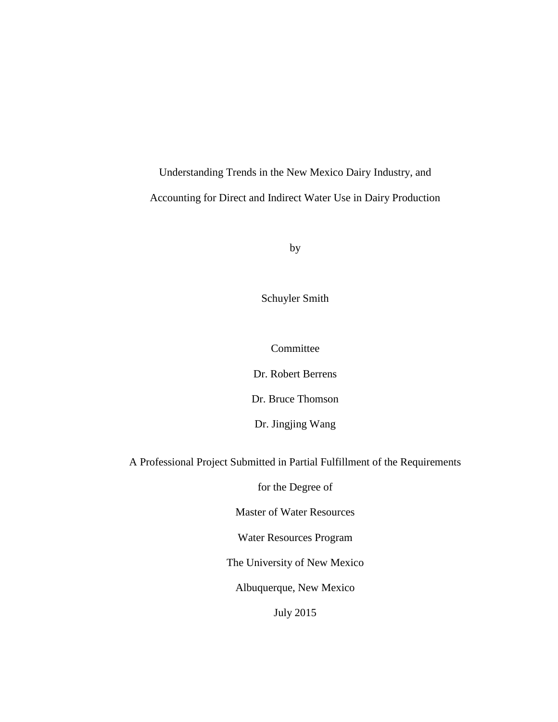Understanding Trends in the New Mexico Dairy Industry, and Accounting for Direct and Indirect Water Use in Dairy Production

by

Schuyler Smith

Committee

Dr. Robert Berrens

Dr. Bruce Thomson

Dr. Jingjing Wang

A Professional Project Submitted in Partial Fulfillment of the Requirements

for the Degree of

Master of Water Resources

Water Resources Program

The University of New Mexico

Albuquerque, New Mexico

July 2015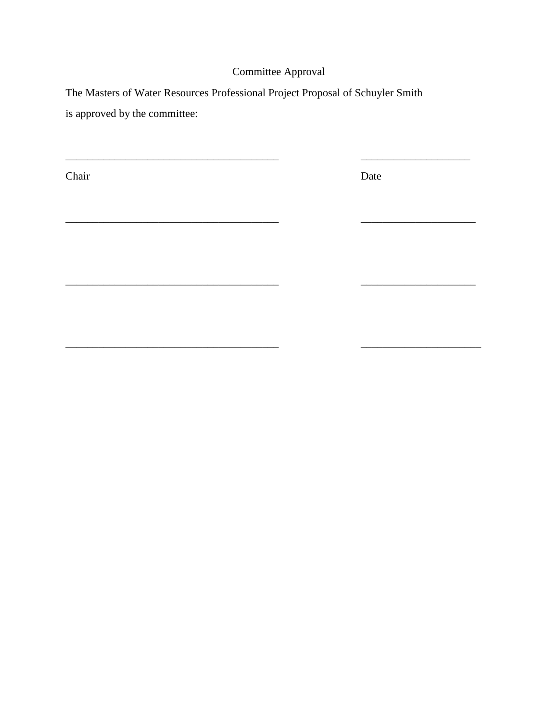## Committee Approval

\_\_\_\_\_\_\_\_\_\_\_\_\_\_\_\_\_\_\_\_\_\_\_\_\_\_\_\_\_\_\_\_\_\_\_\_\_\_\_ \_\_\_\_\_\_\_\_\_\_\_\_\_\_\_\_\_\_\_\_

\_\_\_\_\_\_\_\_\_\_\_\_\_\_\_\_\_\_\_\_\_\_\_\_\_\_\_\_\_\_\_\_\_\_\_\_\_\_\_ \_\_\_\_\_\_\_\_\_\_\_\_\_\_\_\_\_\_\_\_\_

\_\_\_\_\_\_\_\_\_\_\_\_\_\_\_\_\_\_\_\_\_\_\_\_\_\_\_\_\_\_\_\_\_\_\_\_\_\_\_ \_\_\_\_\_\_\_\_\_\_\_\_\_\_\_\_\_\_\_\_\_

 $\overline{\phantom{a}}$  , and the contribution of the contribution of the contribution of the contribution of the contribution of the contribution of the contribution of the contribution of the contribution of the contribution of the

The Masters of Water Resources Professional Project Proposal of Schuyler Smith

is approved by the committee:

Chair Date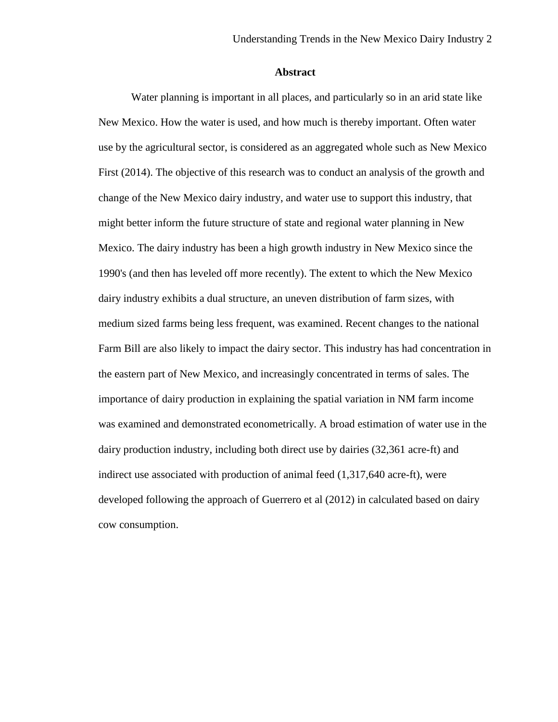## **Abstract**

Water planning is important in all places, and particularly so in an arid state like New Mexico. How the water is used, and how much is thereby important. Often water use by the agricultural sector, is considered as an aggregated whole such as New Mexico First (2014). The objective of this research was to conduct an analysis of the growth and change of the New Mexico dairy industry, and water use to support this industry, that might better inform the future structure of state and regional water planning in New Mexico. The dairy industry has been a high growth industry in New Mexico since the 1990's (and then has leveled off more recently). The extent to which the New Mexico dairy industry exhibits a dual structure, an uneven distribution of farm sizes, with medium sized farms being less frequent, was examined. Recent changes to the national Farm Bill are also likely to impact the dairy sector. This industry has had concentration in the eastern part of New Mexico, and increasingly concentrated in terms of sales. The importance of dairy production in explaining the spatial variation in NM farm income was examined and demonstrated econometrically. A broad estimation of water use in the dairy production industry, including both direct use by dairies (32,361 acre-ft) and indirect use associated with production of animal feed (1,317,640 acre-ft), were developed following the approach of Guerrero et al (2012) in calculated based on dairy cow consumption.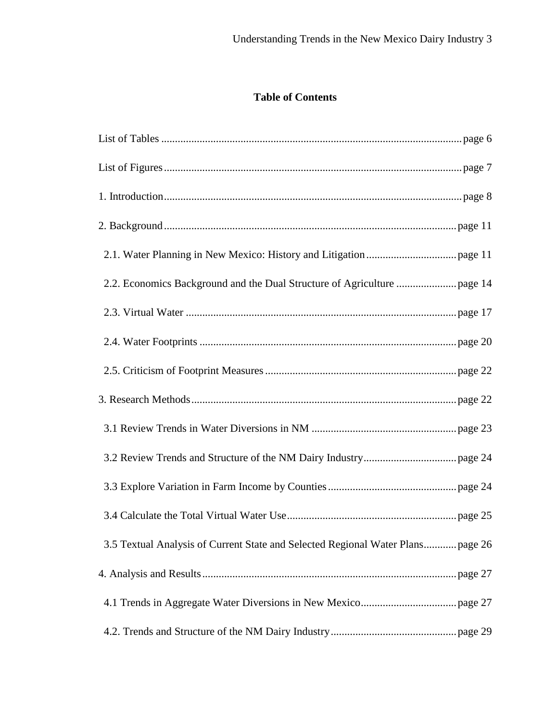## **Table of Contents**

| 3.5 Textual Analysis of Current State and Selected Regional Water Planspage 26 |
|--------------------------------------------------------------------------------|
|                                                                                |
|                                                                                |
|                                                                                |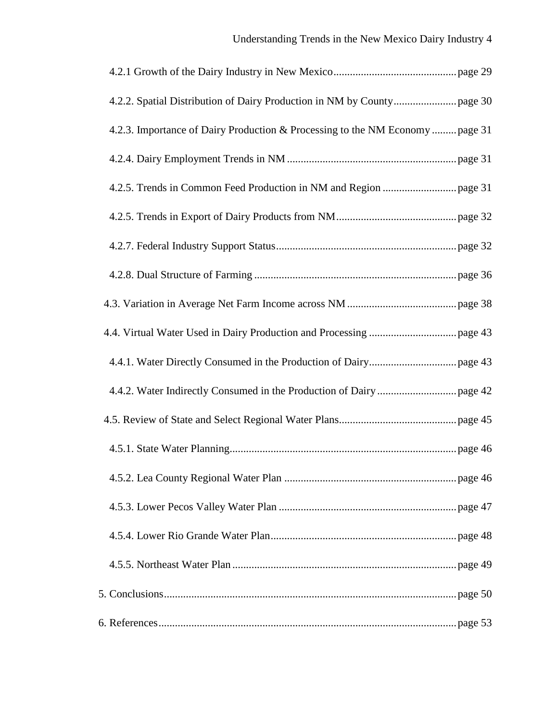| 4.2.3. Importance of Dairy Production & Processing to the NM Economy  page 31 |  |
|-------------------------------------------------------------------------------|--|
|                                                                               |  |
|                                                                               |  |
|                                                                               |  |
|                                                                               |  |
|                                                                               |  |
|                                                                               |  |
|                                                                               |  |
|                                                                               |  |
|                                                                               |  |
|                                                                               |  |
|                                                                               |  |
|                                                                               |  |
|                                                                               |  |
|                                                                               |  |
|                                                                               |  |
|                                                                               |  |
|                                                                               |  |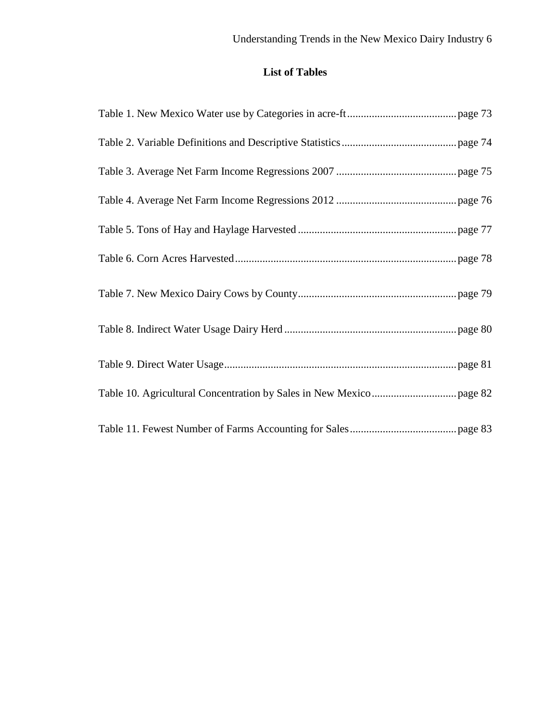# **List of Tables**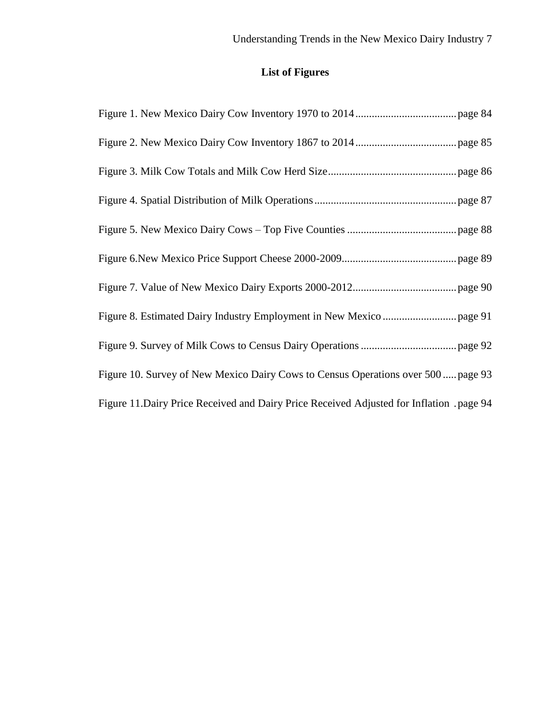# **List of Figures**

| Figure 10. Survey of New Mexico Dairy Cows to Census Operations over 500  page 93         |
|-------------------------------------------------------------------------------------------|
| Figure 11. Dairy Price Received and Dairy Price Received Adjusted for Inflation . page 94 |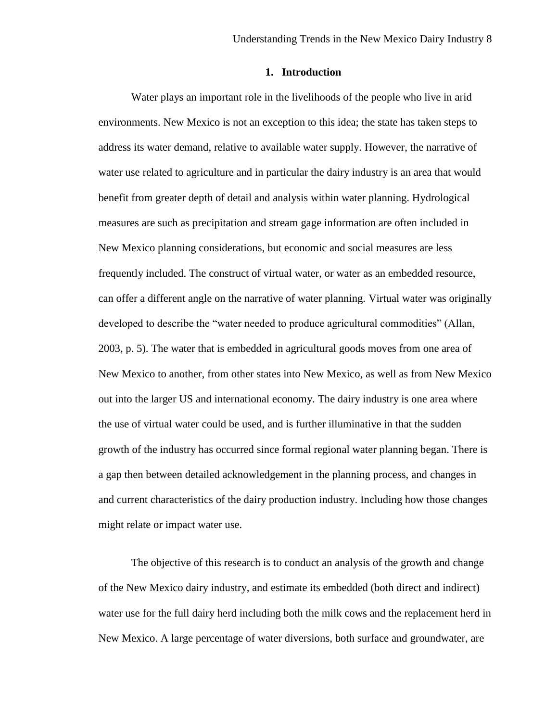## **1. Introduction**

Water plays an important role in the livelihoods of the people who live in arid environments. New Mexico is not an exception to this idea; the state has taken steps to address its water demand, relative to available water supply. However, the narrative of water use related to agriculture and in particular the dairy industry is an area that would benefit from greater depth of detail and analysis within water planning. Hydrological measures are such as precipitation and stream gage information are often included in New Mexico planning considerations, but economic and social measures are less frequently included. The construct of virtual water, or water as an embedded resource, can offer a different angle on the narrative of water planning. Virtual water was originally developed to describe the "water needed to produce agricultural commodities" (Allan, 2003, p. 5). The water that is embedded in agricultural goods moves from one area of New Mexico to another, from other states into New Mexico, as well as from New Mexico out into the larger US and international economy. The dairy industry is one area where the use of virtual water could be used, and is further illuminative in that the sudden growth of the industry has occurred since formal regional water planning began. There is a gap then between detailed acknowledgement in the planning process, and changes in and current characteristics of the dairy production industry. Including how those changes might relate or impact water use.

The objective of this research is to conduct an analysis of the growth and change of the New Mexico dairy industry, and estimate its embedded (both direct and indirect) water use for the full dairy herd including both the milk cows and the replacement herd in New Mexico. A large percentage of water diversions, both surface and groundwater, are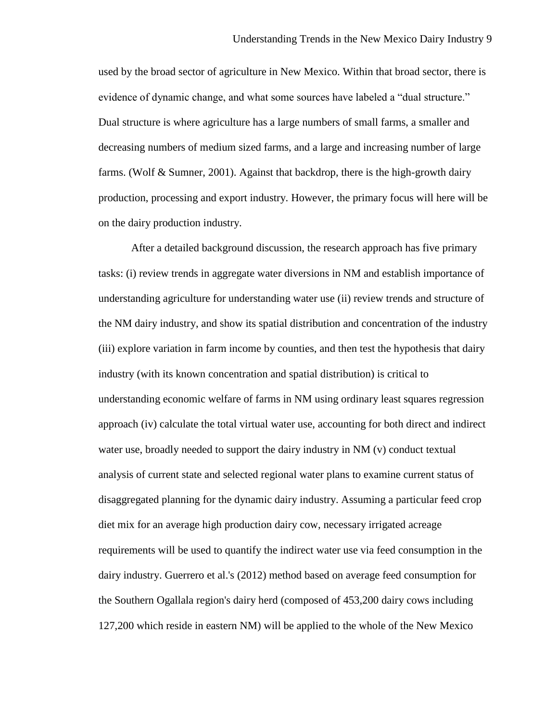used by the broad sector of agriculture in New Mexico. Within that broad sector, there is evidence of dynamic change, and what some sources have labeled a "dual structure." Dual structure is where agriculture has a large numbers of small farms, a smaller and decreasing numbers of medium sized farms, and a large and increasing number of large farms. (Wolf  $\&$  Sumner, 2001). Against that backdrop, there is the high-growth dairy production, processing and export industry. However, the primary focus will here will be on the dairy production industry.

After a detailed background discussion, the research approach has five primary tasks: (i) review trends in aggregate water diversions in NM and establish importance of understanding agriculture for understanding water use (ii) review trends and structure of the NM dairy industry, and show its spatial distribution and concentration of the industry (iii) explore variation in farm income by counties, and then test the hypothesis that dairy industry (with its known concentration and spatial distribution) is critical to understanding economic welfare of farms in NM using ordinary least squares regression approach (iv) calculate the total virtual water use, accounting for both direct and indirect water use, broadly needed to support the dairy industry in NM (v) conduct textual analysis of current state and selected regional water plans to examine current status of disaggregated planning for the dynamic dairy industry. Assuming a particular feed crop diet mix for an average high production dairy cow, necessary irrigated acreage requirements will be used to quantify the indirect water use via feed consumption in the dairy industry. Guerrero et al.'s (2012) method based on average feed consumption for the Southern Ogallala region's dairy herd (composed of 453,200 dairy cows including 127,200 which reside in eastern NM) will be applied to the whole of the New Mexico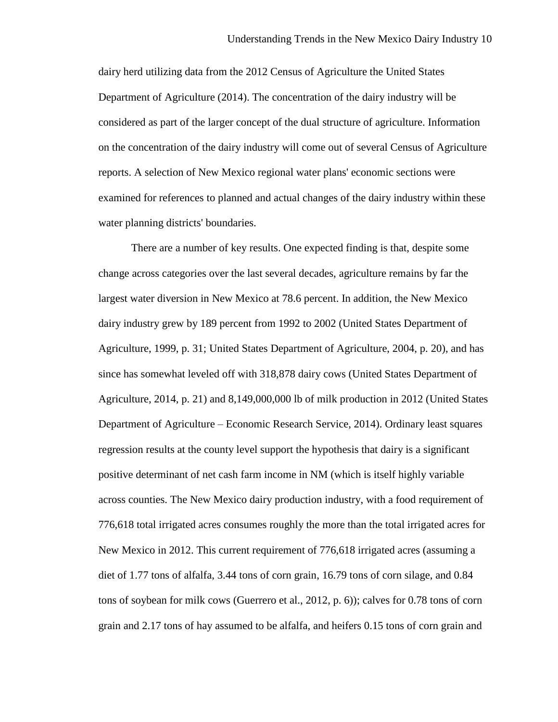dairy herd utilizing data from the 2012 Census of Agriculture the United States Department of Agriculture (2014). The concentration of the dairy industry will be considered as part of the larger concept of the dual structure of agriculture. Information on the concentration of the dairy industry will come out of several Census of Agriculture reports. A selection of New Mexico regional water plans' economic sections were examined for references to planned and actual changes of the dairy industry within these water planning districts' boundaries.

There are a number of key results. One expected finding is that, despite some change across categories over the last several decades, agriculture remains by far the largest water diversion in New Mexico at 78.6 percent. In addition, the New Mexico dairy industry grew by 189 percent from 1992 to 2002 (United States Department of Agriculture, 1999, p. 31; United States Department of Agriculture, 2004, p. 20), and has since has somewhat leveled off with 318,878 dairy cows (United States Department of Agriculture, 2014, p. 21) and 8,149,000,000 lb of milk production in 2012 (United States Department of Agriculture – Economic Research Service, 2014). Ordinary least squares regression results at the county level support the hypothesis that dairy is a significant positive determinant of net cash farm income in NM (which is itself highly variable across counties. The New Mexico dairy production industry, with a food requirement of 776,618 total irrigated acres consumes roughly the more than the total irrigated acres for New Mexico in 2012. This current requirement of 776,618 irrigated acres (assuming a diet of 1.77 tons of alfalfa, 3.44 tons of corn grain, 16.79 tons of corn silage, and 0.84 tons of soybean for milk cows (Guerrero et al., 2012, p. 6)); calves for 0.78 tons of corn grain and 2.17 tons of hay assumed to be alfalfa, and heifers 0.15 tons of corn grain and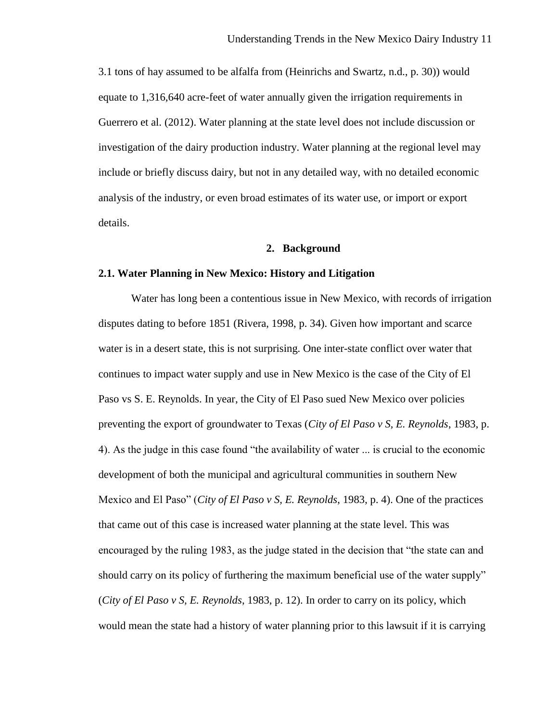3.1 tons of hay assumed to be alfalfa from (Heinrichs and Swartz, n.d., p. 30)) would equate to 1,316,640 acre-feet of water annually given the irrigation requirements in Guerrero et al. (2012). Water planning at the state level does not include discussion or investigation of the dairy production industry. Water planning at the regional level may include or briefly discuss dairy, but not in any detailed way, with no detailed economic analysis of the industry, or even broad estimates of its water use, or import or export details.

### **2. Background**

## **2.1. Water Planning in New Mexico: History and Litigation**

Water has long been a contentious issue in New Mexico, with records of irrigation disputes dating to before 1851 (Rivera, 1998, p. 34). Given how important and scarce water is in a desert state, this is not surprising. One inter-state conflict over water that continues to impact water supply and use in New Mexico is the case of the City of El Paso vs S. E. Reynolds. In year, the City of El Paso sued New Mexico over policies preventing the export of groundwater to Texas (*City of El Paso v S, E. Reynolds*, 1983, p. 4). As the judge in this case found "the availability of water ... is crucial to the economic development of both the municipal and agricultural communities in southern New Mexico and El Paso" (*City of El Paso v S, E. Reynolds*, 1983, p. 4). One of the practices that came out of this case is increased water planning at the state level. This was encouraged by the ruling 1983, as the judge stated in the decision that "the state can and should carry on its policy of furthering the maximum beneficial use of the water supply" (*City of El Paso v S, E. Reynolds*, 1983, p. 12). In order to carry on its policy, which would mean the state had a history of water planning prior to this lawsuit if it is carrying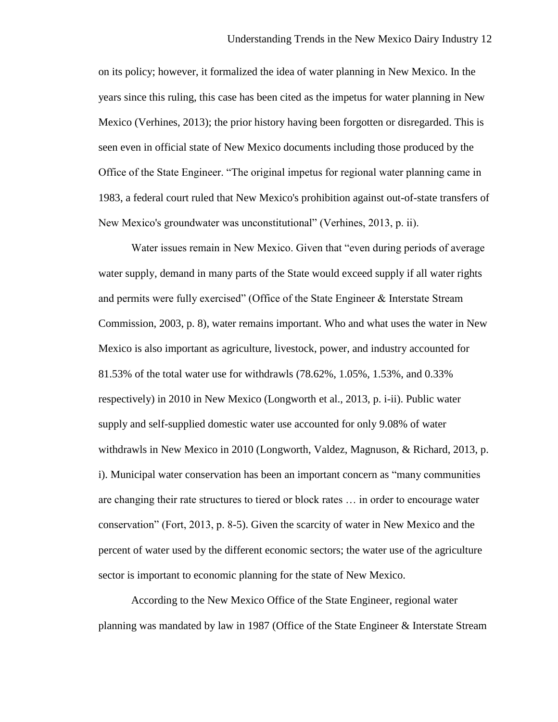on its policy; however, it formalized the idea of water planning in New Mexico. In the years since this ruling, this case has been cited as the impetus for water planning in New Mexico (Verhines, 2013); the prior history having been forgotten or disregarded. This is seen even in official state of New Mexico documents including those produced by the Office of the State Engineer. "The original impetus for regional water planning came in 1983, a federal court ruled that New Mexico's prohibition against out-of-state transfers of New Mexico's groundwater was unconstitutional" (Verhines, 2013, p. ii).

Water issues remain in New Mexico. Given that "even during periods of average water supply, demand in many parts of the State would exceed supply if all water rights and permits were fully exercised" (Office of the State Engineer & Interstate Stream Commission, 2003, p. 8), water remains important. Who and what uses the water in New Mexico is also important as agriculture, livestock, power, and industry accounted for 81.53% of the total water use for withdrawls (78.62%, 1.05%, 1.53%, and 0.33% respectively) in 2010 in New Mexico (Longworth et al., 2013, p. i-ii). Public water supply and self-supplied domestic water use accounted for only 9.08% of water withdrawls in New Mexico in 2010 (Longworth, Valdez, Magnuson, & Richard, 2013, p. i). Municipal water conservation has been an important concern as "many communities are changing their rate structures to tiered or block rates … in order to encourage water conservation" (Fort, 2013, p. 8-5). Given the scarcity of water in New Mexico and the percent of water used by the different economic sectors; the water use of the agriculture sector is important to economic planning for the state of New Mexico.

According to the New Mexico Office of the State Engineer, regional water planning was mandated by law in 1987 (Office of the State Engineer & Interstate Stream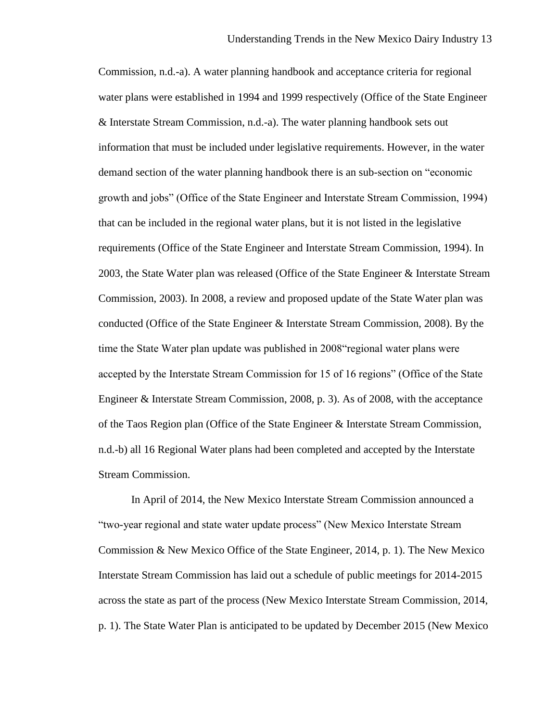Commission, n.d.-a). A water planning handbook and acceptance criteria for regional water plans were established in 1994 and 1999 respectively (Office of the State Engineer & Interstate Stream Commission, n.d.-a). The water planning handbook sets out information that must be included under legislative requirements. However, in the water demand section of the water planning handbook there is an sub-section on "economic growth and jobs" (Office of the State Engineer and Interstate Stream Commission, 1994) that can be included in the regional water plans, but it is not listed in the legislative requirements (Office of the State Engineer and Interstate Stream Commission, 1994). In 2003, the State Water plan was released (Office of the State Engineer & Interstate Stream Commission, 2003). In 2008, a review and proposed update of the State Water plan was conducted (Office of the State Engineer & Interstate Stream Commission, 2008). By the time the State Water plan update was published in 2008"regional water plans were accepted by the Interstate Stream Commission for 15 of 16 regions" (Office of the State Engineer & Interstate Stream Commission, 2008, p. 3). As of 2008, with the acceptance of the Taos Region plan (Office of the State Engineer & Interstate Stream Commission, n.d.-b) all 16 Regional Water plans had been completed and accepted by the Interstate Stream Commission.

In April of 2014, the New Mexico Interstate Stream Commission announced a "two-year regional and state water update process" (New Mexico Interstate Stream Commission & New Mexico Office of the State Engineer, 2014, p. 1). The New Mexico Interstate Stream Commission has laid out a schedule of public meetings for 2014-2015 across the state as part of the process (New Mexico Interstate Stream Commission, 2014, p. 1). The State Water Plan is anticipated to be updated by December 2015 (New Mexico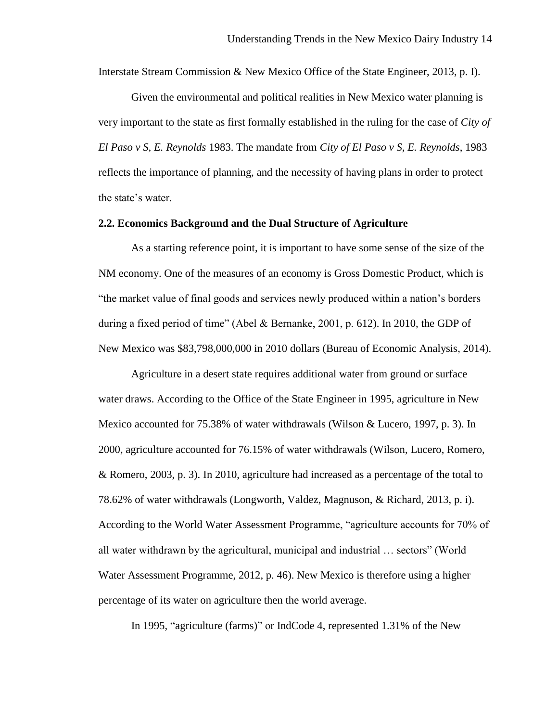Interstate Stream Commission & New Mexico Office of the State Engineer, 2013, p. I).

Given the environmental and political realities in New Mexico water planning is very important to the state as first formally established in the ruling for the case of *City of El Paso v S, E. Reynolds* 1983. The mandate from *City of El Paso v S, E. Reynolds*, 1983 reflects the importance of planning, and the necessity of having plans in order to protect the state's water.

#### **2.2. Economics Background and the Dual Structure of Agriculture**

As a starting reference point, it is important to have some sense of the size of the NM economy. One of the measures of an economy is Gross Domestic Product, which is "the market value of final goods and services newly produced within a nation's borders during a fixed period of time" (Abel & Bernanke, 2001, p. 612). In 2010, the GDP of New Mexico was \$83,798,000,000 in 2010 dollars (Bureau of Economic Analysis, 2014).

Agriculture in a desert state requires additional water from ground or surface water draws. According to the Office of the State Engineer in 1995, agriculture in New Mexico accounted for 75.38% of water withdrawals (Wilson & Lucero, 1997, p. 3). In 2000, agriculture accounted for 76.15% of water withdrawals (Wilson, Lucero, Romero, & Romero, 2003, p. 3). In 2010, agriculture had increased as a percentage of the total to 78.62% of water withdrawals (Longworth, Valdez, Magnuson, & Richard, 2013, p. i). According to the World Water Assessment Programme, "agriculture accounts for 70% of all water withdrawn by the agricultural, municipal and industrial … sectors" (World Water Assessment Programme, 2012, p. 46). New Mexico is therefore using a higher percentage of its water on agriculture then the world average.

In 1995, "agriculture (farms)" or IndCode 4, represented 1.31% of the New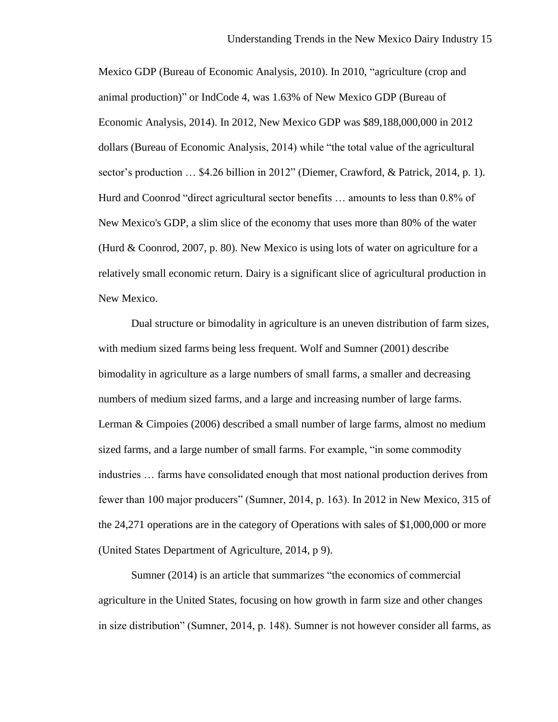Mexico GDP (Bureau of Economic Analysis, 2010). In 2010, "agriculture (crop and animal production)" or IndCode 4, was 1.63% of New Mexico GDP (Bureau of Economic Analysis, 2014). In 2012, New Mexico GDP was \$89,188,000,000 in 2012 dollars (Bureau of Economic Analysis, 2014) while "the total value of the agricultural sector's production … \$4.26 billion in 2012" (Diemer, Crawford, & Patrick, 2014, p. 1). Hurd and Coonrod "direct agricultural sector benefits … amounts to less than 0.8% of New Mexico's GDP, a slim slice of the economy that uses more than 80% of the water (Hurd & Coonrod, 2007, p. 80). New Mexico is using lots of water on agriculture for a relatively small economic return. Dairy is a significant slice of agricultural production in New Mexico.

Dual structure or bimodality in agriculture is an uneven distribution of farm sizes, with medium sized farms being less frequent. Wolf and Sumner (2001) describe bimodality in agriculture as a large numbers of small farms, a smaller and decreasing numbers of medium sized farms, and a large and increasing number of large farms. Lerman & Cimpoies (2006) described a small number of large farms, almost no medium sized farms, and a large number of small farms. For example, "in some commodity industries … farms have consolidated enough that most national production derives from fewer than 100 major producers" (Sumner, 2014, p. 163). In 2012 in New Mexico, 315 of the 24,271 operations are in the category of Operations with sales of \$1,000,000 or more (United States Department of Agriculture, 2014, p 9).

Sumner (2014) is an article that summarizes "the economics of commercial agriculture in the United States, focusing on how growth in farm size and other changes in size distribution" (Sumner, 2014, p. 148). Sumner is not however consider all farms, as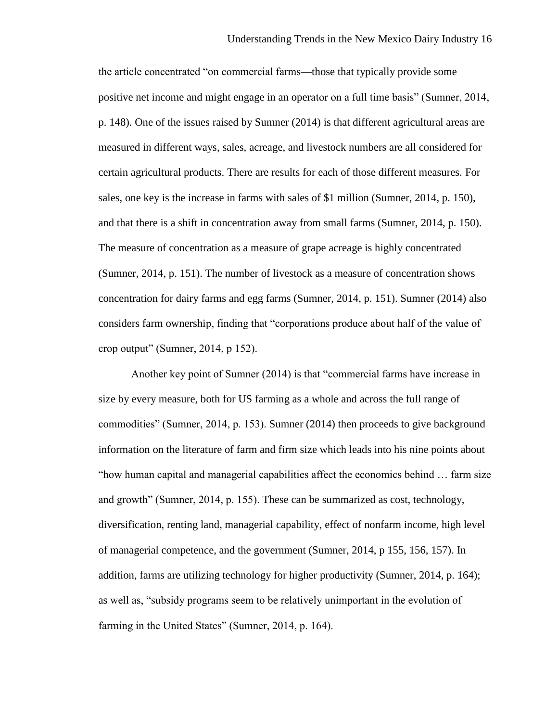the article concentrated "on commercial farms—those that typically provide some positive net income and might engage in an operator on a full time basis" (Sumner, 2014, p. 148). One of the issues raised by Sumner (2014) is that different agricultural areas are measured in different ways, sales, acreage, and livestock numbers are all considered for certain agricultural products. There are results for each of those different measures. For sales, one key is the increase in farms with sales of \$1 million (Sumner, 2014, p. 150), and that there is a shift in concentration away from small farms (Sumner, 2014, p. 150). The measure of concentration as a measure of grape acreage is highly concentrated (Sumner, 2014, p. 151). The number of livestock as a measure of concentration shows concentration for dairy farms and egg farms (Sumner, 2014, p. 151). Sumner (2014) also considers farm ownership, finding that "corporations produce about half of the value of crop output" (Sumner, 2014, p 152).

Another key point of Sumner (2014) is that "commercial farms have increase in size by every measure, both for US farming as a whole and across the full range of commodities" (Sumner, 2014, p. 153). Sumner (2014) then proceeds to give background information on the literature of farm and firm size which leads into his nine points about "how human capital and managerial capabilities affect the economics behind … farm size and growth" (Sumner, 2014, p. 155). These can be summarized as cost, technology, diversification, renting land, managerial capability, effect of nonfarm income, high level of managerial competence, and the government (Sumner, 2014, p 155, 156, 157). In addition, farms are utilizing technology for higher productivity (Sumner, 2014, p. 164); as well as, "subsidy programs seem to be relatively unimportant in the evolution of farming in the United States" (Sumner, 2014, p. 164).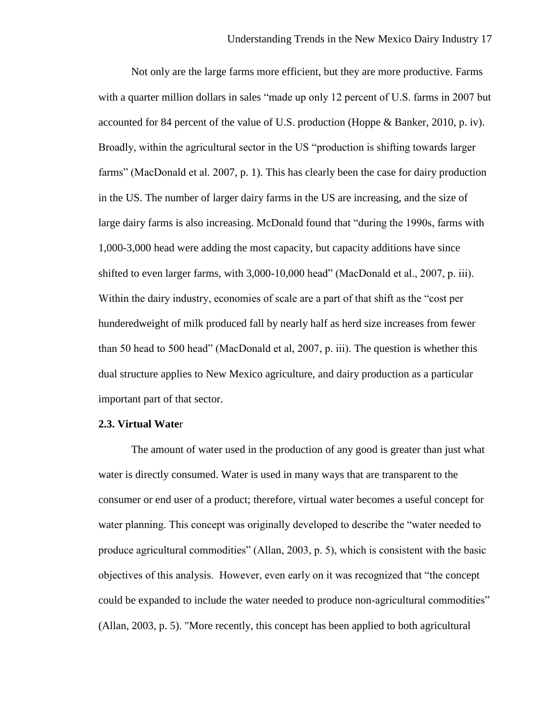Not only are the large farms more efficient, but they are more productive. Farms with a quarter million dollars in sales "made up only 12 percent of U.S. farms in 2007 but accounted for 84 percent of the value of U.S. production (Hoppe & Banker, 2010, p. iv). Broadly, within the agricultural sector in the US "production is shifting towards larger farms" (MacDonald et al. 2007, p. 1). This has clearly been the case for dairy production in the US. The number of larger dairy farms in the US are increasing, and the size of large dairy farms is also increasing. McDonald found that "during the 1990s, farms with 1,000-3,000 head were adding the most capacity, but capacity additions have since shifted to even larger farms, with 3,000-10,000 head" (MacDonald et al., 2007, p. iii). Within the dairy industry, economies of scale are a part of that shift as the "cost per hunderedweight of milk produced fall by nearly half as herd size increases from fewer than 50 head to 500 head" (MacDonald et al, 2007, p. iii). The question is whether this dual structure applies to New Mexico agriculture, and dairy production as a particular important part of that sector.

## **2.3. Virtual Wate**r

The amount of water used in the production of any good is greater than just what water is directly consumed. Water is used in many ways that are transparent to the consumer or end user of a product; therefore, virtual water becomes a useful concept for water planning. This concept was originally developed to describe the "water needed to produce agricultural commodities" (Allan, 2003, p. 5), which is consistent with the basic objectives of this analysis. However, even early on it was recognized that "the concept could be expanded to include the water needed to produce non-agricultural commodities" (Allan, 2003, p. 5). "More recently, this concept has been applied to both agricultural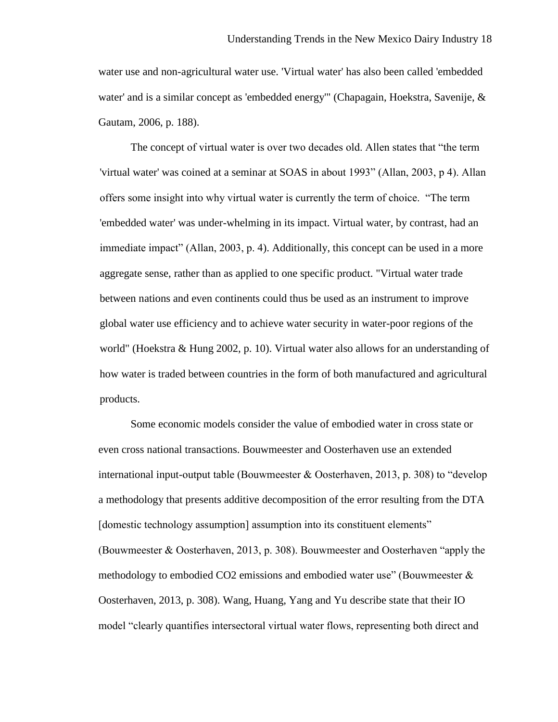water use and non-agricultural water use. 'Virtual water' has also been called 'embedded water' and is a similar concept as 'embedded energy'" (Chapagain, Hoekstra, Savenije, & Gautam, 2006, p. 188).

The concept of virtual water is over two decades old. Allen states that "the term 'virtual water' was coined at a seminar at SOAS in about 1993" (Allan, 2003, p 4). Allan offers some insight into why virtual water is currently the term of choice. "The term 'embedded water' was under-whelming in its impact. Virtual water, by contrast, had an immediate impact" (Allan, 2003, p. 4). Additionally, this concept can be used in a more aggregate sense, rather than as applied to one specific product. "Virtual water trade between nations and even continents could thus be used as an instrument to improve global water use efficiency and to achieve water security in water-poor regions of the world" (Hoekstra & Hung 2002, p. 10). Virtual water also allows for an understanding of how water is traded between countries in the form of both manufactured and agricultural products.

Some economic models consider the value of embodied water in cross state or even cross national transactions. Bouwmeester and Oosterhaven use an extended international input-output table (Bouwmeester & Oosterhaven, 2013, p. 308) to "develop a methodology that presents additive decomposition of the error resulting from the DTA [domestic technology assumption] assumption into its constituent elements" (Bouwmeester & Oosterhaven, 2013, p. 308). Bouwmeester and Oosterhaven "apply the methodology to embodied CO2 emissions and embodied water use" (Bouwmeester  $\&$ Oosterhaven, 2013, p. 308). Wang, Huang, Yang and Yu describe state that their IO model "clearly quantifies intersectoral virtual water flows, representing both direct and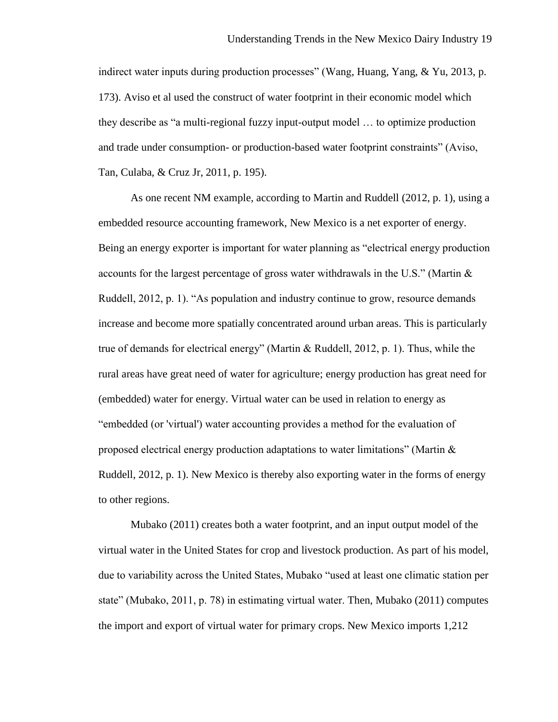indirect water inputs during production processes" (Wang, Huang, Yang, & Yu, 2013, p. 173). Aviso et al used the construct of water footprint in their economic model which they describe as "a multi-regional fuzzy input-output model … to optimize production and trade under consumption- or production-based water footprint constraints" (Aviso, Tan, Culaba, & Cruz Jr, 2011, p. 195).

As one recent NM example, according to Martin and Ruddell (2012, p. 1), using a embedded resource accounting framework, New Mexico is a net exporter of energy. Being an energy exporter is important for water planning as "electrical energy production accounts for the largest percentage of gross water withdrawals in the U.S." (Martin & Ruddell, 2012, p. 1). "As population and industry continue to grow, resource demands increase and become more spatially concentrated around urban areas. This is particularly true of demands for electrical energy" (Martin & Ruddell, 2012, p. 1). Thus, while the rural areas have great need of water for agriculture; energy production has great need for (embedded) water for energy. Virtual water can be used in relation to energy as "embedded (or 'virtual') water accounting provides a method for the evaluation of proposed electrical energy production adaptations to water limitations" (Martin  $\&$ Ruddell, 2012, p. 1). New Mexico is thereby also exporting water in the forms of energy to other regions.

Mubako (2011) creates both a water footprint, and an input output model of the virtual water in the United States for crop and livestock production. As part of his model, due to variability across the United States, Mubako "used at least one climatic station per state" (Mubako, 2011, p. 78) in estimating virtual water. Then, Mubako (2011) computes the import and export of virtual water for primary crops. New Mexico imports 1,212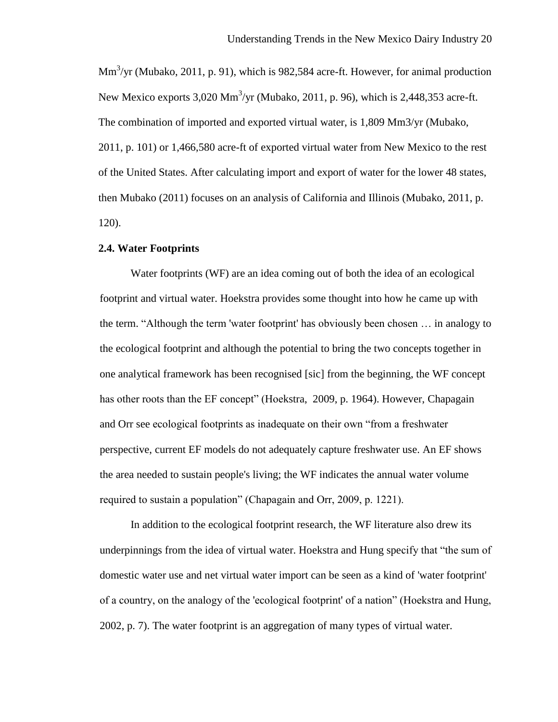$\text{Mm}^3/\text{yr}$  (Mubako, 2011, p. 91), which is 982,584 acre-ft. However, for animal production New Mexico exports  $3,020 \text{ Mm}^3/\text{yr}$  (Mubako, 2011, p. 96), which is 2,448,353 acre-ft. The combination of imported and exported virtual water, is 1,809 Mm3/yr (Mubako, 2011, p. 101) or 1,466,580 acre-ft of exported virtual water from New Mexico to the rest of the United States. After calculating import and export of water for the lower 48 states, then Mubako (2011) focuses on an analysis of California and Illinois (Mubako, 2011, p. 120).

### **2.4. Water Footprints**

Water footprints (WF) are an idea coming out of both the idea of an ecological footprint and virtual water. Hoekstra provides some thought into how he came up with the term. "Although the term 'water footprint' has obviously been chosen … in analogy to the ecological footprint and although the potential to bring the two concepts together in one analytical framework has been recognised [sic] from the beginning, the WF concept has other roots than the EF concept" (Hoekstra, 2009, p. 1964). However, Chapagain and Orr see ecological footprints as inadequate on their own "from a freshwater perspective, current EF models do not adequately capture freshwater use. An EF shows the area needed to sustain people's living; the WF indicates the annual water volume required to sustain a population" (Chapagain and Orr, 2009, p. 1221).

In addition to the ecological footprint research, the WF literature also drew its underpinnings from the idea of virtual water. Hoekstra and Hung specify that "the sum of domestic water use and net virtual water import can be seen as a kind of 'water footprint' of a country, on the analogy of the 'ecological footprint' of a nation" (Hoekstra and Hung, 2002, p. 7). The water footprint is an aggregation of many types of virtual water.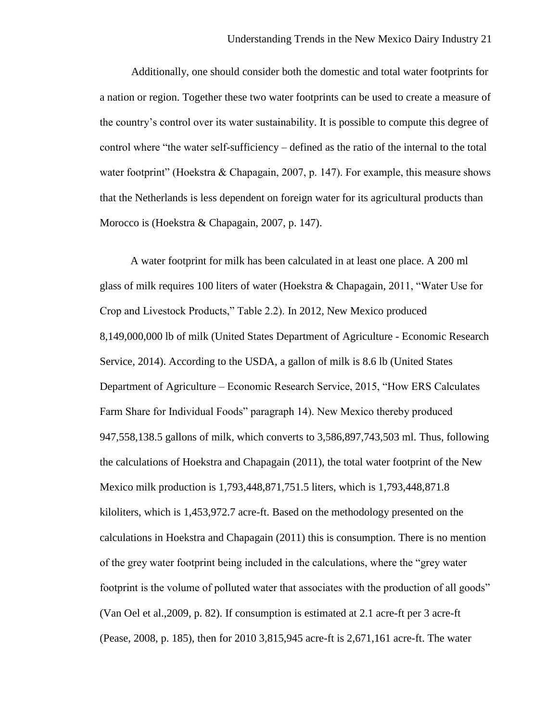Additionally, one should consider both the domestic and total water footprints for a nation or region. Together these two water footprints can be used to create a measure of the country's control over its water sustainability. It is possible to compute this degree of control where "the water self-sufficiency – defined as the ratio of the internal to the total water footprint" (Hoekstra & Chapagain, 2007, p. 147). For example, this measure shows that the Netherlands is less dependent on foreign water for its agricultural products than Morocco is (Hoekstra & Chapagain, 2007, p. 147).

A water footprint for milk has been calculated in at least one place. A 200 ml glass of milk requires 100 liters of water (Hoekstra & Chapagain, 2011, "Water Use for Crop and Livestock Products," Table 2.2). In 2012, New Mexico produced 8,149,000,000 lb of milk (United States Department of Agriculture - Economic Research Service, 2014). According to the USDA, a gallon of milk is 8.6 lb (United States Department of Agriculture – Economic Research Service, 2015, "How ERS Calculates Farm Share for Individual Foods" paragraph 14). New Mexico thereby produced 947,558,138.5 gallons of milk, which converts to 3,586,897,743,503 ml. Thus, following the calculations of Hoekstra and Chapagain (2011), the total water footprint of the New Mexico milk production is 1,793,448,871,751.5 liters, which is 1,793,448,871.8 kiloliters, which is 1,453,972.7 acre-ft. Based on the methodology presented on the calculations in Hoekstra and Chapagain (2011) this is consumption. There is no mention of the grey water footprint being included in the calculations, where the "grey water footprint is the volume of polluted water that associates with the production of all goods" (Van Oel et al.,2009, p. 82). If consumption is estimated at 2.1 acre-ft per 3 acre-ft (Pease, 2008, p. 185), then for 2010 3,815,945 acre-ft is 2,671,161 acre-ft. The water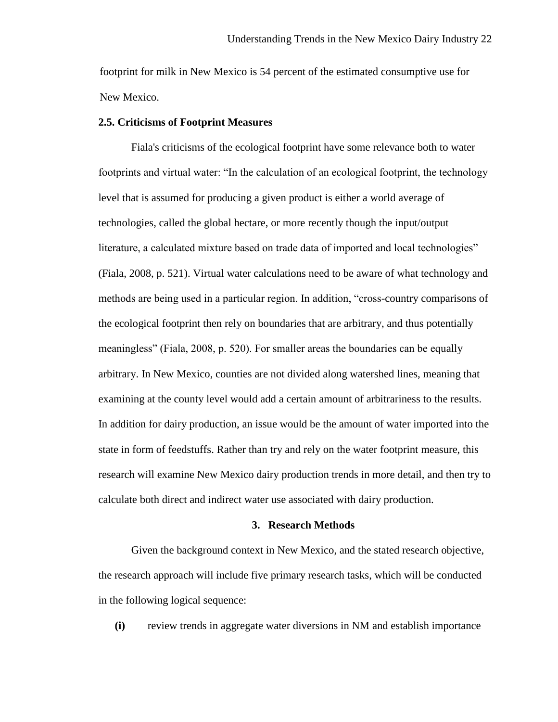footprint for milk in New Mexico is 54 percent of the estimated consumptive use for New Mexico.

## **2.5. Criticisms of Footprint Measures**

Fiala's criticisms of the ecological footprint have some relevance both to water footprints and virtual water: "In the calculation of an ecological footprint, the technology level that is assumed for producing a given product is either a world average of technologies, called the global hectare, or more recently though the input/output literature, a calculated mixture based on trade data of imported and local technologies" (Fiala, 2008, p. 521). Virtual water calculations need to be aware of what technology and methods are being used in a particular region. In addition, "cross-country comparisons of the ecological footprint then rely on boundaries that are arbitrary, and thus potentially meaningless" (Fiala, 2008, p. 520). For smaller areas the boundaries can be equally arbitrary. In New Mexico, counties are not divided along watershed lines, meaning that examining at the county level would add a certain amount of arbitrariness to the results. In addition for dairy production, an issue would be the amount of water imported into the state in form of feedstuffs. Rather than try and rely on the water footprint measure, this research will examine New Mexico dairy production trends in more detail, and then try to calculate both direct and indirect water use associated with dairy production.

#### **3. Research Methods**

Given the background context in New Mexico, and the stated research objective, the research approach will include five primary research tasks, which will be conducted in the following logical sequence:

**(i)** review trends in aggregate water diversions in NM and establish importance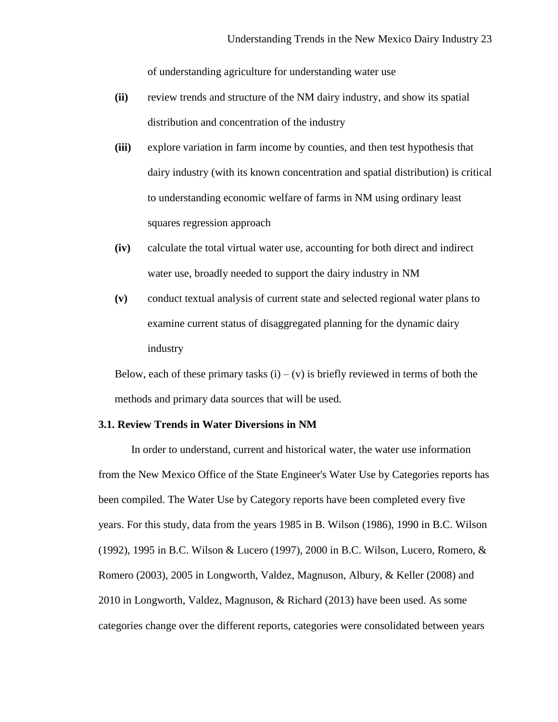of understanding agriculture for understanding water use

- **(ii)** review trends and structure of the NM dairy industry, and show its spatial distribution and concentration of the industry
- **(iii)** explore variation in farm income by counties, and then test hypothesis that dairy industry (with its known concentration and spatial distribution) is critical to understanding economic welfare of farms in NM using ordinary least squares regression approach
- **(iv)** calculate the total virtual water use, accounting for both direct and indirect water use, broadly needed to support the dairy industry in NM
- **(v)** conduct textual analysis of current state and selected regional water plans to examine current status of disaggregated planning for the dynamic dairy industry

Below, each of these primary tasks  $(i) - (v)$  is briefly reviewed in terms of both the methods and primary data sources that will be used.

## **3.1. Review Trends in Water Diversions in NM**

In order to understand, current and historical water, the water use information from the New Mexico Office of the State Engineer's Water Use by Categories reports has been compiled. The Water Use by Category reports have been completed every five years. For this study, data from the years 1985 in B. Wilson (1986), 1990 in B.C. Wilson (1992), 1995 in B.C. Wilson & Lucero (1997), 2000 in B.C. Wilson, Lucero, Romero, & Romero (2003), 2005 in Longworth, Valdez, Magnuson, Albury, & Keller (2008) and 2010 in Longworth, Valdez, Magnuson, & Richard (2013) have been used. As some categories change over the different reports, categories were consolidated between years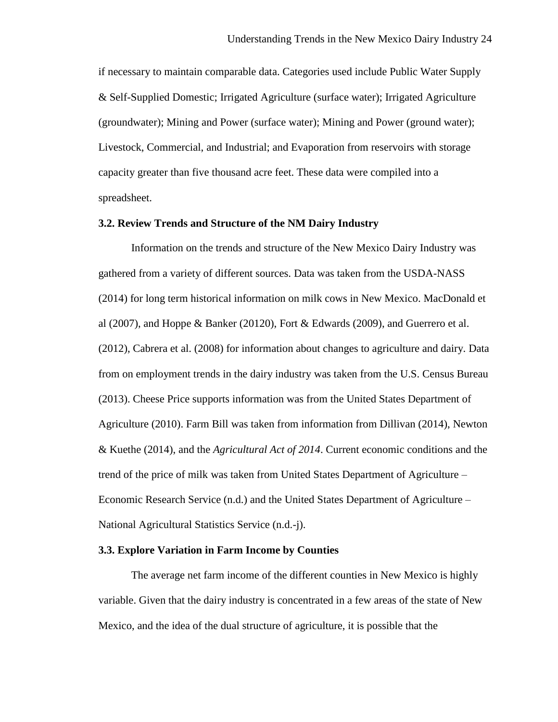if necessary to maintain comparable data. Categories used include Public Water Supply & Self-Supplied Domestic; Irrigated Agriculture (surface water); Irrigated Agriculture (groundwater); Mining and Power (surface water); Mining and Power (ground water); Livestock, Commercial, and Industrial; and Evaporation from reservoirs with storage capacity greater than five thousand acre feet. These data were compiled into a spreadsheet.

## **3.2. Review Trends and Structure of the NM Dairy Industry**

Information on the trends and structure of the New Mexico Dairy Industry was gathered from a variety of different sources. Data was taken from the USDA-NASS (2014) for long term historical information on milk cows in New Mexico. MacDonald et al (2007), and Hoppe  $\&$  Banker (20120), Fort  $\&$  Edwards (2009), and Guerrero et al. (2012), Cabrera et al. (2008) for information about changes to agriculture and dairy. Data from on employment trends in the dairy industry was taken from the U.S. Census Bureau (2013). Cheese Price supports information was from the United States Department of Agriculture (2010). Farm Bill was taken from information from Dillivan (2014), Newton & Kuethe (2014), and the *Agricultural Act of 2014*. Current economic conditions and the trend of the price of milk was taken from United States Department of Agriculture – Economic Research Service (n.d.) and the United States Department of Agriculture – National Agricultural Statistics Service (n.d.-j).

## **3.3. Explore Variation in Farm Income by Counties**

The average net farm income of the different counties in New Mexico is highly variable. Given that the dairy industry is concentrated in a few areas of the state of New Mexico, and the idea of the dual structure of agriculture, it is possible that the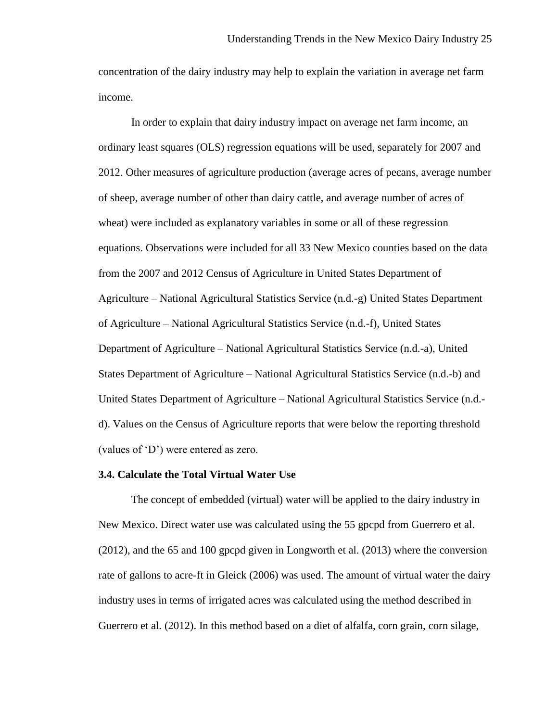concentration of the dairy industry may help to explain the variation in average net farm income.

In order to explain that dairy industry impact on average net farm income, an ordinary least squares (OLS) regression equations will be used, separately for 2007 and 2012. Other measures of agriculture production (average acres of pecans, average number of sheep, average number of other than dairy cattle, and average number of acres of wheat) were included as explanatory variables in some or all of these regression equations. Observations were included for all 33 New Mexico counties based on the data from the 2007 and 2012 Census of Agriculture in United States Department of Agriculture – National Agricultural Statistics Service (n.d.-g) United States Department of Agriculture – National Agricultural Statistics Service (n.d.-f), United States Department of Agriculture – National Agricultural Statistics Service (n.d.-a), United States Department of Agriculture – National Agricultural Statistics Service (n.d.-b) and United States Department of Agriculture – National Agricultural Statistics Service (n.d. d). Values on the Census of Agriculture reports that were below the reporting threshold (values of 'D') were entered as zero.

#### **3.4. Calculate the Total Virtual Water Use**

The concept of embedded (virtual) water will be applied to the dairy industry in New Mexico. Direct water use was calculated using the 55 gpcpd from Guerrero et al. (2012), and the 65 and 100 gpcpd given in Longworth et al. (2013) where the conversion rate of gallons to acre-ft in Gleick (2006) was used. The amount of virtual water the dairy industry uses in terms of irrigated acres was calculated using the method described in Guerrero et al. (2012). In this method based on a diet of alfalfa, corn grain, corn silage,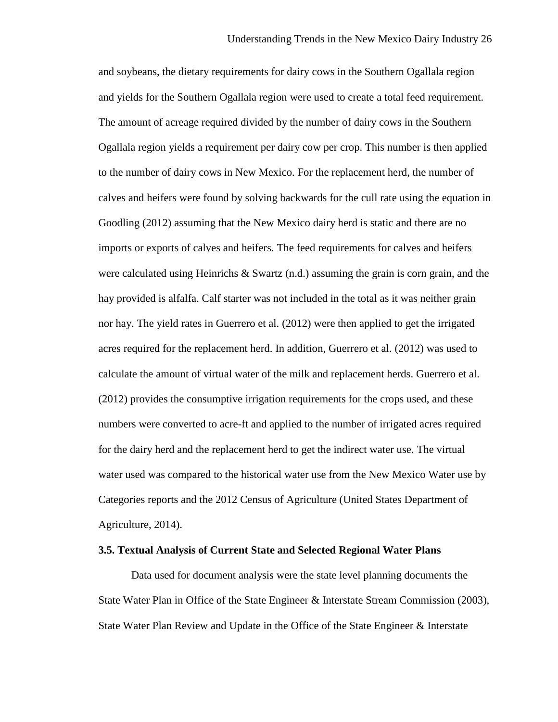and soybeans, the dietary requirements for dairy cows in the Southern Ogallala region and yields for the Southern Ogallala region were used to create a total feed requirement. The amount of acreage required divided by the number of dairy cows in the Southern Ogallala region yields a requirement per dairy cow per crop. This number is then applied to the number of dairy cows in New Mexico. For the replacement herd, the number of calves and heifers were found by solving backwards for the cull rate using the equation in Goodling (2012) assuming that the New Mexico dairy herd is static and there are no imports or exports of calves and heifers. The feed requirements for calves and heifers were calculated using Heinrichs  $\&$  Swartz (n.d.) assuming the grain is corn grain, and the hay provided is alfalfa. Calf starter was not included in the total as it was neither grain nor hay. The yield rates in Guerrero et al. (2012) were then applied to get the irrigated acres required for the replacement herd. In addition, Guerrero et al. (2012) was used to calculate the amount of virtual water of the milk and replacement herds. Guerrero et al. (2012) provides the consumptive irrigation requirements for the crops used, and these numbers were converted to acre-ft and applied to the number of irrigated acres required for the dairy herd and the replacement herd to get the indirect water use. The virtual water used was compared to the historical water use from the New Mexico Water use by Categories reports and the 2012 Census of Agriculture (United States Department of Agriculture, 2014).

## **3.5. Textual Analysis of Current State and Selected Regional Water Plans**

Data used for document analysis were the state level planning documents the State Water Plan in Office of the State Engineer & Interstate Stream Commission (2003), State Water Plan Review and Update in the Office of the State Engineer & Interstate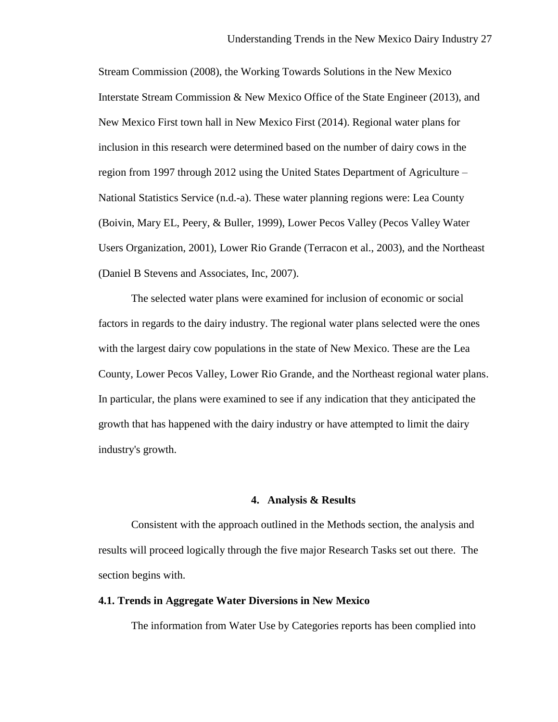Stream Commission (2008), the Working Towards Solutions in the New Mexico Interstate Stream Commission & New Mexico Office of the State Engineer (2013), and New Mexico First town hall in New Mexico First (2014). Regional water plans for inclusion in this research were determined based on the number of dairy cows in the region from 1997 through 2012 using the United States Department of Agriculture – National Statistics Service (n.d.-a). These water planning regions were: Lea County (Boivin, Mary EL, Peery, & Buller, 1999), Lower Pecos Valley (Pecos Valley Water Users Organization, 2001), Lower Rio Grande (Terracon et al., 2003), and the Northeast (Daniel B Stevens and Associates, Inc, 2007).

The selected water plans were examined for inclusion of economic or social factors in regards to the dairy industry. The regional water plans selected were the ones with the largest dairy cow populations in the state of New Mexico. These are the Lea County, Lower Pecos Valley, Lower Rio Grande, and the Northeast regional water plans. In particular, the plans were examined to see if any indication that they anticipated the growth that has happened with the dairy industry or have attempted to limit the dairy industry's growth.

## **4. Analysis & Results**

Consistent with the approach outlined in the Methods section, the analysis and results will proceed logically through the five major Research Tasks set out there. The section begins with.

## **4.1. Trends in Aggregate Water Diversions in New Mexico**

The information from Water Use by Categories reports has been complied into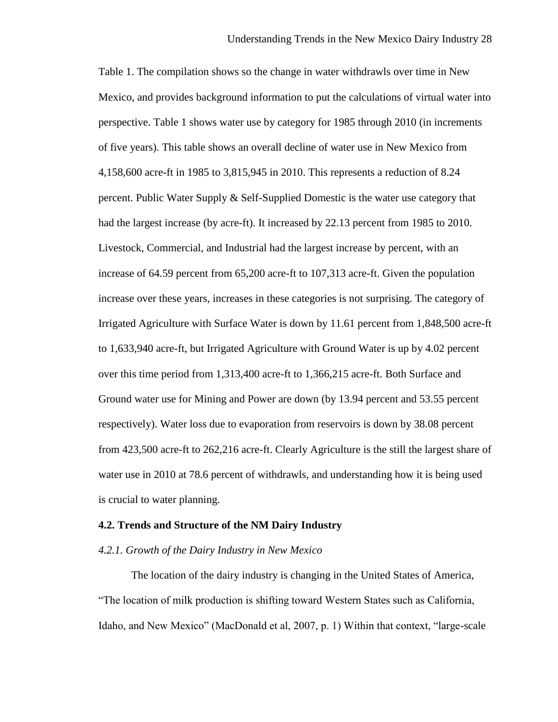Table 1. The compilation shows so the change in water withdrawls over time in New Mexico, and provides background information to put the calculations of virtual water into perspective. Table 1 shows water use by category for 1985 through 2010 (in increments of five years). This table shows an overall decline of water use in New Mexico from 4,158,600 acre-ft in 1985 to 3,815,945 in 2010. This represents a reduction of 8.24 percent. Public Water Supply & Self-Supplied Domestic is the water use category that had the largest increase (by acre-ft). It increased by 22.13 percent from 1985 to 2010. Livestock, Commercial, and Industrial had the largest increase by percent, with an increase of 64.59 percent from 65,200 acre-ft to 107,313 acre-ft. Given the population increase over these years, increases in these categories is not surprising. The category of Irrigated Agriculture with Surface Water is down by 11.61 percent from 1,848,500 acre-ft to 1,633,940 acre-ft, but Irrigated Agriculture with Ground Water is up by 4.02 percent over this time period from 1,313,400 acre-ft to 1,366,215 acre-ft. Both Surface and Ground water use for Mining and Power are down (by 13.94 percent and 53.55 percent respectively). Water loss due to evaporation from reservoirs is down by 38.08 percent from 423,500 acre-ft to 262,216 acre-ft. Clearly Agriculture is the still the largest share of water use in 2010 at 78.6 percent of withdrawls, and understanding how it is being used is crucial to water planning.

#### **4.2. Trends and Structure of the NM Dairy Industry**

## *4.2.1. Growth of the Dairy Industry in New Mexico*

The location of the dairy industry is changing in the United States of America, "The location of milk production is shifting toward Western States such as California, Idaho, and New Mexico" (MacDonald et al, 2007, p. 1) Within that context, "large-scale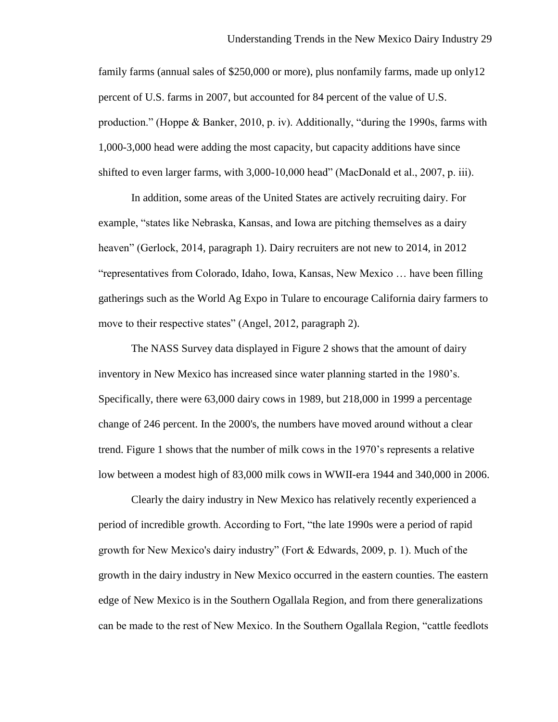family farms (annual sales of \$250,000 or more), plus nonfamily farms, made up only12 percent of U.S. farms in 2007, but accounted for 84 percent of the value of U.S. production." (Hoppe & Banker, 2010, p. iv). Additionally, "during the 1990s, farms with 1,000-3,000 head were adding the most capacity, but capacity additions have since shifted to even larger farms, with 3,000-10,000 head" (MacDonald et al., 2007, p. iii).

In addition, some areas of the United States are actively recruiting dairy. For example, "states like Nebraska, Kansas, and Iowa are pitching themselves as a dairy heaven" (Gerlock, 2014, paragraph 1). Dairy recruiters are not new to 2014, in 2012 "representatives from Colorado, Idaho, Iowa, Kansas, New Mexico … have been filling gatherings such as the World Ag Expo in Tulare to encourage California dairy farmers to move to their respective states" (Angel, 2012, paragraph 2).

The NASS Survey data displayed in Figure 2 shows that the amount of dairy inventory in New Mexico has increased since water planning started in the 1980's. Specifically, there were 63,000 dairy cows in 1989, but 218,000 in 1999 a percentage change of 246 percent. In the 2000's, the numbers have moved around without a clear trend. Figure 1 shows that the number of milk cows in the 1970's represents a relative low between a modest high of 83,000 milk cows in WWII-era 1944 and 340,000 in 2006.

Clearly the dairy industry in New Mexico has relatively recently experienced a period of incredible growth. According to Fort, "the late 1990s were a period of rapid growth for New Mexico's dairy industry" (Fort & Edwards, 2009, p. 1). Much of the growth in the dairy industry in New Mexico occurred in the eastern counties. The eastern edge of New Mexico is in the Southern Ogallala Region, and from there generalizations can be made to the rest of New Mexico. In the Southern Ogallala Region, "cattle feedlots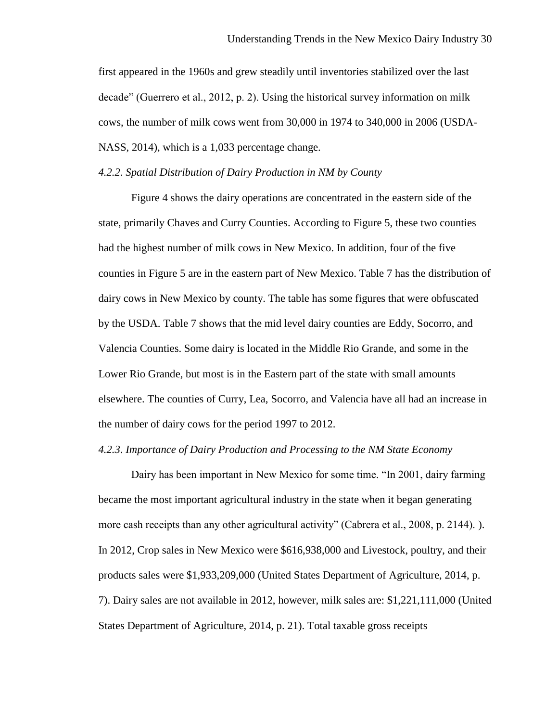first appeared in the 1960s and grew steadily until inventories stabilized over the last decade" (Guerrero et al., 2012, p. 2). Using the historical survey information on milk cows, the number of milk cows went from 30,000 in 1974 to 340,000 in 2006 (USDA-NASS, 2014), which is a 1,033 percentage change.

## *4.2.2. Spatial Distribution of Dairy Production in NM by County*

Figure 4 shows the dairy operations are concentrated in the eastern side of the state, primarily Chaves and Curry Counties. According to Figure 5, these two counties had the highest number of milk cows in New Mexico. In addition, four of the five counties in Figure 5 are in the eastern part of New Mexico. Table 7 has the distribution of dairy cows in New Mexico by county. The table has some figures that were obfuscated by the USDA. Table 7 shows that the mid level dairy counties are Eddy, Socorro, and Valencia Counties. Some dairy is located in the Middle Rio Grande, and some in the Lower Rio Grande, but most is in the Eastern part of the state with small amounts elsewhere. The counties of Curry, Lea, Socorro, and Valencia have all had an increase in the number of dairy cows for the period 1997 to 2012.

## *4.2.3. Importance of Dairy Production and Processing to the NM State Economy*

Dairy has been important in New Mexico for some time. "In 2001, dairy farming became the most important agricultural industry in the state when it began generating more cash receipts than any other agricultural activity" (Cabrera et al., 2008, p. 2144).). In 2012, Crop sales in New Mexico were \$616,938,000 and Livestock, poultry, and their products sales were \$1,933,209,000 (United States Department of Agriculture, 2014, p. 7). Dairy sales are not available in 2012, however, milk sales are: \$1,221,111,000 (United States Department of Agriculture, 2014, p. 21). Total taxable gross receipts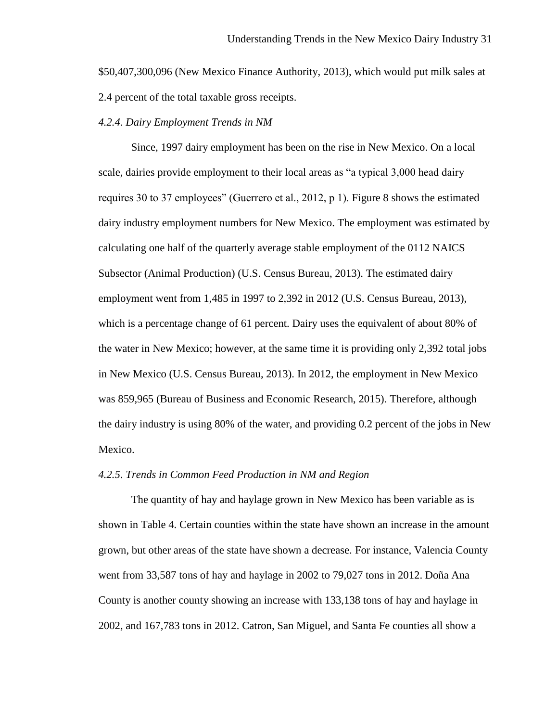\$50,407,300,096 (New Mexico Finance Authority, 2013), which would put milk sales at 2.4 percent of the total taxable gross receipts.

## *4.2.4. Dairy Employment Trends in NM*

Since, 1997 dairy employment has been on the rise in New Mexico. On a local scale, dairies provide employment to their local areas as "a typical 3,000 head dairy requires 30 to 37 employees" (Guerrero et al., 2012, p 1). Figure 8 shows the estimated dairy industry employment numbers for New Mexico. The employment was estimated by calculating one half of the quarterly average stable employment of the 0112 NAICS Subsector (Animal Production) (U.S. Census Bureau, 2013). The estimated dairy employment went from 1,485 in 1997 to 2,392 in 2012 (U.S. Census Bureau, 2013), which is a percentage change of 61 percent. Dairy uses the equivalent of about 80% of the water in New Mexico; however, at the same time it is providing only 2,392 total jobs in New Mexico (U.S. Census Bureau, 2013). In 2012, the employment in New Mexico was 859,965 (Bureau of Business and Economic Research, 2015). Therefore, although the dairy industry is using 80% of the water, and providing 0.2 percent of the jobs in New Mexico.

#### *4.2.5. Trends in Common Feed Production in NM and Region*

The quantity of hay and haylage grown in New Mexico has been variable as is shown in Table 4. Certain counties within the state have shown an increase in the amount grown, but other areas of the state have shown a decrease. For instance, Valencia County went from 33,587 tons of hay and haylage in 2002 to 79,027 tons in 2012. Doña Ana County is another county showing an increase with 133,138 tons of hay and haylage in 2002, and 167,783 tons in 2012. Catron, San Miguel, and Santa Fe counties all show a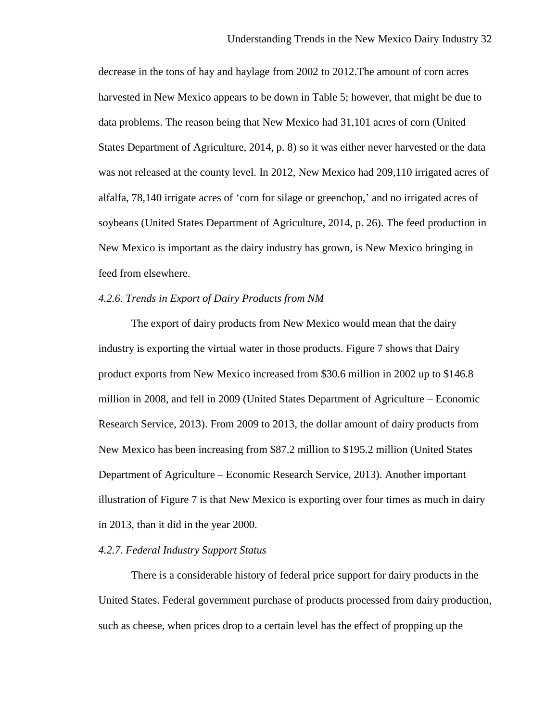decrease in the tons of hay and haylage from 2002 to 2012.The amount of corn acres harvested in New Mexico appears to be down in Table 5; however, that might be due to data problems. The reason being that New Mexico had 31,101 acres of corn (United States Department of Agriculture, 2014, p. 8) so it was either never harvested or the data was not released at the county level. In 2012, New Mexico had 209,110 irrigated acres of alfalfa, 78,140 irrigate acres of 'corn for silage or greenchop,' and no irrigated acres of soybeans (United States Department of Agriculture, 2014, p. 26). The feed production in New Mexico is important as the dairy industry has grown, is New Mexico bringing in feed from elsewhere.

## *4.2.6. Trends in Export of Dairy Products from NM*

The export of dairy products from New Mexico would mean that the dairy industry is exporting the virtual water in those products. Figure 7 shows that Dairy product exports from New Mexico increased from \$30.6 million in 2002 up to \$146.8 million in 2008, and fell in 2009 (United States Department of Agriculture – Economic Research Service, 2013). From 2009 to 2013, the dollar amount of dairy products from New Mexico has been increasing from \$87.2 million to \$195.2 million (United States Department of Agriculture – Economic Research Service, 2013). Another important illustration of Figure 7 is that New Mexico is exporting over four times as much in dairy in 2013, than it did in the year 2000.

## *4.2.7. Federal Industry Support Status*

There is a considerable history of federal price support for dairy products in the United States. Federal government purchase of products processed from dairy production, such as cheese, when prices drop to a certain level has the effect of propping up the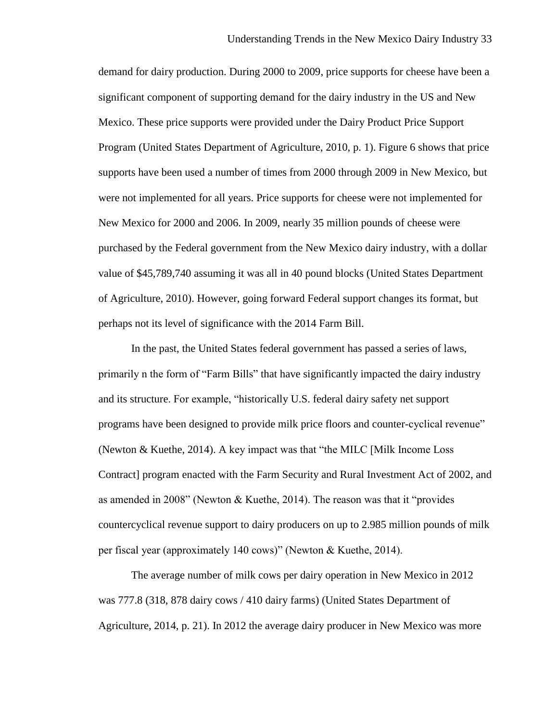demand for dairy production. During 2000 to 2009, price supports for cheese have been a significant component of supporting demand for the dairy industry in the US and New Mexico. These price supports were provided under the Dairy Product Price Support Program (United States Department of Agriculture, 2010, p. 1). Figure 6 shows that price supports have been used a number of times from 2000 through 2009 in New Mexico, but were not implemented for all years. Price supports for cheese were not implemented for New Mexico for 2000 and 2006. In 2009, nearly 35 million pounds of cheese were purchased by the Federal government from the New Mexico dairy industry, with a dollar value of \$45,789,740 assuming it was all in 40 pound blocks (United States Department of Agriculture, 2010). However, going forward Federal support changes its format, but perhaps not its level of significance with the 2014 Farm Bill.

In the past, the United States federal government has passed a series of laws, primarily n the form of "Farm Bills" that have significantly impacted the dairy industry and its structure. For example, "historically U.S. federal dairy safety net support programs have been designed to provide milk price floors and counter-cyclical revenue" (Newton & Kuethe, 2014). A key impact was that "the MILC [Milk Income Loss Contract] program enacted with the Farm Security and Rural Investment Act of 2002, and as amended in 2008" (Newton & Kuethe, 2014). The reason was that it "provides countercyclical revenue support to dairy producers on up to 2.985 million pounds of milk per fiscal year (approximately 140 cows)" (Newton & Kuethe, 2014).

The average number of milk cows per dairy operation in New Mexico in 2012 was 777.8 (318, 878 dairy cows / 410 dairy farms) (United States Department of Agriculture, 2014, p. 21). In 2012 the average dairy producer in New Mexico was more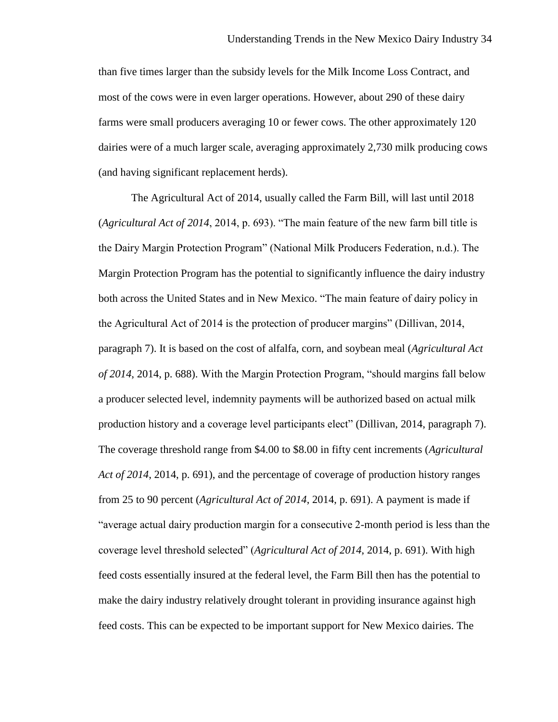than five times larger than the subsidy levels for the Milk Income Loss Contract, and most of the cows were in even larger operations. However, about 290 of these dairy farms were small producers averaging 10 or fewer cows. The other approximately 120 dairies were of a much larger scale, averaging approximately 2,730 milk producing cows (and having significant replacement herds).

The Agricultural Act of 2014, usually called the Farm Bill, will last until 2018 (*Agricultural Act of 2014*, 2014, p. 693). "The main feature of the new farm bill title is the Dairy Margin Protection Program" (National Milk Producers Federation, n.d.). The Margin Protection Program has the potential to significantly influence the dairy industry both across the United States and in New Mexico. "The main feature of dairy policy in the Agricultural Act of 2014 is the protection of producer margins" (Dillivan, 2014, paragraph 7). It is based on the cost of alfalfa, corn, and soybean meal (*Agricultural Act of 2014*, 2014, p. 688). With the Margin Protection Program, "should margins fall below a producer selected level, indemnity payments will be authorized based on actual milk production history and a coverage level participants elect" (Dillivan, 2014, paragraph 7). The coverage threshold range from \$4.00 to \$8.00 in fifty cent increments (*Agricultural Act of 2014*, 2014, p. 691), and the percentage of coverage of production history ranges from 25 to 90 percent (*Agricultural Act of 2014*, 2014, p. 691). A payment is made if "average actual dairy production margin for a consecutive 2-month period is less than the coverage level threshold selected" (*Agricultural Act of 2014*, 2014, p. 691). With high feed costs essentially insured at the federal level, the Farm Bill then has the potential to make the dairy industry relatively drought tolerant in providing insurance against high feed costs. This can be expected to be important support for New Mexico dairies. The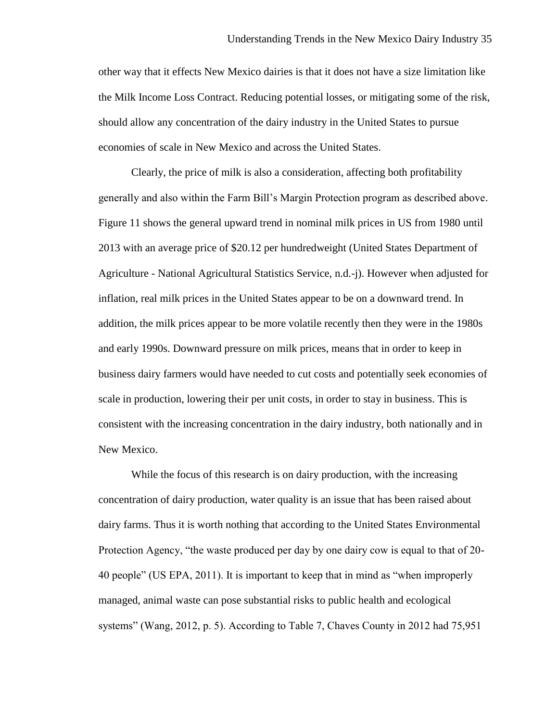other way that it effects New Mexico dairies is that it does not have a size limitation like the Milk Income Loss Contract. Reducing potential losses, or mitigating some of the risk, should allow any concentration of the dairy industry in the United States to pursue economies of scale in New Mexico and across the United States.

Clearly, the price of milk is also a consideration, affecting both profitability generally and also within the Farm Bill's Margin Protection program as described above. Figure 11 shows the general upward trend in nominal milk prices in US from 1980 until 2013 with an average price of \$20.12 per hundredweight (United States Department of Agriculture - National Agricultural Statistics Service, n.d.-j). However when adjusted for inflation, real milk prices in the United States appear to be on a downward trend. In addition, the milk prices appear to be more volatile recently then they were in the 1980s and early 1990s. Downward pressure on milk prices, means that in order to keep in business dairy farmers would have needed to cut costs and potentially seek economies of scale in production, lowering their per unit costs, in order to stay in business. This is consistent with the increasing concentration in the dairy industry, both nationally and in New Mexico.

While the focus of this research is on dairy production, with the increasing concentration of dairy production, water quality is an issue that has been raised about dairy farms. Thus it is worth nothing that according to the United States Environmental Protection Agency, "the waste produced per day by one dairy cow is equal to that of 20- 40 people" (US EPA, 2011). It is important to keep that in mind as "when improperly managed, animal waste can pose substantial risks to public health and ecological systems" (Wang, 2012, p. 5). According to Table 7, Chaves County in 2012 had 75,951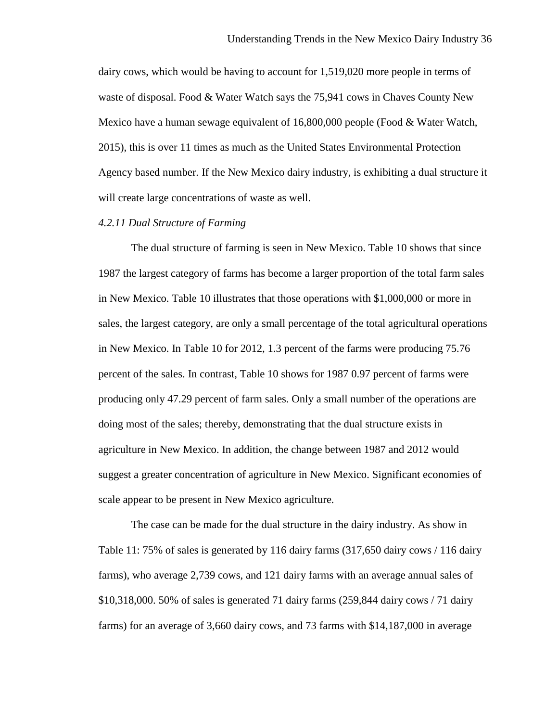dairy cows, which would be having to account for 1,519,020 more people in terms of waste of disposal. Food & Water Watch says the 75,941 cows in Chaves County New Mexico have a human sewage equivalent of 16,800,000 people (Food & Water Watch, 2015), this is over 11 times as much as the United States Environmental Protection Agency based number. If the New Mexico dairy industry, is exhibiting a dual structure it will create large concentrations of waste as well.

# *4.2.11 Dual Structure of Farming*

The dual structure of farming is seen in New Mexico. Table 10 shows that since 1987 the largest category of farms has become a larger proportion of the total farm sales in New Mexico. Table 10 illustrates that those operations with \$1,000,000 or more in sales, the largest category, are only a small percentage of the total agricultural operations in New Mexico. In Table 10 for 2012, 1.3 percent of the farms were producing 75.76 percent of the sales. In contrast, Table 10 shows for 1987 0.97 percent of farms were producing only 47.29 percent of farm sales. Only a small number of the operations are doing most of the sales; thereby, demonstrating that the dual structure exists in agriculture in New Mexico. In addition, the change between 1987 and 2012 would suggest a greater concentration of agriculture in New Mexico. Significant economies of scale appear to be present in New Mexico agriculture.

The case can be made for the dual structure in the dairy industry. As show in Table 11: 75% of sales is generated by 116 dairy farms (317,650 dairy cows / 116 dairy farms), who average 2,739 cows, and 121 dairy farms with an average annual sales of \$10,318,000. 50% of sales is generated 71 dairy farms (259,844 dairy cows / 71 dairy farms) for an average of 3,660 dairy cows, and 73 farms with \$14,187,000 in average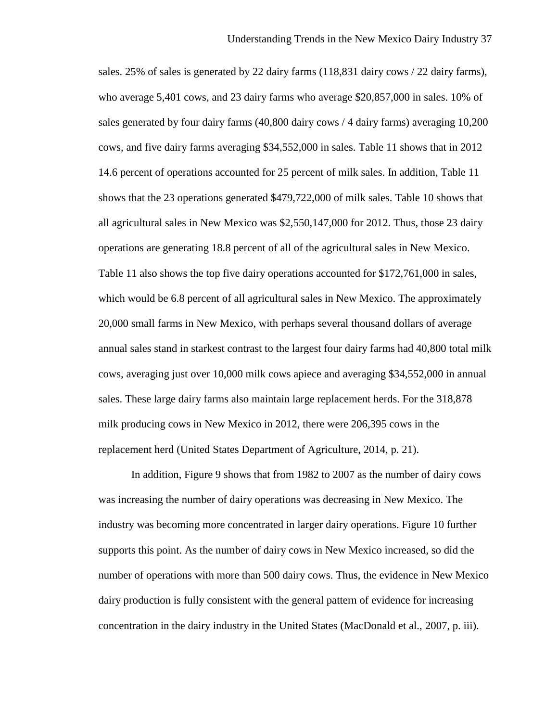sales. 25% of sales is generated by 22 dairy farms (118,831 dairy cows / 22 dairy farms), who average 5,401 cows, and 23 dairy farms who average \$20,857,000 in sales. 10% of sales generated by four dairy farms (40,800 dairy cows / 4 dairy farms) averaging 10,200 cows, and five dairy farms averaging \$34,552,000 in sales. Table 11 shows that in 2012 14.6 percent of operations accounted for 25 percent of milk sales. In addition, Table 11 shows that the 23 operations generated \$479,722,000 of milk sales. Table 10 shows that all agricultural sales in New Mexico was \$2,550,147,000 for 2012. Thus, those 23 dairy operations are generating 18.8 percent of all of the agricultural sales in New Mexico. Table 11 also shows the top five dairy operations accounted for \$172,761,000 in sales, which would be 6.8 percent of all agricultural sales in New Mexico. The approximately 20,000 small farms in New Mexico, with perhaps several thousand dollars of average annual sales stand in starkest contrast to the largest four dairy farms had 40,800 total milk cows, averaging just over 10,000 milk cows apiece and averaging \$34,552,000 in annual sales. These large dairy farms also maintain large replacement herds. For the 318,878 milk producing cows in New Mexico in 2012, there were 206,395 cows in the replacement herd (United States Department of Agriculture, 2014, p. 21).

In addition, Figure 9 shows that from 1982 to 2007 as the number of dairy cows was increasing the number of dairy operations was decreasing in New Mexico. The industry was becoming more concentrated in larger dairy operations. Figure 10 further supports this point. As the number of dairy cows in New Mexico increased, so did the number of operations with more than 500 dairy cows. Thus, the evidence in New Mexico dairy production is fully consistent with the general pattern of evidence for increasing concentration in the dairy industry in the United States (MacDonald et al., 2007, p. iii).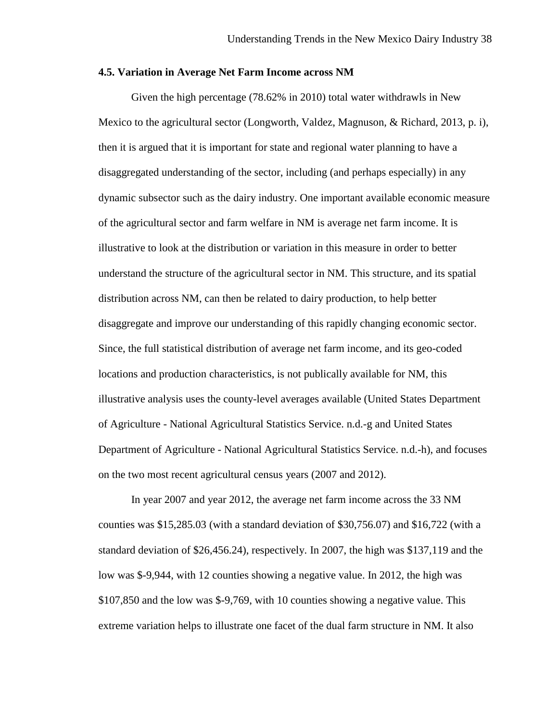### **4.5. Variation in Average Net Farm Income across NM**

Given the high percentage (78.62% in 2010) total water withdrawls in New Mexico to the agricultural sector (Longworth, Valdez, Magnuson, & Richard, 2013, p. i), then it is argued that it is important for state and regional water planning to have a disaggregated understanding of the sector, including (and perhaps especially) in any dynamic subsector such as the dairy industry. One important available economic measure of the agricultural sector and farm welfare in NM is average net farm income. It is illustrative to look at the distribution or variation in this measure in order to better understand the structure of the agricultural sector in NM. This structure, and its spatial distribution across NM, can then be related to dairy production, to help better disaggregate and improve our understanding of this rapidly changing economic sector. Since, the full statistical distribution of average net farm income, and its geo-coded locations and production characteristics, is not publically available for NM, this illustrative analysis uses the county-level averages available (United States Department of Agriculture - National Agricultural Statistics Service. n.d.-g and United States Department of Agriculture - National Agricultural Statistics Service. n.d.-h), and focuses on the two most recent agricultural census years (2007 and 2012).

In year 2007 and year 2012, the average net farm income across the 33 NM counties was \$15,285.03 (with a standard deviation of \$30,756.07) and \$16,722 (with a standard deviation of \$26,456.24), respectively. In 2007, the high was \$137,119 and the low was \$-9,944, with 12 counties showing a negative value. In 2012, the high was \$107,850 and the low was \$-9,769, with 10 counties showing a negative value. This extreme variation helps to illustrate one facet of the dual farm structure in NM. It also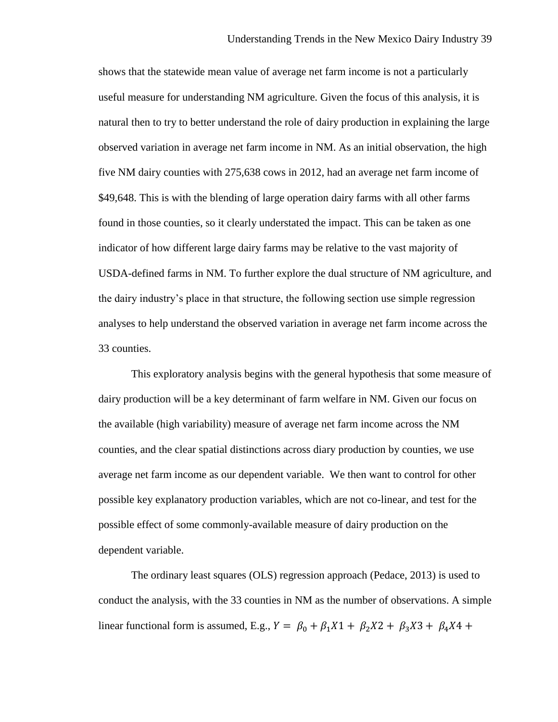shows that the statewide mean value of average net farm income is not a particularly useful measure for understanding NM agriculture. Given the focus of this analysis, it is natural then to try to better understand the role of dairy production in explaining the large observed variation in average net farm income in NM. As an initial observation, the high five NM dairy counties with 275,638 cows in 2012, had an average net farm income of \$49,648. This is with the blending of large operation dairy farms with all other farms found in those counties, so it clearly understated the impact. This can be taken as one indicator of how different large dairy farms may be relative to the vast majority of USDA-defined farms in NM. To further explore the dual structure of NM agriculture, and the dairy industry's place in that structure, the following section use simple regression analyses to help understand the observed variation in average net farm income across the 33 counties.

This exploratory analysis begins with the general hypothesis that some measure of dairy production will be a key determinant of farm welfare in NM. Given our focus on the available (high variability) measure of average net farm income across the NM counties, and the clear spatial distinctions across diary production by counties, we use average net farm income as our dependent variable. We then want to control for other possible key explanatory production variables, which are not co-linear, and test for the possible effect of some commonly-available measure of dairy production on the dependent variable.

The ordinary least squares (OLS) regression approach (Pedace, 2013) is used to conduct the analysis, with the 33 counties in NM as the number of observations. A simple linear functional form is assumed, E.g.,  $Y = \beta_0 + \beta_1 X_1 + \beta_2 X_2 + \beta_3 X_3 + \beta_4 X_4 +$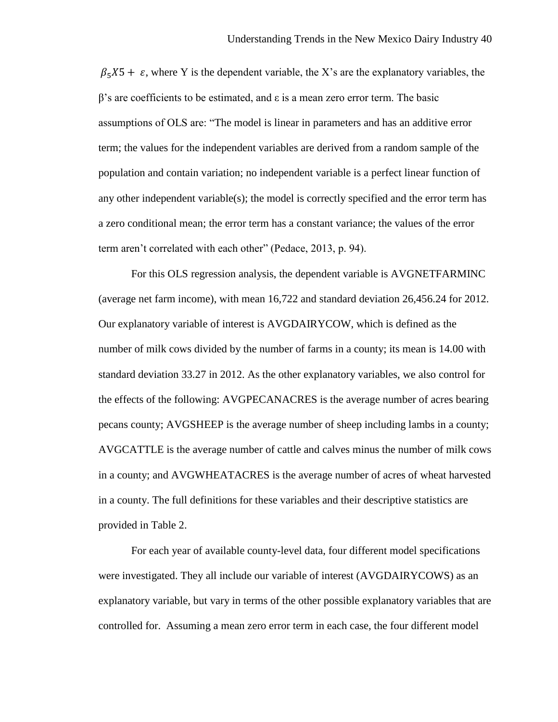$\beta_5 X_5 + \varepsilon$ , where Y is the dependent variable, the X's are the explanatory variables, the β's are coefficients to be estimated, and ε is a mean zero error term. The basic assumptions of OLS are: "The model is linear in parameters and has an additive error term; the values for the independent variables are derived from a random sample of the population and contain variation; no independent variable is a perfect linear function of any other independent variable(s); the model is correctly specified and the error term has a zero conditional mean; the error term has a constant variance; the values of the error term aren't correlated with each other" (Pedace, 2013, p. 94).

For this OLS regression analysis, the dependent variable is AVGNETFARMINC (average net farm income), with mean 16,722 and standard deviation 26,456.24 for 2012. Our explanatory variable of interest is AVGDAIRYCOW, which is defined as the number of milk cows divided by the number of farms in a county; its mean is 14.00 with standard deviation 33.27 in 2012. As the other explanatory variables, we also control for the effects of the following: AVGPECANACRES is the average number of acres bearing pecans county; AVGSHEEP is the average number of sheep including lambs in a county; AVGCATTLE is the average number of cattle and calves minus the number of milk cows in a county; and AVGWHEATACRES is the average number of acres of wheat harvested in a county. The full definitions for these variables and their descriptive statistics are provided in Table 2.

For each year of available county-level data, four different model specifications were investigated. They all include our variable of interest (AVGDAIRYCOWS) as an explanatory variable, but vary in terms of the other possible explanatory variables that are controlled for. Assuming a mean zero error term in each case, the four different model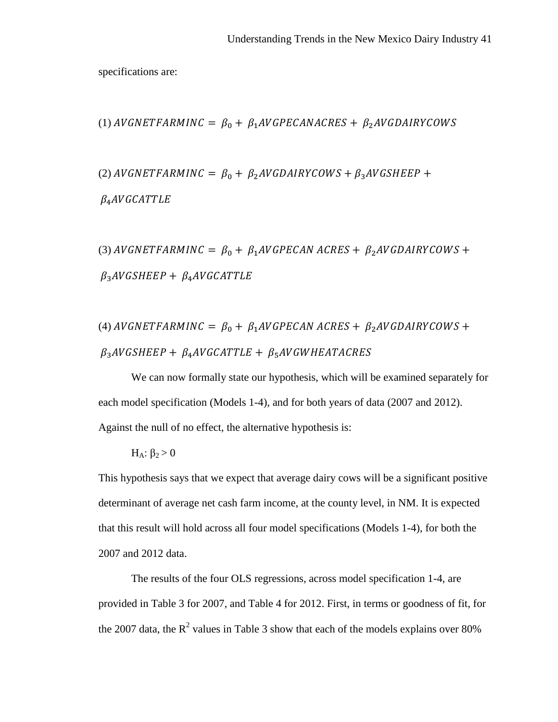specifications are:

(1) *AVGNETFARMINC* = 
$$
\beta_0 + \beta_1 AVGPECANACRES + \beta_2AVGDAIRYCOWS
$$

(2) AVGNETFARMINC =  $\beta_0 + \beta_2$ AVGDAIRYCOWS +  $\beta_3$ AVGSHEEP +  $\beta_4$ AVGCATTLE

(3) AVGNETFARMINC =  $\beta_0 + \beta_1 A V G P E C A N A C R E S + \beta_2 A V G D A I R Y C O W S +$  $\beta_3$ AVGSHEEP +  $\beta_4$ AVGCATTLE

(4) *AVGNETFARMINC* = 
$$
\beta_0
$$
 +  $\beta_1$ *AVGPECAN ACRES* +  $\beta_2$ *AVGDAIRYCOWS* +  
 $\beta_3$ *AVGSHEEP* +  $\beta_4$ *AVGCATTLE* +  $\beta_5$ *AVGWHEATACRES*

We can now formally state our hypothesis, which will be examined separately for each model specification (Models 1-4), and for both years of data (2007 and 2012). Against the null of no effect, the alternative hypothesis is:

$$
H_A: \beta_2\!>\!0
$$

This hypothesis says that we expect that average dairy cows will be a significant positive determinant of average net cash farm income, at the county level, in NM. It is expected that this result will hold across all four model specifications (Models 1-4), for both the 2007 and 2012 data.

The results of the four OLS regressions, across model specification 1-4, are provided in Table 3 for 2007, and Table 4 for 2012. First, in terms or goodness of fit, for the 2007 data, the  $R^2$  values in Table 3 show that each of the models explains over 80%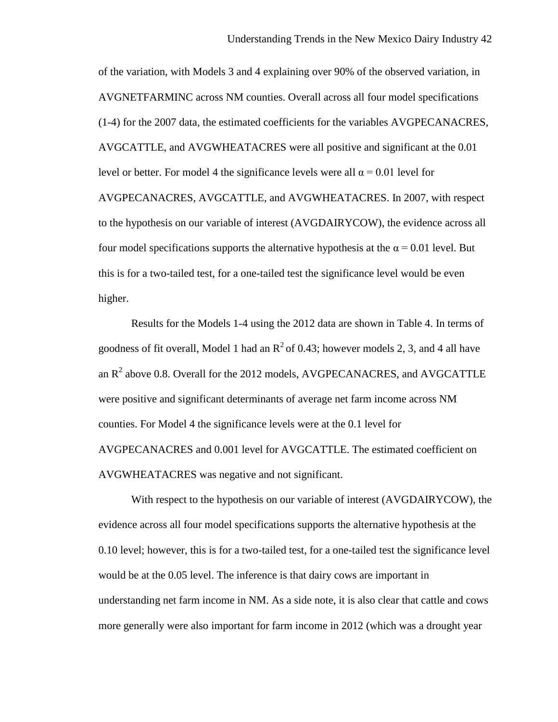of the variation, with Models 3 and 4 explaining over 90% of the observed variation, in AVGNETFARMINC across NM counties. Overall across all four model specifications (1-4) for the 2007 data, the estimated coefficients for the variables AVGPECANACRES, AVGCATTLE, and AVGWHEATACRES were all positive and significant at the 0.01 level or better. For model 4 the significance levels were all  $α = 0.01$  level for AVGPECANACRES, AVGCATTLE, and AVGWHEATACRES. In 2007, with respect to the hypothesis on our variable of interest (AVGDAIRYCOW), the evidence across all four model specifications supports the alternative hypothesis at the  $\alpha$  = 0.01 level. But this is for a two-tailed test, for a one-tailed test the significance level would be even higher.

Results for the Models 1-4 using the 2012 data are shown in Table 4. In terms of goodness of fit overall, Model 1 had an  $R^2$  of 0.43; however models 2, 3, and 4 all have an  $R<sup>2</sup>$  above 0.8. Overall for the 2012 models, AVGPECANACRES, and AVGCATTLE were positive and significant determinants of average net farm income across NM counties. For Model 4 the significance levels were at the 0.1 level for AVGPECANACRES and 0.001 level for AVGCATTLE. The estimated coefficient on AVGWHEATACRES was negative and not significant.

With respect to the hypothesis on our variable of interest (AVGDAIRYCOW), the evidence across all four model specifications supports the alternative hypothesis at the 0.10 level; however, this is for a two-tailed test, for a one-tailed test the significance level would be at the 0.05 level. The inference is that dairy cows are important in understanding net farm income in NM. As a side note, it is also clear that cattle and cows more generally were also important for farm income in 2012 (which was a drought year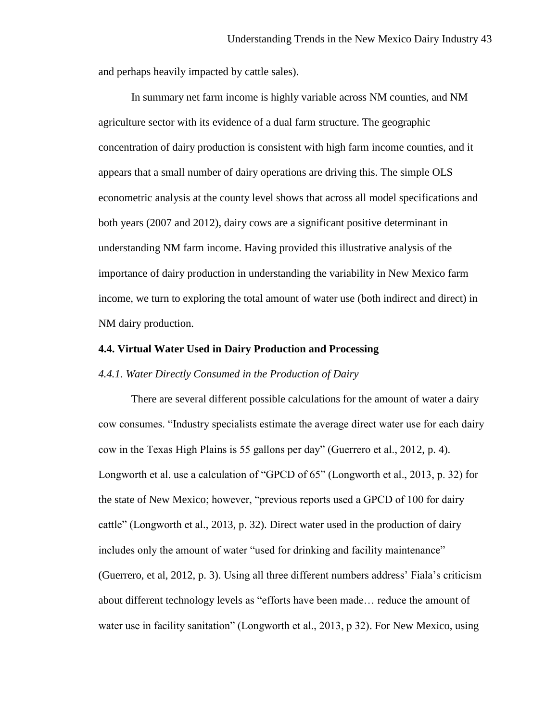and perhaps heavily impacted by cattle sales).

In summary net farm income is highly variable across NM counties, and NM agriculture sector with its evidence of a dual farm structure. The geographic concentration of dairy production is consistent with high farm income counties, and it appears that a small number of dairy operations are driving this. The simple OLS econometric analysis at the county level shows that across all model specifications and both years (2007 and 2012), dairy cows are a significant positive determinant in understanding NM farm income. Having provided this illustrative analysis of the importance of dairy production in understanding the variability in New Mexico farm income, we turn to exploring the total amount of water use (both indirect and direct) in NM dairy production.

# **4.4. Virtual Water Used in Dairy Production and Processing**

### *4.4.1. Water Directly Consumed in the Production of Dairy*

There are several different possible calculations for the amount of water a dairy cow consumes. "Industry specialists estimate the average direct water use for each dairy cow in the Texas High Plains is 55 gallons per day" (Guerrero et al., 2012, p. 4). Longworth et al. use a calculation of "GPCD of 65" (Longworth et al., 2013, p. 32) for the state of New Mexico; however, "previous reports used a GPCD of 100 for dairy cattle" (Longworth et al., 2013, p. 32). Direct water used in the production of dairy includes only the amount of water "used for drinking and facility maintenance" (Guerrero, et al, 2012, p. 3). Using all three different numbers address' Fiala's criticism about different technology levels as "efforts have been made… reduce the amount of water use in facility sanitation" (Longworth et al., 2013, p 32). For New Mexico, using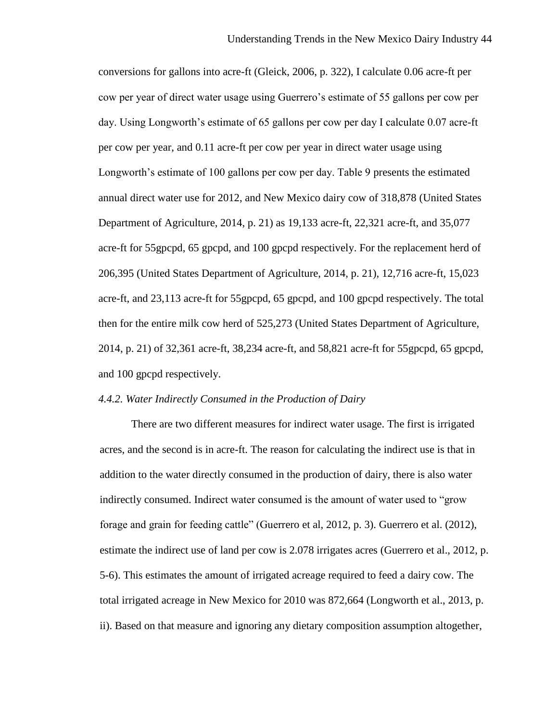conversions for gallons into acre-ft (Gleick, 2006, p. 322), I calculate 0.06 acre-ft per cow per year of direct water usage using Guerrero's estimate of 55 gallons per cow per day. Using Longworth's estimate of 65 gallons per cow per day I calculate 0.07 acre-ft per cow per year, and 0.11 acre-ft per cow per year in direct water usage using Longworth's estimate of 100 gallons per cow per day. Table 9 presents the estimated annual direct water use for 2012, and New Mexico dairy cow of 318,878 (United States Department of Agriculture, 2014, p. 21) as 19,133 acre-ft, 22,321 acre-ft, and 35,077 acre-ft for 55gpcpd, 65 gpcpd, and 100 gpcpd respectively. For the replacement herd of 206,395 (United States Department of Agriculture, 2014, p. 21), 12,716 acre-ft, 15,023 acre-ft, and 23,113 acre-ft for 55gpcpd, 65 gpcpd, and 100 gpcpd respectively. The total then for the entire milk cow herd of 525,273 (United States Department of Agriculture, 2014, p. 21) of 32,361 acre-ft, 38,234 acre-ft, and 58,821 acre-ft for 55gpcpd, 65 gpcpd, and 100 gpcpd respectively.

# *4.4.2. Water Indirectly Consumed in the Production of Dairy*

There are two different measures for indirect water usage. The first is irrigated acres, and the second is in acre-ft. The reason for calculating the indirect use is that in addition to the water directly consumed in the production of dairy, there is also water indirectly consumed. Indirect water consumed is the amount of water used to "grow forage and grain for feeding cattle" (Guerrero et al, 2012, p. 3). Guerrero et al. (2012), estimate the indirect use of land per cow is 2.078 irrigates acres (Guerrero et al., 2012, p. 5-6). This estimates the amount of irrigated acreage required to feed a dairy cow. The total irrigated acreage in New Mexico for 2010 was 872,664 (Longworth et al., 2013, p. ii). Based on that measure and ignoring any dietary composition assumption altogether,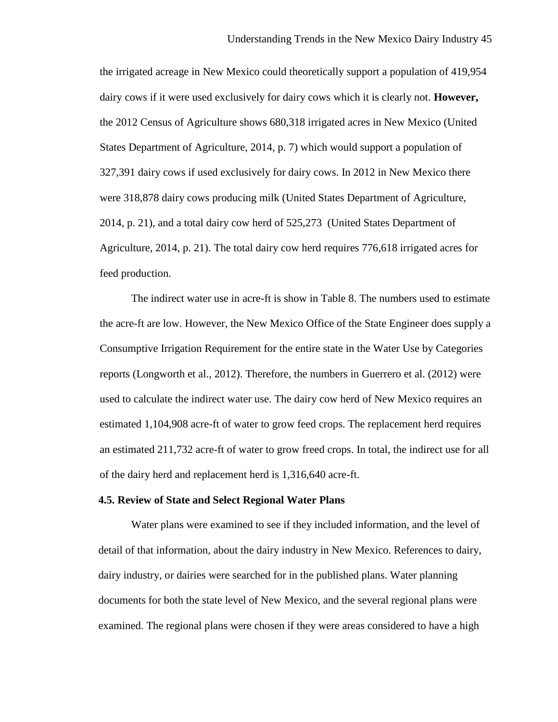the irrigated acreage in New Mexico could theoretically support a population of 419,954 dairy cows if it were used exclusively for dairy cows which it is clearly not. **However,**  the 2012 Census of Agriculture shows 680,318 irrigated acres in New Mexico (United States Department of Agriculture, 2014, p. 7) which would support a population of 327,391 dairy cows if used exclusively for dairy cows. In 2012 in New Mexico there were 318,878 dairy cows producing milk (United States Department of Agriculture, 2014, p. 21), and a total dairy cow herd of 525,273 (United States Department of Agriculture, 2014, p. 21). The total dairy cow herd requires 776,618 irrigated acres for feed production.

The indirect water use in acre-ft is show in Table 8. The numbers used to estimate the acre-ft are low. However, the New Mexico Office of the State Engineer does supply a Consumptive Irrigation Requirement for the entire state in the Water Use by Categories reports (Longworth et al., 2012). Therefore, the numbers in Guerrero et al. (2012) were used to calculate the indirect water use. The dairy cow herd of New Mexico requires an estimated 1,104,908 acre-ft of water to grow feed crops. The replacement herd requires an estimated 211,732 acre-ft of water to grow freed crops. In total, the indirect use for all of the dairy herd and replacement herd is 1,316,640 acre-ft.

#### **4.5. Review of State and Select Regional Water Plans**

Water plans were examined to see if they included information, and the level of detail of that information, about the dairy industry in New Mexico. References to dairy, dairy industry, or dairies were searched for in the published plans. Water planning documents for both the state level of New Mexico, and the several regional plans were examined. The regional plans were chosen if they were areas considered to have a high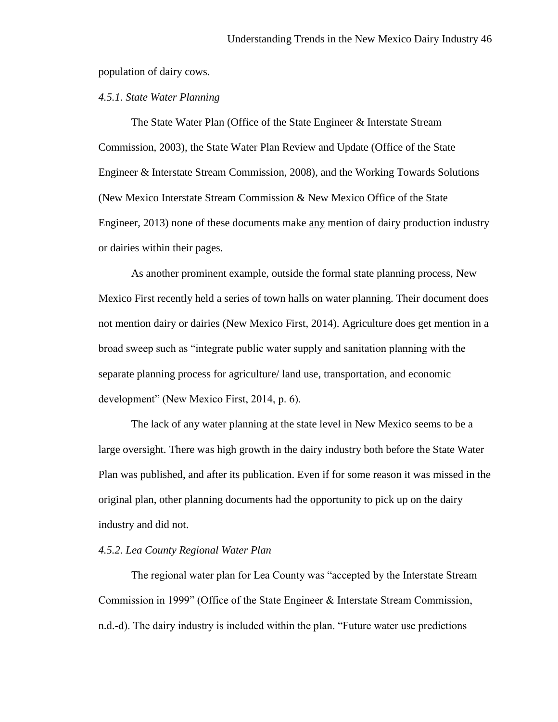population of dairy cows.

# *4.5.1. State Water Planning*

The State Water Plan (Office of the State Engineer & Interstate Stream Commission, 2003), the State Water Plan Review and Update (Office of the State Engineer & Interstate Stream Commission, 2008), and the Working Towards Solutions (New Mexico Interstate Stream Commission & New Mexico Office of the State Engineer, 2013) none of these documents make any mention of dairy production industry or dairies within their pages.

As another prominent example, outside the formal state planning process, New Mexico First recently held a series of town halls on water planning. Their document does not mention dairy or dairies (New Mexico First, 2014). Agriculture does get mention in a broad sweep such as "integrate public water supply and sanitation planning with the separate planning process for agriculture/ land use, transportation, and economic development" (New Mexico First, 2014, p. 6).

The lack of any water planning at the state level in New Mexico seems to be a large oversight. There was high growth in the dairy industry both before the State Water Plan was published, and after its publication. Even if for some reason it was missed in the original plan, other planning documents had the opportunity to pick up on the dairy industry and did not.

# *4.5.2. Lea County Regional Water Plan*

The regional water plan for Lea County was "accepted by the Interstate Stream Commission in 1999" (Office of the State Engineer & Interstate Stream Commission, n.d.-d). The dairy industry is included within the plan. "Future water use predictions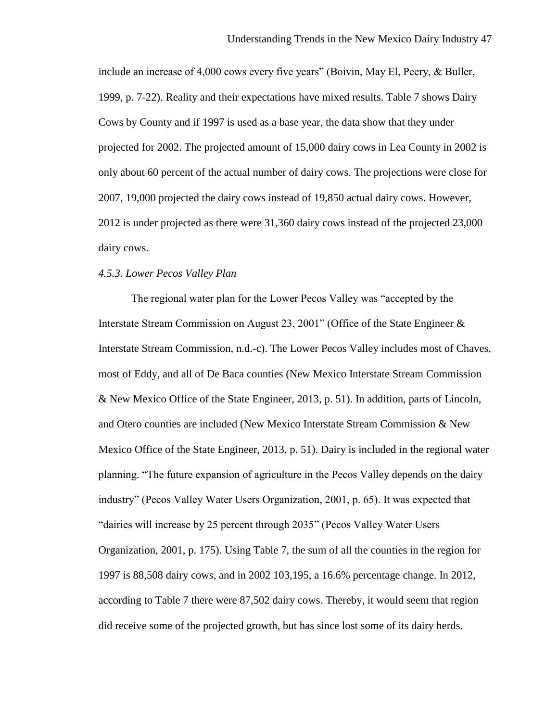include an increase of 4,000 cows every five years" (Boivin, May El, Peery, & Buller, 1999, p. 7-22). Reality and their expectations have mixed results. Table 7 shows Dairy Cows by County and if 1997 is used as a base year, the data show that they under projected for 2002. The projected amount of 15,000 dairy cows in Lea County in 2002 is only about 60 percent of the actual number of dairy cows. The projections were close for 2007, 19,000 projected the dairy cows instead of 19,850 actual dairy cows. However, 2012 is under projected as there were 31,360 dairy cows instead of the projected 23,000 dairy cows.

### *4.5.3. Lower Pecos Valley Plan*

The regional water plan for the Lower Pecos Valley was "accepted by the Interstate Stream Commission on August 23, 2001" (Office of the State Engineer & Interstate Stream Commission, n.d.-c). The Lower Pecos Valley includes most of Chaves, most of Eddy, and all of De Baca counties (New Mexico Interstate Stream Commission & New Mexico Office of the State Engineer, 2013, p. 51). In addition, parts of Lincoln, and Otero counties are included (New Mexico Interstate Stream Commission & New Mexico Office of the State Engineer, 2013, p. 51). Dairy is included in the regional water planning. "The future expansion of agriculture in the Pecos Valley depends on the dairy industry" (Pecos Valley Water Users Organization, 2001, p. 65). It was expected that "dairies will increase by 25 percent through 2035" (Pecos Valley Water Users Organization, 2001, p. 175). Using Table 7, the sum of all the counties in the region for 1997 is 88,508 dairy cows, and in 2002 103,195, a 16.6% percentage change. In 2012, according to Table 7 there were 87,502 dairy cows. Thereby, it would seem that region did receive some of the projected growth, but has since lost some of its dairy herds.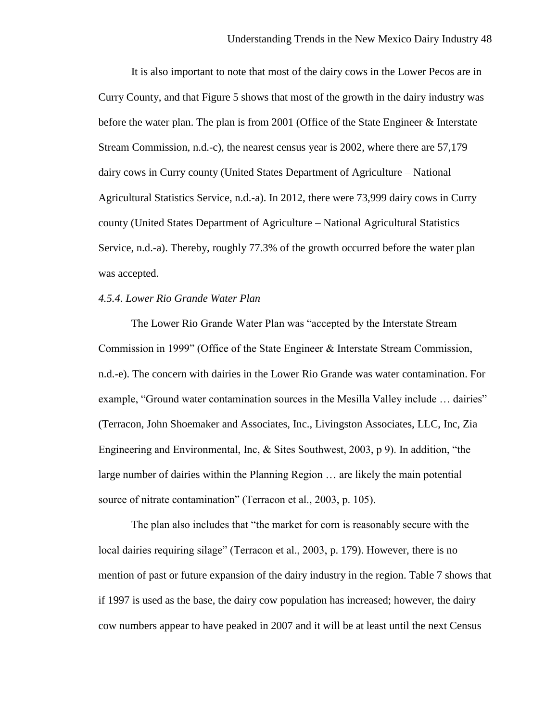It is also important to note that most of the dairy cows in the Lower Pecos are in Curry County, and that Figure 5 shows that most of the growth in the dairy industry was before the water plan. The plan is from 2001 (Office of the State Engineer & Interstate Stream Commission, n.d.-c), the nearest census year is 2002, where there are 57,179 dairy cows in Curry county (United States Department of Agriculture – National Agricultural Statistics Service, n.d.-a). In 2012, there were 73,999 dairy cows in Curry county (United States Department of Agriculture – National Agricultural Statistics Service, n.d.-a). Thereby, roughly 77.3% of the growth occurred before the water plan was accepted.

# *4.5.4. Lower Rio Grande Water Plan*

The Lower Rio Grande Water Plan was "accepted by the Interstate Stream Commission in 1999" (Office of the State Engineer & Interstate Stream Commission, n.d.-e). The concern with dairies in the Lower Rio Grande was water contamination. For example, "Ground water contamination sources in the Mesilla Valley include … dairies" (Terracon, John Shoemaker and Associates, Inc., Livingston Associates, LLC, Inc, Zia Engineering and Environmental, Inc, & Sites Southwest, 2003, p 9). In addition, "the large number of dairies within the Planning Region … are likely the main potential source of nitrate contamination" (Terracon et al., 2003, p. 105).

The plan also includes that "the market for corn is reasonably secure with the local dairies requiring silage" (Terracon et al., 2003, p. 179). However, there is no mention of past or future expansion of the dairy industry in the region. Table 7 shows that if 1997 is used as the base, the dairy cow population has increased; however, the dairy cow numbers appear to have peaked in 2007 and it will be at least until the next Census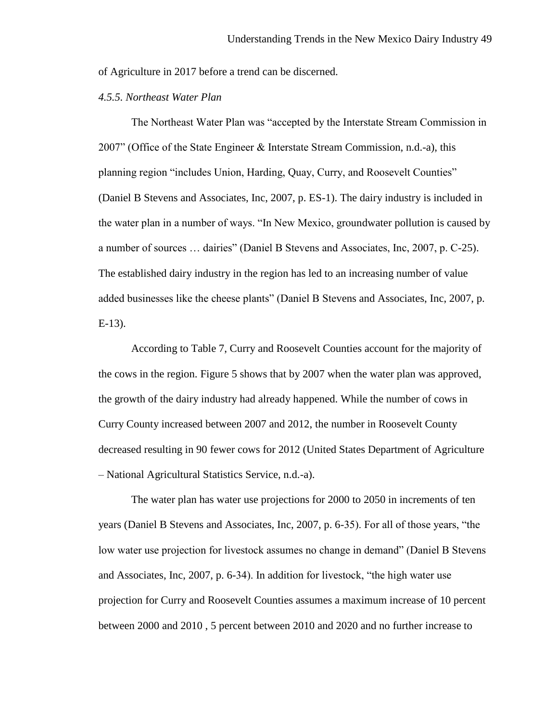of Agriculture in 2017 before a trend can be discerned.

# *4.5.5. Northeast Water Plan*

The Northeast Water Plan was "accepted by the Interstate Stream Commission in 2007" (Office of the State Engineer & Interstate Stream Commission, n.d.-a), this planning region "includes Union, Harding, Quay, Curry, and Roosevelt Counties" (Daniel B Stevens and Associates, Inc, 2007, p. ES-1). The dairy industry is included in the water plan in a number of ways. "In New Mexico, groundwater pollution is caused by a number of sources … dairies" (Daniel B Stevens and Associates, Inc, 2007, p. C-25). The established dairy industry in the region has led to an increasing number of value added businesses like the cheese plants" (Daniel B Stevens and Associates, Inc, 2007, p. E-13).

According to Table 7, Curry and Roosevelt Counties account for the majority of the cows in the region. Figure 5 shows that by 2007 when the water plan was approved, the growth of the dairy industry had already happened. While the number of cows in Curry County increased between 2007 and 2012, the number in Roosevelt County decreased resulting in 90 fewer cows for 2012 (United States Department of Agriculture – National Agricultural Statistics Service, n.d.-a).

The water plan has water use projections for 2000 to 2050 in increments of ten years (Daniel B Stevens and Associates, Inc, 2007, p. 6-35). For all of those years, "the low water use projection for livestock assumes no change in demand" (Daniel B Stevens and Associates, Inc, 2007, p. 6-34). In addition for livestock, "the high water use projection for Curry and Roosevelt Counties assumes a maximum increase of 10 percent between 2000 and 2010 , 5 percent between 2010 and 2020 and no further increase to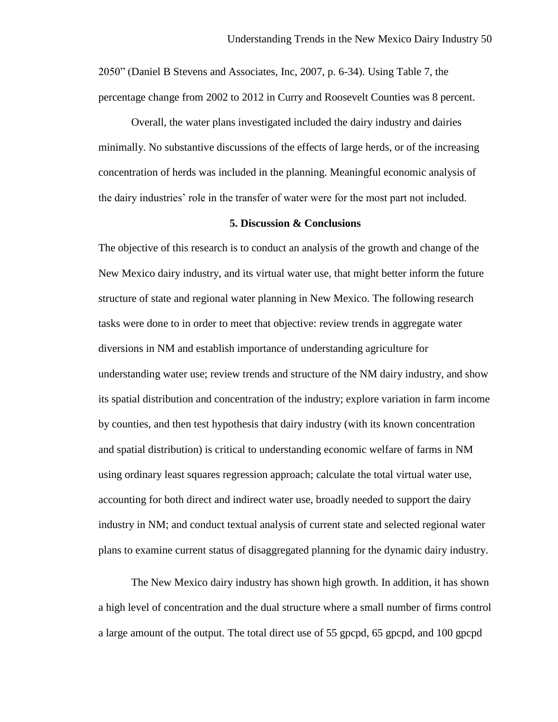2050" (Daniel B Stevens and Associates, Inc, 2007, p. 6-34). Using Table 7, the percentage change from 2002 to 2012 in Curry and Roosevelt Counties was 8 percent.

Overall, the water plans investigated included the dairy industry and dairies minimally. No substantive discussions of the effects of large herds, or of the increasing concentration of herds was included in the planning. Meaningful economic analysis of the dairy industries' role in the transfer of water were for the most part not included.

#### **5. Discussion & Conclusions**

The objective of this research is to conduct an analysis of the growth and change of the New Mexico dairy industry, and its virtual water use, that might better inform the future structure of state and regional water planning in New Mexico. The following research tasks were done to in order to meet that objective: review trends in aggregate water diversions in NM and establish importance of understanding agriculture for understanding water use; review trends and structure of the NM dairy industry, and show its spatial distribution and concentration of the industry; explore variation in farm income by counties, and then test hypothesis that dairy industry (with its known concentration and spatial distribution) is critical to understanding economic welfare of farms in NM using ordinary least squares regression approach; calculate the total virtual water use, accounting for both direct and indirect water use, broadly needed to support the dairy industry in NM; and conduct textual analysis of current state and selected regional water plans to examine current status of disaggregated planning for the dynamic dairy industry.

The New Mexico dairy industry has shown high growth. In addition, it has shown a high level of concentration and the dual structure where a small number of firms control a large amount of the output. The total direct use of 55 gpcpd, 65 gpcpd, and 100 gpcpd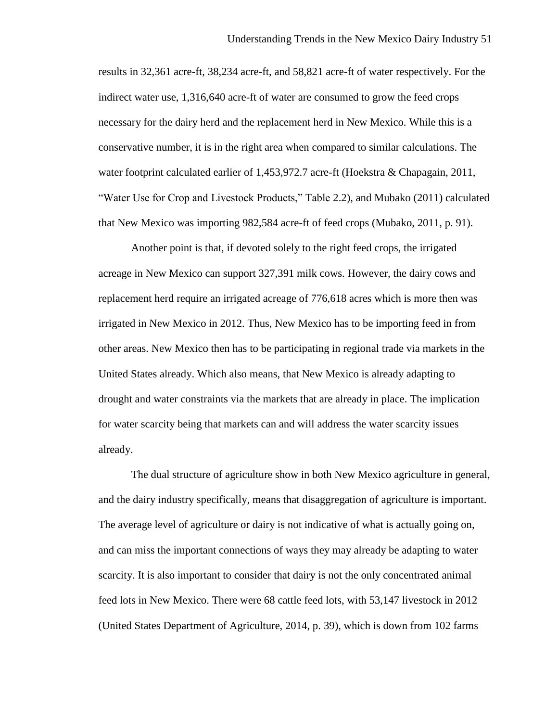results in 32,361 acre-ft, 38,234 acre-ft, and 58,821 acre-ft of water respectively. For the indirect water use, 1,316,640 acre-ft of water are consumed to grow the feed crops necessary for the dairy herd and the replacement herd in New Mexico. While this is a conservative number, it is in the right area when compared to similar calculations. The water footprint calculated earlier of 1,453,972.7 acre-ft (Hoekstra & Chapagain, 2011, "Water Use for Crop and Livestock Products," Table 2.2), and Mubako (2011) calculated that New Mexico was importing 982,584 acre-ft of feed crops (Mubako, 2011, p. 91).

Another point is that, if devoted solely to the right feed crops, the irrigated acreage in New Mexico can support 327,391 milk cows. However, the dairy cows and replacement herd require an irrigated acreage of 776,618 acres which is more then was irrigated in New Mexico in 2012. Thus, New Mexico has to be importing feed in from other areas. New Mexico then has to be participating in regional trade via markets in the United States already. Which also means, that New Mexico is already adapting to drought and water constraints via the markets that are already in place. The implication for water scarcity being that markets can and will address the water scarcity issues already.

The dual structure of agriculture show in both New Mexico agriculture in general, and the dairy industry specifically, means that disaggregation of agriculture is important. The average level of agriculture or dairy is not indicative of what is actually going on, and can miss the important connections of ways they may already be adapting to water scarcity. It is also important to consider that dairy is not the only concentrated animal feed lots in New Mexico. There were 68 cattle feed lots, with 53,147 livestock in 2012 (United States Department of Agriculture, 2014, p. 39), which is down from 102 farms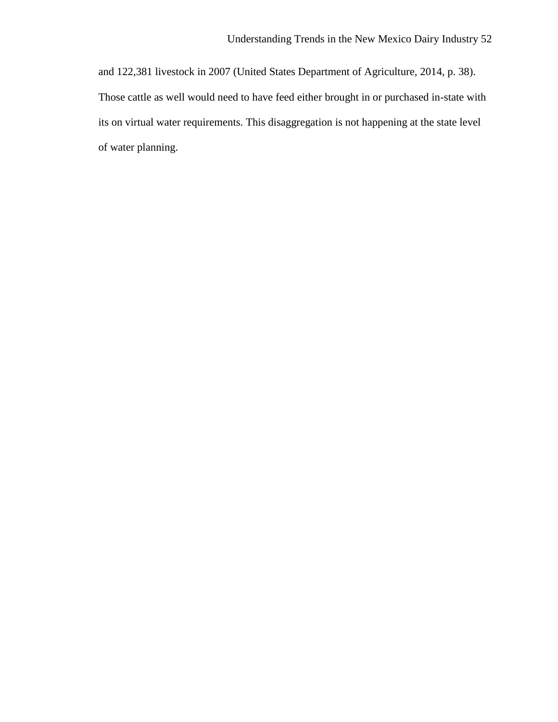and 122,381 livestock in 2007 (United States Department of Agriculture, 2014, p. 38). Those cattle as well would need to have feed either brought in or purchased in-state with its on virtual water requirements. This disaggregation is not happening at the state level of water planning.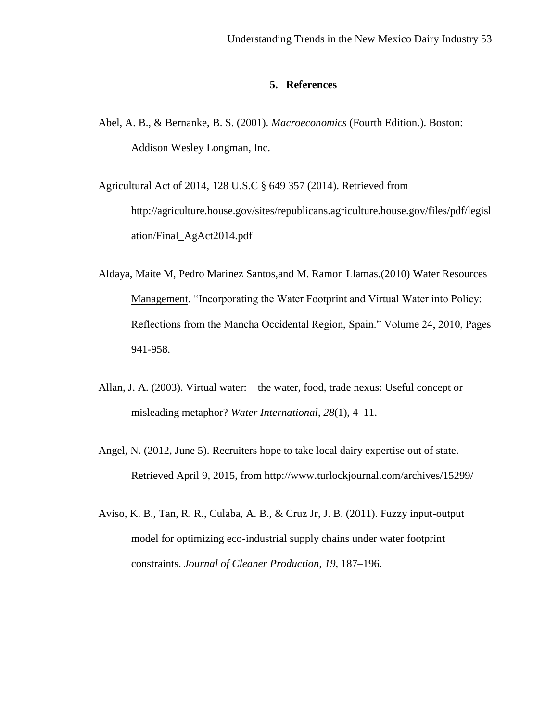### **5. References**

Abel, A. B., & Bernanke, B. S. (2001). *Macroeconomics* (Fourth Edition.). Boston: Addison Wesley Longman, Inc.

Agricultural Act of 2014, 128 U.S.C § 649 357 (2014). Retrieved from http://agriculture.house.gov/sites/republicans.agriculture.house.gov/files/pdf/legisl ation/Final\_AgAct2014.pdf

- Aldaya, Maite M, Pedro Marinez Santos,and M. Ramon Llamas.(2010) Water Resources Management. "Incorporating the Water Footprint and Virtual Water into Policy: Reflections from the Mancha Occidental Region, Spain." Volume 24, 2010, Pages 941-958.
- Allan, J. A. (2003). Virtual water: the water, food, trade nexus: Useful concept or misleading metaphor? *Water International*, *28*(1), 4–11.
- Angel, N. (2012, June 5). Recruiters hope to take local dairy expertise out of state. Retrieved April 9, 2015, from http://www.turlockjournal.com/archives/15299/
- Aviso, K. B., Tan, R. R., Culaba, A. B., & Cruz Jr, J. B. (2011). Fuzzy input-output model for optimizing eco-industrial supply chains under water footprint constraints. *Journal of Cleaner Production*, *19*, 187–196.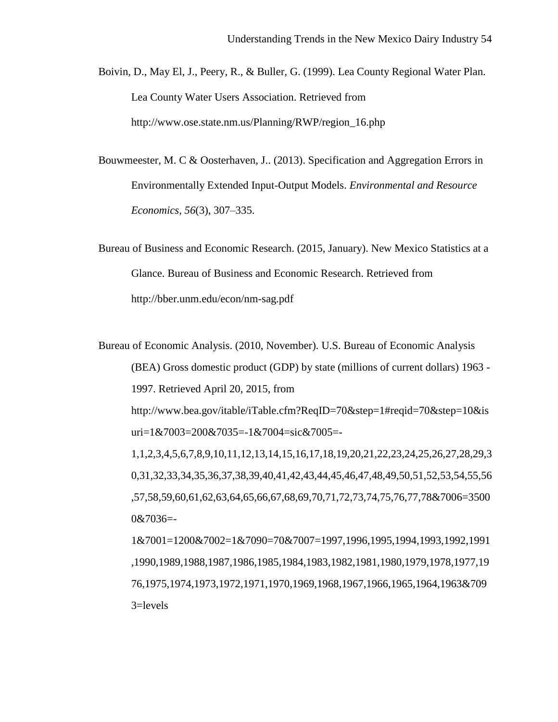Boivin, D., May El, J., Peery, R., & Buller, G. (1999). Lea County Regional Water Plan. Lea County Water Users Association. Retrieved from http://www.ose.state.nm.us/Planning/RWP/region\_16.php

Bouwmeester, M. C & Oosterhaven, J.. (2013). Specification and Aggregation Errors in Environmentally Extended Input-Output Models. *Environmental and Resource Economics*, *56*(3), 307–335.

Bureau of Business and Economic Research. (2015, January). New Mexico Statistics at a Glance. Bureau of Business and Economic Research. Retrieved from http://bber.unm.edu/econ/nm-sag.pdf

Bureau of Economic Analysis. (2010, November). U.S. Bureau of Economic Analysis (BEA) Gross domestic product (GDP) by state (millions of current dollars) 1963 - 1997. Retrieved April 20, 2015, from

http://www.bea.gov/itable/iTable.cfm?ReqID=70&step=1#reqid=70&step=10&is uri=1&7003=200&7035=-1&7004=sic&7005=-

1,1,2,3,4,5,6,7,8,9,10,11,12,13,14,15,16,17,18,19,20,21,22,23,24,25,26,27,28,29,3 0,31,32,33,34,35,36,37,38,39,40,41,42,43,44,45,46,47,48,49,50,51,52,53,54,55,56 ,57,58,59,60,61,62,63,64,65,66,67,68,69,70,71,72,73,74,75,76,77,78&7006=3500 0&7036=-

1&7001=1200&7002=1&7090=70&7007=1997,1996,1995,1994,1993,1992,1991 ,1990,1989,1988,1987,1986,1985,1984,1983,1982,1981,1980,1979,1978,1977,19 76,1975,1974,1973,1972,1971,1970,1969,1968,1967,1966,1965,1964,1963&709 3=levels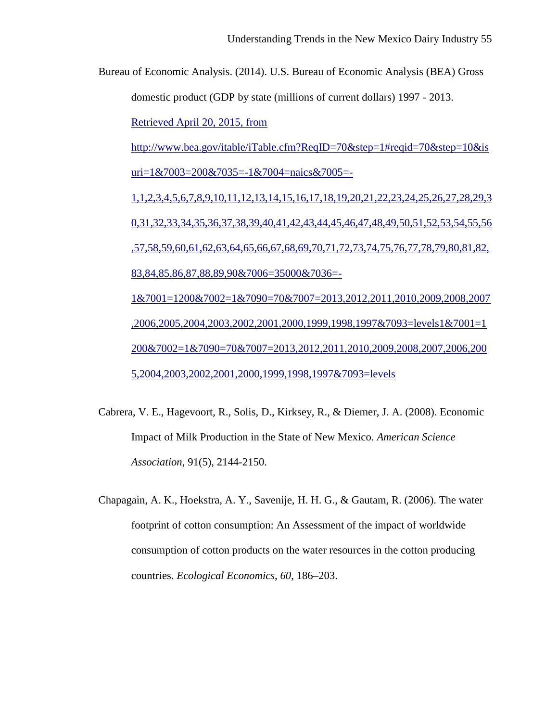Bureau of Economic Analysis. (2014). U.S. Bureau of Economic Analysis (BEA) Gross domestic product (GDP by state (millions of current dollars) 1997 - 2013. Retrieved April 20, 2015, from http://www.bea.gov/itable/iTable.cfm?ReqID=70&step=1#reqid=70&step=10&is uri=1&7003=200&7035=-1&7004=naics&7005=-1,1,2,3,4,5,6,7,8,9,10,11,12,13,14,15,16,17,18,19,20,21,22,23,24,25,26,27,28,29,3 0,31,32,33,34,35,36,37,38,39,40,41,42,43,44,45,46,47,48,49,50,51,52,53,54,55,56 ,57,58,59,60,61,62,63,64,65,66,67,68,69,70,71,72,73,74,75,76,77,78,79,80,81,82, 83,84,85,86,87,88,89,90&7006=35000&7036=- 1&7001=1200&7002=1&7090=70&7007=2013,2012,2011,2010,2009,2008,2007 ,2006,2005,2004,2003,2002,2001,2000,1999,1998,1997&7093=levels1&7001=1 200&7002=1&7090=70&7007=2013,2012,2011,2010,2009,2008,2007,2006,200 5,2004,2003,2002,2001,2000,1999,1998,1997&7093=levels

- Cabrera, V. E., Hagevoort, R., Solis, D., Kirksey, R., & Diemer, J. A. (2008). Economic Impact of Milk Production in the State of New Mexico. *American Science Association*, 91(5), 2144-2150.
- Chapagain, A. K., Hoekstra, A. Y., Savenije, H. H. G., & Gautam, R. (2006). The water footprint of cotton consumption: An Assessment of the impact of worldwide consumption of cotton products on the water resources in the cotton producing countries. *Ecological Economics*, *60*, 186–203.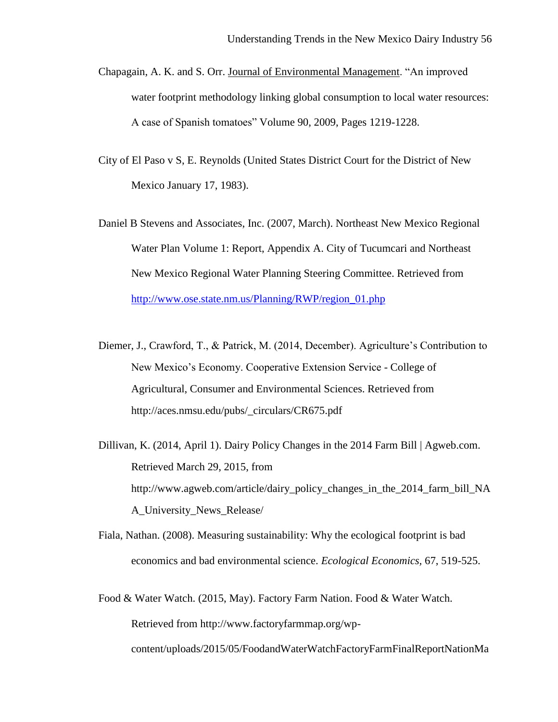- Chapagain, A. K. and S. Orr. Journal of Environmental Management. "An improved water footprint methodology linking global consumption to local water resources: A case of Spanish tomatoes" Volume 90, 2009, Pages 1219-1228.
- City of El Paso v S, E. Reynolds (United States District Court for the District of New Mexico January 17, 1983).
- Daniel B Stevens and Associates, Inc. (2007, March). Northeast New Mexico Regional Water Plan Volume 1: Report, Appendix A. City of Tucumcari and Northeast New Mexico Regional Water Planning Steering Committee. Retrieved from [http://www.ose.state.nm.us/Planning/RWP/region\\_01.php](http://www.ose.state.nm.us/Planning/RWP/region_01.php)
- Diemer, J., Crawford, T., & Patrick, M. (2014, December). Agriculture's Contribution to New Mexico's Economy. Cooperative Extension Service - College of Agricultural, Consumer and Environmental Sciences. Retrieved from http://aces.nmsu.edu/pubs/\_circulars/CR675.pdf
- Dillivan, K. (2014, April 1). Dairy Policy Changes in the 2014 Farm Bill | Agweb.com. Retrieved March 29, 2015, from http://www.agweb.com/article/dairy\_policy\_changes\_in\_the\_2014\_farm\_bill\_NA A\_University\_News\_Release/
- Fiala, Nathan. (2008). Measuring sustainability: Why the ecological footprint is bad economics and bad environmental science. *Ecological Economics,* 67, 519-525.
- Food & Water Watch. (2015, May). Factory Farm Nation. Food & Water Watch. Retrieved from http://www.factoryfarmmap.org/wpcontent/uploads/2015/05/FoodandWaterWatchFactoryFarmFinalReportNationMa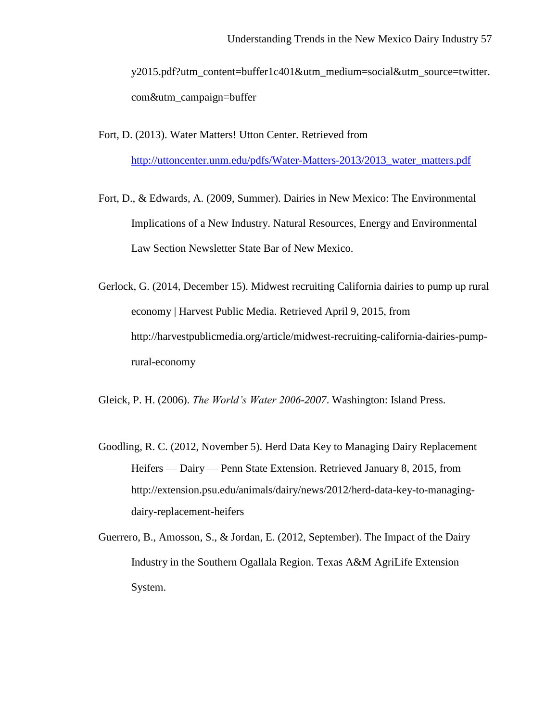y2015.pdf?utm\_content=buffer1c401&utm\_medium=social&utm\_source=twitter. com&utm\_campaign=buffer

- Fort, D. (2013). Water Matters! Utton Center. Retrieved from [http://uttoncenter.unm.edu/pdfs/Water-Matters-2013/2013\\_water\\_matters.pdf](http://uttoncenter.unm.edu/pdfs/Water-Matters-2013/2013_water_matters.pdf)
- Fort, D., & Edwards, A. (2009, Summer). Dairies in New Mexico: The Environmental Implications of a New Industry. Natural Resources, Energy and Environmental Law Section Newsletter State Bar of New Mexico.
- Gerlock, G. (2014, December 15). Midwest recruiting California dairies to pump up rural economy | Harvest Public Media. Retrieved April 9, 2015, from http://harvestpublicmedia.org/article/midwest-recruiting-california-dairies-pumprural-economy

Gleick, P. H. (2006). *The World's Water 2006-2007*. Washington: Island Press.

- Goodling, R. C. (2012, November 5). Herd Data Key to Managing Dairy Replacement Heifers — Dairy — Penn State Extension. Retrieved January 8, 2015, from http://extension.psu.edu/animals/dairy/news/2012/herd-data-key-to-managingdairy-replacement-heifers
- Guerrero, B., Amosson, S., & Jordan, E. (2012, September). The Impact of the Dairy Industry in the Southern Ogallala Region. Texas A&M AgriLife Extension System.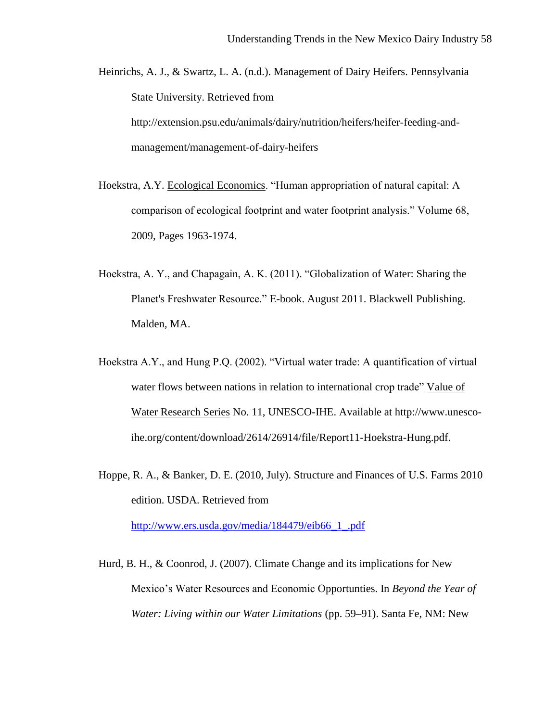Heinrichs, A. J., & Swartz, L. A. (n.d.). Management of Dairy Heifers. Pennsylvania State University. Retrieved from http://extension.psu.edu/animals/dairy/nutrition/heifers/heifer-feeding-and-

management/management-of-dairy-heifers

- Hoekstra, A.Y. Ecological Economics. "Human appropriation of natural capital: A comparison of ecological footprint and water footprint analysis." Volume 68, 2009, Pages 1963-1974.
- Hoekstra, A. Y., and Chapagain, A. K. (2011). "Globalization of Water: Sharing the Planet's Freshwater Resource." E-book. August 2011. Blackwell Publishing. Malden, MA.
- Hoekstra A.Y., and Hung P.Q. (2002). "Virtual water trade: A quantification of virtual water flows between nations in relation to international crop trade" Value of Water Research Series No. 11, UNESCO-IHE. Available at http://www.unescoihe.org/content/download/2614/26914/file/Report11-Hoekstra-Hung.pdf.
- Hoppe, R. A., & Banker, D. E. (2010, July). Structure and Finances of U.S. Farms 2010 edition. USDA. Retrieved from

[http://www.ers.usda.gov/media/184479/eib66\\_1\\_.pdf](http://www.ers.usda.gov/media/184479/eib66_1_.pdf)

Hurd, B. H., & Coonrod, J. (2007). Climate Change and its implications for New Mexico's Water Resources and Economic Opportunties. In *Beyond the Year of Water: Living within our Water Limitations* (pp. 59–91). Santa Fe, NM: New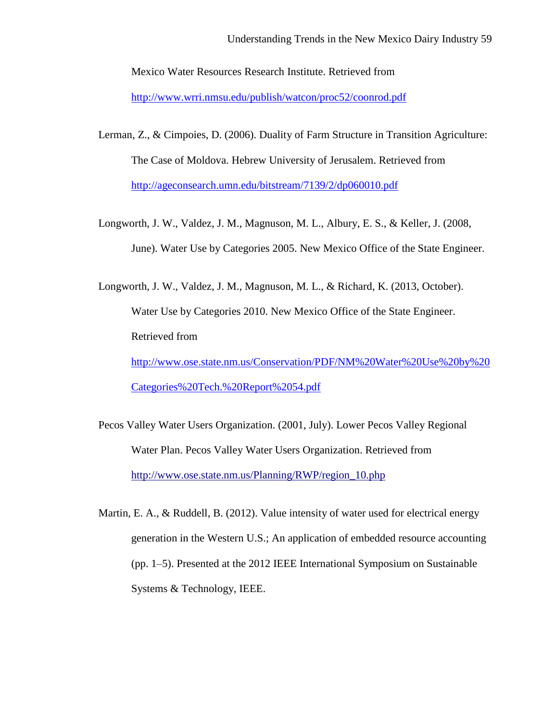Mexico Water Resources Research Institute. Retrieved from

<http://www.wrri.nmsu.edu/publish/watcon/proc52/coonrod.pdf>

- Lerman, Z., & Cimpoies, D. (2006). Duality of Farm Structure in Transition Agriculture: The Case of Moldova. Hebrew University of Jerusalem. Retrieved from <http://ageconsearch.umn.edu/bitstream/7139/2/dp060010.pdf>
- Longworth, J. W., Valdez, J. M., Magnuson, M. L., Albury, E. S., & Keller, J. (2008, June). Water Use by Categories 2005. New Mexico Office of the State Engineer.

Longworth, J. W., Valdez, J. M., Magnuson, M. L., & Richard, K. (2013, October). Water Use by Categories 2010. New Mexico Office of the State Engineer. Retrieved from [http://www.ose.state.nm.us/Conservation/PDF/NM%20Water%20Use%20by%20](http://www.ose.state.nm.us/Conservation/PDF/NM%20Water%20Use%20by%20Categories%20Tech.%20Report%2054.pdf) [Categories%20Tech.%20Report%2054.pdf](http://www.ose.state.nm.us/Conservation/PDF/NM%20Water%20Use%20by%20Categories%20Tech.%20Report%2054.pdf)

Pecos Valley Water Users Organization. (2001, July). Lower Pecos Valley Regional Water Plan. Pecos Valley Water Users Organization. Retrieved from http://www.ose.state.nm.us/Planning/RWP/region\_10.php

Martin, E. A., & Ruddell, B. (2012). Value intensity of water used for electrical energy generation in the Western U.S.; An application of embedded resource accounting (pp. 1–5). Presented at the 2012 IEEE International Symposium on Sustainable Systems & Technology, IEEE.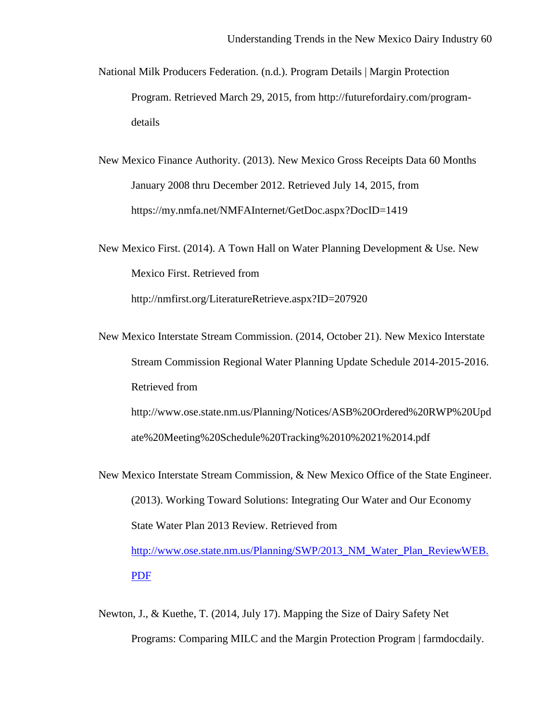- National Milk Producers Federation. (n.d.). Program Details | Margin Protection Program. Retrieved March 29, 2015, from [http://futurefordairy.com/program](http://futurefordairy.com/program-details)[details](http://futurefordairy.com/program-details)
- New Mexico Finance Authority. (2013). New Mexico Gross Receipts Data 60 Months January 2008 thru December 2012. Retrieved July 14, 2015, from https://my.nmfa.net/NMFAInternet/GetDoc.aspx?DocID=1419

New Mexico First. (2014). A Town Hall on Water Planning Development & Use. New Mexico First. Retrieved from <http://nmfirst.org/LiteratureRetrieve.aspx?ID=207920>

New Mexico Interstate Stream Commission. (2014, October 21). New Mexico Interstate Stream Commission Regional Water Planning Update Schedule 2014-2015-2016. Retrieved from [http://www.ose.state.nm.us/Planning/Notices/ASB%20Ordered%20RWP%20Upd](http://www.ose.state.nm.us/Planning/Notices/ASB%20Ordered%20RWP%20Update%20Meeting%20Schedule%20Tracking%2010%2021%2014.pdf)

[ate%20Meeting%20Schedule%20Tracking%2010%2021%2014.pdf](http://www.ose.state.nm.us/Planning/Notices/ASB%20Ordered%20RWP%20Update%20Meeting%20Schedule%20Tracking%2010%2021%2014.pdf)

- New Mexico Interstate Stream Commission, & New Mexico Office of the State Engineer. (2013). Working Toward Solutions: Integrating Our Water and Our Economy State Water Plan 2013 Review. Retrieved from [http://www.ose.state.nm.us/Planning/SWP/2013\\_NM\\_Water\\_Plan\\_ReviewWEB.](http://www.ose.state.nm.us/Planning/SWP/2013_NM_Water_Plan_ReviewWEB.PDF) [PDF](http://www.ose.state.nm.us/Planning/SWP/2013_NM_Water_Plan_ReviewWEB.PDF)
- Newton, J., & Kuethe, T. (2014, July 17). Mapping the Size of Dairy Safety Net Programs: Comparing MILC and the Margin Protection Program | farmdocdaily.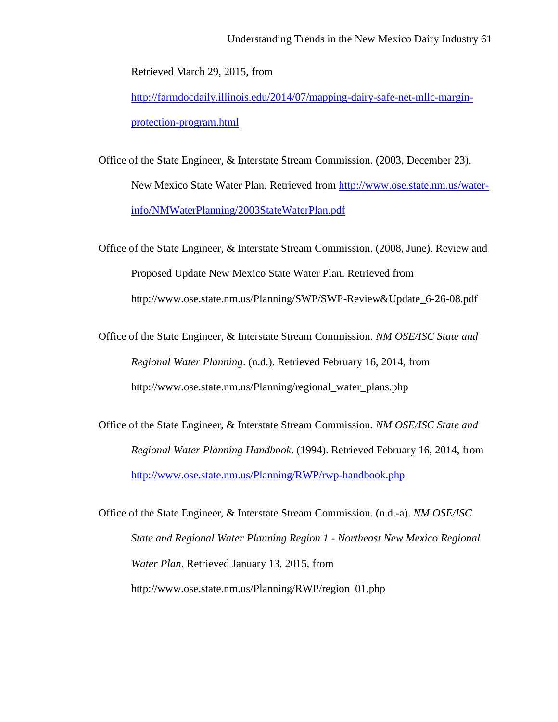Retrieved March 29, 2015, from

[http://farmdocdaily.illinois.edu/2014/07/mapping-dairy-safe-net-mllc-margin](http://farmdocdaily.illinois.edu/2014/07/mapping-dairy-safe-net-mllc-margin-protection-program.html)[protection-program.html](http://farmdocdaily.illinois.edu/2014/07/mapping-dairy-safe-net-mllc-margin-protection-program.html)

Office of the State Engineer, & Interstate Stream Commission. (2003, December 23). New Mexico State Water Plan. Retrieved from [http://www.ose.state.nm.us/water](http://www.ose.state.nm.us/water-info/NMWaterPlanning/2003StateWaterPlan.pdf)[info/NMWaterPlanning/2003StateWaterPlan.pdf](http://www.ose.state.nm.us/water-info/NMWaterPlanning/2003StateWaterPlan.pdf)

Office of the State Engineer, & Interstate Stream Commission. (2008, June). Review and Proposed Update New Mexico State Water Plan. Retrieved from http://www.ose.state.nm.us/Planning/SWP/SWP-Review&Update\_6-26-08.pdf

Office of the State Engineer, & Interstate Stream Commission. *NM OSE/ISC State and Regional Water Planning*. (n.d.). Retrieved February 16, 2014, from http://www.ose.state.nm.us/Planning/regional\_water\_plans.php

Office of the State Engineer, & Interstate Stream Commission. *NM OSE/ISC State and Regional Water Planning Handbook*. (1994). Retrieved February 16, 2014, from <http://www.ose.state.nm.us/Planning/RWP/rwp-handbook.php>

Office of the State Engineer, & Interstate Stream Commission. (n.d.-a). *NM OSE/ISC State and Regional Water Planning Region 1 - Northeast New Mexico Regional Water Plan*. Retrieved January 13, 2015, from http://www.ose.state.nm.us/Planning/RWP/region\_01.php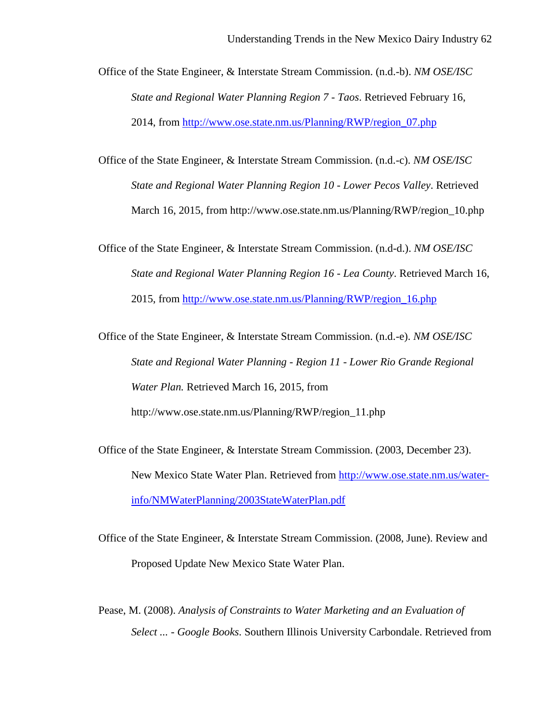Office of the State Engineer, & Interstate Stream Commission. (n.d.-b). *NM OSE/ISC State and Regional Water Planning Region 7 - Taos*. Retrieved February 16, 2014, from [http://www.ose.state.nm.us/Planning/RWP/region\\_07.php](http://www.ose.state.nm.us/Planning/RWP/region_07.php)

Office of the State Engineer, & Interstate Stream Commission. (n.d.-c). *NM OSE/ISC State and Regional Water Planning Region 10 - Lower Pecos Valley*. Retrieved March 16, 2015, from http://www.ose.state.nm.us/Planning/RWP/region\_10.php

Office of the State Engineer, & Interstate Stream Commission. (n.d-d.). *NM OSE/ISC State and Regional Water Planning Region 16 - Lea County*. Retrieved March 16, 2015, from [http://www.ose.state.nm.us/Planning/RWP/region\\_16.php](http://www.ose.state.nm.us/Planning/RWP/region_16.php)

Office of the State Engineer, & Interstate Stream Commission. (n.d.-e). *NM OSE/ISC State and Regional Water Planning - Region 11 - Lower Rio Grande Regional Water Plan.* Retrieved March 16, 2015, from http://www.ose.state.nm.us/Planning/RWP/region\_11.php

Office of the State Engineer, & Interstate Stream Commission. (2003, December 23). New Mexico State Water Plan. Retrieved from [http://www.ose.state.nm.us/water](http://www.ose.state.nm.us/water-info/NMWaterPlanning/2003StateWaterPlan.pdf)[info/NMWaterPlanning/2003StateWaterPlan.pdf](http://www.ose.state.nm.us/water-info/NMWaterPlanning/2003StateWaterPlan.pdf)

Office of the State Engineer, & Interstate Stream Commission. (2008, June). Review and Proposed Update New Mexico State Water Plan.

Pease, M. (2008). *Analysis of Constraints to Water Marketing and an Evaluation of Select ... - Google Books*. Southern Illinois University Carbondale. Retrieved from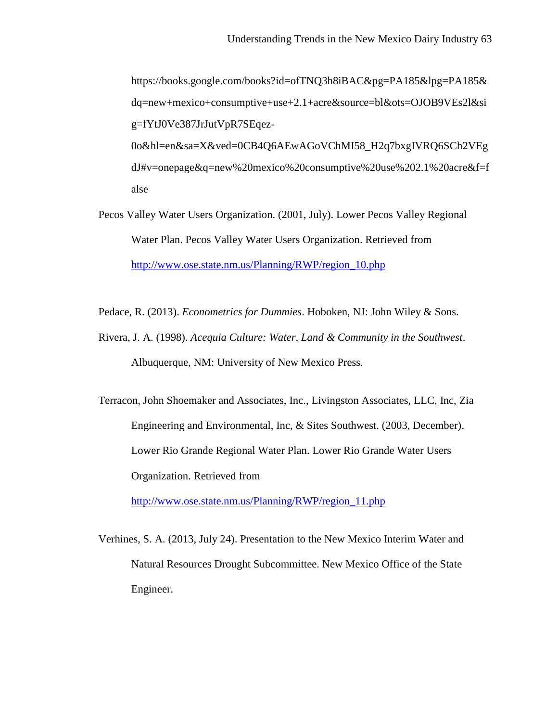https://books.google.com/books?id=ofTNQ3h8iBAC&pg=PA185&lpg=PA185& dq=new+mexico+consumptive+use+2.1+acre&source=bl&ots=OJOB9VEs2l&si g=fYtJ0Ve387JrJutVpR7SEqez-0o&hl=en&sa=X&ved=0CB4Q6AEwAGoVChMI58\_H2q7bxgIVRQ6SCh2VEg dJ#v=onepage&q=new%20mexico%20consumptive%20use%202.1%20acre&f=f alse

- Pecos Valley Water Users Organization. (2001, July). Lower Pecos Valley Regional Water Plan. Pecos Valley Water Users Organization. Retrieved from [http://www.ose.state.nm.us/Planning/RWP/region\\_10.php](http://www.ose.state.nm.us/Planning/RWP/region_10.php)
- Pedace, R. (2013). *Econometrics for Dummies*. Hoboken, NJ: John Wiley & Sons.
- Rivera, J. A. (1998). *Acequia Culture: Water, Land & Community in the Southwest*. Albuquerque, NM: University of New Mexico Press.

Terracon, John Shoemaker and Associates, Inc., Livingston Associates, LLC, Inc, Zia Engineering and Environmental, Inc, & Sites Southwest. (2003, December). Lower Rio Grande Regional Water Plan. Lower Rio Grande Water Users Organization. Retrieved from

[http://www.ose.state.nm.us/Planning/RWP/region\\_11.php](http://www.ose.state.nm.us/Planning/RWP/region_11.php)

Verhines, S. A. (2013, July 24). Presentation to the New Mexico Interim Water and Natural Resources Drought Subcommittee. New Mexico Office of the State Engineer.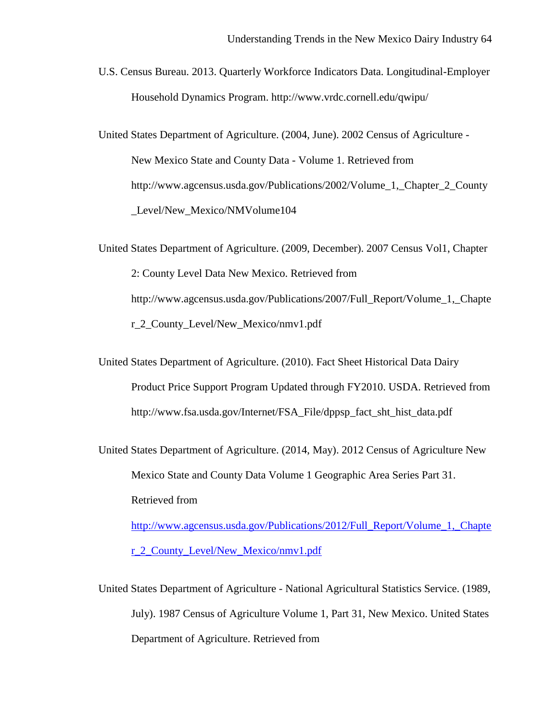U.S. Census Bureau. 2013. Quarterly Workforce Indicators Data. Longitudinal-Employer Household Dynamics Program. http://www.vrdc.cornell.edu/qwipu/

United States Department of Agriculture. (2004, June). 2002 Census of Agriculture - New Mexico State and County Data - Volume 1. Retrieved from http://www.agcensus.usda.gov/Publications/2002/Volume\_1,\_Chapter\_2\_County \_Level/New\_Mexico/NMVolume104

United States Department of Agriculture. (2009, December). 2007 Census Vol1, Chapter 2: County Level Data New Mexico. Retrieved from http://www.agcensus.usda.gov/Publications/2007/Full\_Report/Volume\_1,\_Chapte r\_2\_County\_Level/New\_Mexico/nmv1.pdf

United States Department of Agriculture. (2010). Fact Sheet Historical Data Dairy Product Price Support Program Updated through FY2010. USDA. Retrieved from http://www.fsa.usda.gov/Internet/FSA\_File/dppsp\_fact\_sht\_hist\_data.pdf

United States Department of Agriculture. (2014, May). 2012 Census of Agriculture New Mexico State and County Data Volume 1 Geographic Area Series Part 31. Retrieved from [http://www.agcensus.usda.gov/Publications/2012/Full\\_Report/Volume\\_1,\\_Chapte](http://www.agcensus.usda.gov/Publications/2012/Full_Report/Volume_1,_Chapter_2_County_Level/New_Mexico/nmv1.pdf)

[r\\_2\\_County\\_Level/New\\_Mexico/nmv1.pdf](http://www.agcensus.usda.gov/Publications/2012/Full_Report/Volume_1,_Chapter_2_County_Level/New_Mexico/nmv1.pdf)

United States Department of Agriculture - National Agricultural Statistics Service. (1989, July). 1987 Census of Agriculture Volume 1, Part 31, New Mexico. United States Department of Agriculture. Retrieved from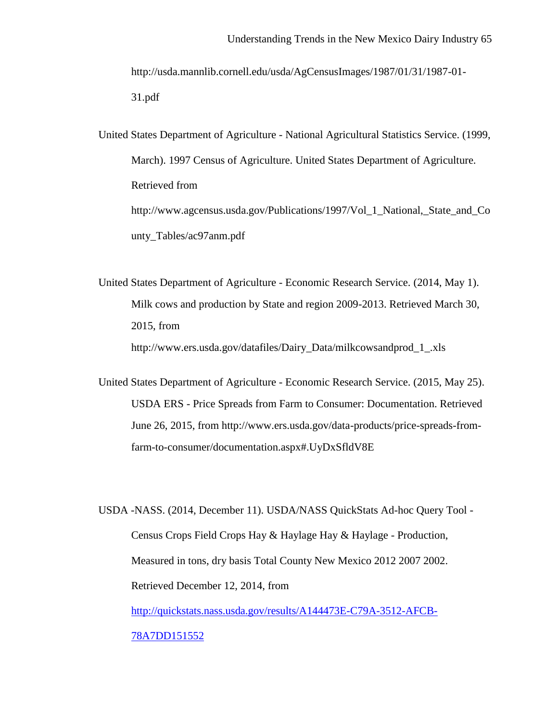http://usda.mannlib.cornell.edu/usda/AgCensusImages/1987/01/31/1987-01- 31.pdf

United States Department of Agriculture - National Agricultural Statistics Service. (1999, March). 1997 Census of Agriculture. United States Department of Agriculture. Retrieved from http://www.agcensus.usda.gov/Publications/1997/Vol\_1\_National,\_State\_and\_Co unty\_Tables/ac97anm.pdf

United States Department of Agriculture - Economic Research Service. (2014, May 1). Milk cows and production by State and region 2009-2013. Retrieved March 30, 2015, from http://www.ers.usda.gov/datafiles/Dairy\_Data/milkcowsandprod\_1\_.xls

United States Department of Agriculture - Economic Research Service. (2015, May 25). USDA ERS - Price Spreads from Farm to Consumer: Documentation. Retrieved June 26, 2015, from http://www.ers.usda.gov/data-products/price-spreads-fromfarm-to-consumer/documentation.aspx#.UyDxSfldV8E

USDA -NASS. (2014, December 11). USDA/NASS QuickStats Ad-hoc Query Tool - Census Crops Field Crops Hay & Haylage Hay & Haylage - Production, Measured in tons, dry basis Total County New Mexico 2012 2007 2002. Retrieved December 12, 2014, from [http://quickstats.nass.usda.gov/results/A144473E-C79A-3512-AFCB-](http://quickstats.nass.usda.gov/results/A144473E-C79A-3512-AFCB-78A7DD151552)[78A7DD151552](http://quickstats.nass.usda.gov/results/A144473E-C79A-3512-AFCB-78A7DD151552)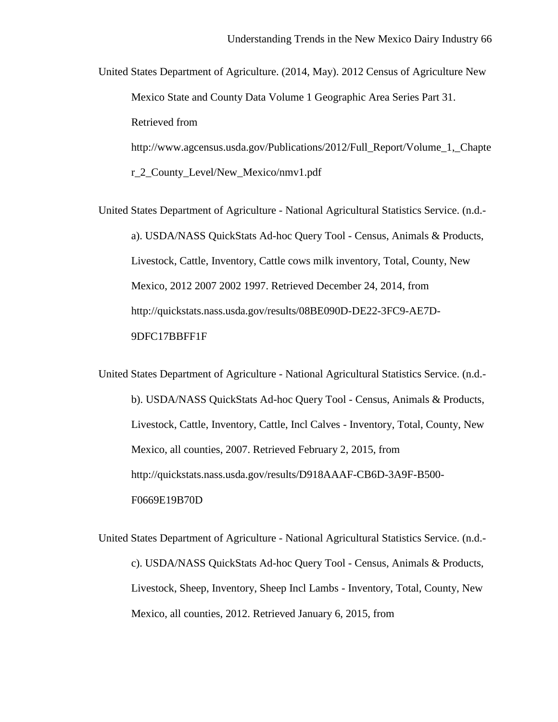United States Department of Agriculture. (2014, May). 2012 Census of Agriculture New Mexico State and County Data Volume 1 Geographic Area Series Part 31. Retrieved from http://www.agcensus.usda.gov/Publications/2012/Full\_Report/Volume\_1,\_Chapte

r\_2\_County\_Level/New\_Mexico/nmv1.pdf

United States Department of Agriculture - National Agricultural Statistics Service. (n.d. a). USDA/NASS QuickStats Ad-hoc Query Tool - Census, Animals & Products, Livestock, Cattle, Inventory, Cattle cows milk inventory, Total, County, New Mexico, 2012 2007 2002 1997. Retrieved December 24, 2014, from http://quickstats.nass.usda.gov/results/08BE090D-DE22-3FC9-AE7D-9DFC17BBFF1F

United States Department of Agriculture - National Agricultural Statistics Service. (n.d. b). USDA/NASS QuickStats Ad-hoc Query Tool - Census, Animals & Products, Livestock, Cattle, Inventory, Cattle, Incl Calves - Inventory, Total, County, New Mexico, all counties, 2007. Retrieved February 2, 2015, from http://quickstats.nass.usda.gov/results/D918AAAF-CB6D-3A9F-B500- F0669E19B70D

United States Department of Agriculture - National Agricultural Statistics Service. (n.d. c). USDA/NASS QuickStats Ad-hoc Query Tool - Census, Animals & Products, Livestock, Sheep, Inventory, Sheep Incl Lambs - Inventory, Total, County, New Mexico, all counties, 2012. Retrieved January 6, 2015, from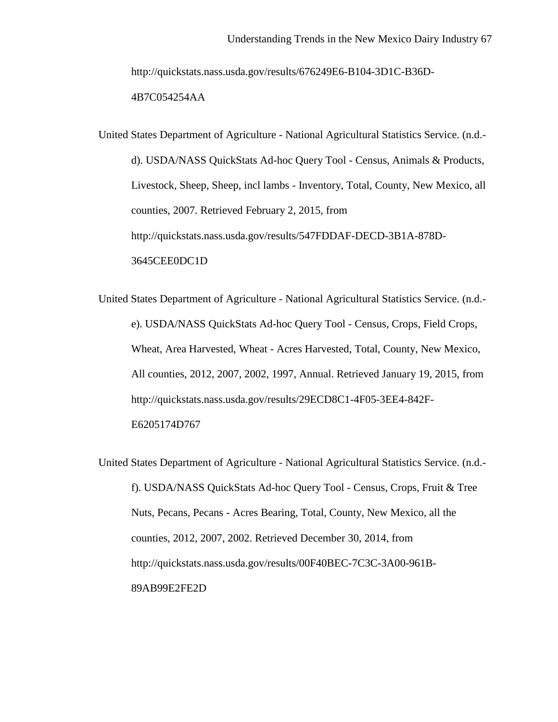http://quickstats.nass.usda.gov/results/676249E6-B104-3D1C-B36D-

4B7C054254AA

United States Department of Agriculture - National Agricultural Statistics Service. (n.d. d). USDA/NASS QuickStats Ad-hoc Query Tool - Census, Animals & Products, Livestock, Sheep, Sheep, incl lambs - Inventory, Total, County, New Mexico, all counties, 2007. Retrieved February 2, 2015, from http://quickstats.nass.usda.gov/results/547FDDAF-DECD-3B1A-878D-3645CEE0DC1D

United States Department of Agriculture - National Agricultural Statistics Service. (n.d. e). USDA/NASS QuickStats Ad-hoc Query Tool - Census, Crops, Field Crops, Wheat, Area Harvested, Wheat - Acres Harvested, Total, County, New Mexico, All counties, 2012, 2007, 2002, 1997, Annual. Retrieved January 19, 2015, from http://quickstats.nass.usda.gov/results/29ECD8C1-4F05-3EE4-842F-E6205174D767

United States Department of Agriculture - National Agricultural Statistics Service. (n.d. f). USDA/NASS QuickStats Ad-hoc Query Tool - Census, Crops, Fruit & Tree Nuts, Pecans, Pecans - Acres Bearing, Total, County, New Mexico, all the counties, 2012, 2007, 2002. Retrieved December 30, 2014, from http://quickstats.nass.usda.gov/results/00F40BEC-7C3C-3A00-961B-89AB99E2FE2D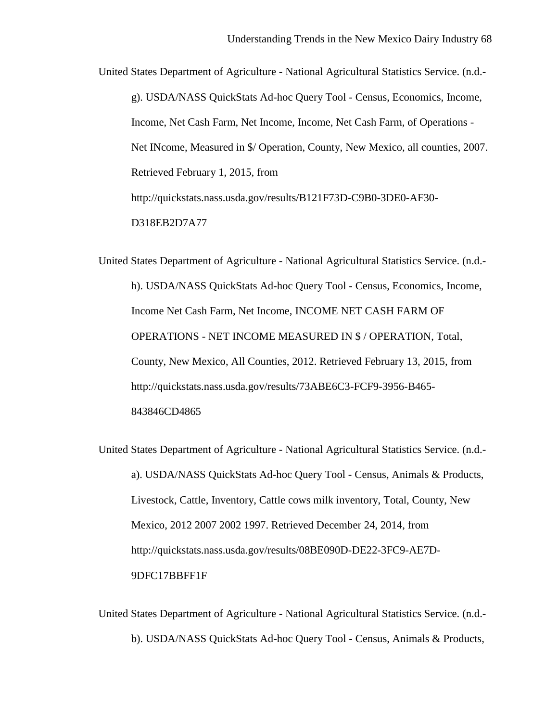United States Department of Agriculture - National Agricultural Statistics Service. (n.d. g). USDA/NASS QuickStats Ad-hoc Query Tool - Census, Economics, Income, Income, Net Cash Farm, Net Income, Income, Net Cash Farm, of Operations - Net INcome, Measured in \$/ Operation, County, New Mexico, all counties, 2007. Retrieved February 1, 2015, from http://quickstats.nass.usda.gov/results/B121F73D-C9B0-3DE0-AF30- D318EB2D7A77

United States Department of Agriculture - National Agricultural Statistics Service. (n.d. h). USDA/NASS QuickStats Ad-hoc Query Tool - Census, Economics, Income, Income Net Cash Farm, Net Income, INCOME NET CASH FARM OF OPERATIONS - NET INCOME MEASURED IN \$ / OPERATION, Total, County, New Mexico, All Counties, 2012. Retrieved February 13, 2015, from http://quickstats.nass.usda.gov/results/73ABE6C3-FCF9-3956-B465- 843846CD4865

United States Department of Agriculture - National Agricultural Statistics Service. (n.d. a). USDA/NASS QuickStats Ad-hoc Query Tool - Census, Animals & Products, Livestock, Cattle, Inventory, Cattle cows milk inventory, Total, County, New Mexico, 2012 2007 2002 1997. Retrieved December 24, 2014, from http://quickstats.nass.usda.gov/results/08BE090D-DE22-3FC9-AE7D-9DFC17BBFF1F

United States Department of Agriculture - National Agricultural Statistics Service. (n.d. b). USDA/NASS QuickStats Ad-hoc Query Tool - Census, Animals & Products,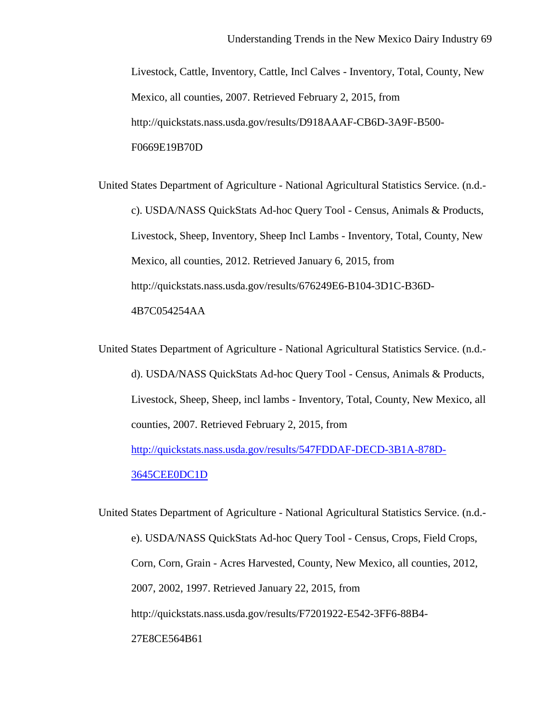Livestock, Cattle, Inventory, Cattle, Incl Calves - Inventory, Total, County, New Mexico, all counties, 2007. Retrieved February 2, 2015, from http://quickstats.nass.usda.gov/results/D918AAAF-CB6D-3A9F-B500- F0669E19B70D

United States Department of Agriculture - National Agricultural Statistics Service. (n.d. c). USDA/NASS QuickStats Ad-hoc Query Tool - Census, Animals & Products, Livestock, Sheep, Inventory, Sheep Incl Lambs - Inventory, Total, County, New Mexico, all counties, 2012. Retrieved January 6, 2015, from http://quickstats.nass.usda.gov/results/676249E6-B104-3D1C-B36D-4B7C054254AA

United States Department of Agriculture - National Agricultural Statistics Service. (n.d. d). USDA/NASS QuickStats Ad-hoc Query Tool - Census, Animals & Products, Livestock, Sheep, Sheep, incl lambs - Inventory, Total, County, New Mexico, all counties, 2007. Retrieved February 2, 2015, from [http://quickstats.nass.usda.gov/results/547FDDAF-DECD-3B1A-878D-](http://quickstats.nass.usda.gov/results/547FDDAF-DECD-3B1A-878D-3645CEE0DC1D)[3645CEE0DC1D](http://quickstats.nass.usda.gov/results/547FDDAF-DECD-3B1A-878D-3645CEE0DC1D)

United States Department of Agriculture - National Agricultural Statistics Service. (n.d. e). USDA/NASS QuickStats Ad-hoc Query Tool - Census, Crops, Field Crops, Corn, Corn, Grain - Acres Harvested, County, New Mexico, all counties, 2012, 2007, 2002, 1997. Retrieved January 22, 2015, from http://quickstats.nass.usda.gov/results/F7201922-E542-3FF6-88B4- 27E8CE564B61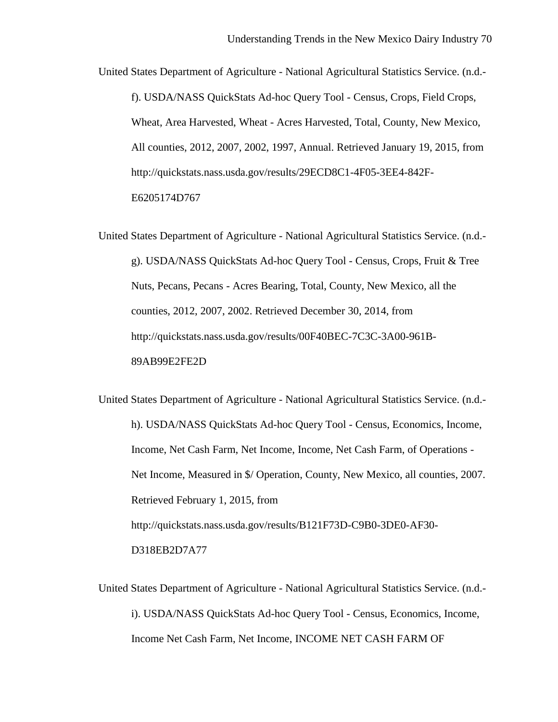United States Department of Agriculture - National Agricultural Statistics Service. (n.d. f). USDA/NASS QuickStats Ad-hoc Query Tool - Census, Crops, Field Crops, Wheat, Area Harvested, Wheat - Acres Harvested, Total, County, New Mexico, All counties, 2012, 2007, 2002, 1997, Annual. Retrieved January 19, 2015, from http://quickstats.nass.usda.gov/results/29ECD8C1-4F05-3EE4-842F-E6205174D767

United States Department of Agriculture - National Agricultural Statistics Service. (n.d. g). USDA/NASS QuickStats Ad-hoc Query Tool - Census, Crops, Fruit & Tree Nuts, Pecans, Pecans - Acres Bearing, Total, County, New Mexico, all the counties, 2012, 2007, 2002. Retrieved December 30, 2014, from http://quickstats.nass.usda.gov/results/00F40BEC-7C3C-3A00-961B-89AB99E2FE2D

United States Department of Agriculture - National Agricultural Statistics Service. (n.d. h). USDA/NASS QuickStats Ad-hoc Query Tool - Census, Economics, Income, Income, Net Cash Farm, Net Income, Income, Net Cash Farm, of Operations - Net Income, Measured in \$/ Operation, County, New Mexico, all counties, 2007. Retrieved February 1, 2015, from http://quickstats.nass.usda.gov/results/B121F73D-C9B0-3DE0-AF30- D318EB2D7A77

United States Department of Agriculture - National Agricultural Statistics Service. (n.d. i). USDA/NASS QuickStats Ad-hoc Query Tool - Census, Economics, Income, Income Net Cash Farm, Net Income, INCOME NET CASH FARM OF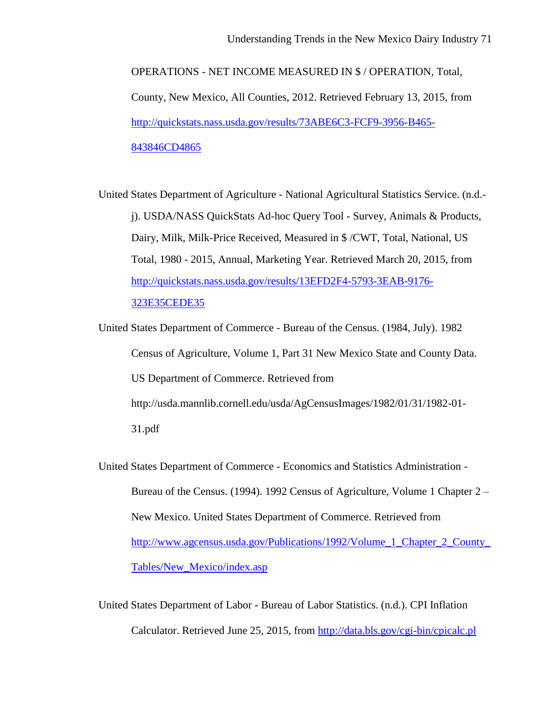OPERATIONS - NET INCOME MEASURED IN \$ / OPERATION, Total, County, New Mexico, All Counties, 2012. Retrieved February 13, 2015, from [http://quickstats.nass.usda.gov/results/73ABE6C3-FCF9-3956-B465-](http://quickstats.nass.usda.gov/results/73ABE6C3-FCF9-3956-B465-843846CD4865) [843846CD4865](http://quickstats.nass.usda.gov/results/73ABE6C3-FCF9-3956-B465-843846CD4865)

United States Department of Agriculture - National Agricultural Statistics Service. (n.d. j). USDA/NASS QuickStats Ad-hoc Query Tool - Survey, Animals & Products, Dairy, Milk, Milk-Price Received, Measured in \$ /CWT, Total, National, US Total, 1980 - 2015, Annual, Marketing Year. Retrieved March 20, 2015, from [http://quickstats.nass.usda.gov/results/13EFD2F4-5793-3EAB-9176-](http://quickstats.nass.usda.gov/results/13EFD2F4-5793-3EAB-9176-323E35CEDE35) [323E35CEDE35](http://quickstats.nass.usda.gov/results/13EFD2F4-5793-3EAB-9176-323E35CEDE35)

United States Department of Commerce - Bureau of the Census. (1984, July). 1982 Census of Agriculture, Volume 1, Part 31 New Mexico State and County Data. US Department of Commerce. Retrieved from http://usda.mannlib.cornell.edu/usda/AgCensusImages/1982/01/31/1982-01- 31.pdf

United States Department of Commerce - Economics and Statistics Administration - Bureau of the Census. (1994). 1992 Census of Agriculture, Volume 1 Chapter 2 – New Mexico. United States Department of Commerce. Retrieved from [http://www.agcensus.usda.gov/Publications/1992/Volume\\_1\\_Chapter\\_2\\_County\\_](http://www.agcensus.usda.gov/Publications/1992/Volume_1_Chapter_2_County_Tables/New_Mexico/index.asp) [Tables/New\\_Mexico/index.asp](http://www.agcensus.usda.gov/Publications/1992/Volume_1_Chapter_2_County_Tables/New_Mexico/index.asp)

United States Department of Labor - Bureau of Labor Statistics. (n.d.). CPI Inflation Calculator. Retrieved June 25, 2015, from<http://data.bls.gov/cgi-bin/cpicalc.pl>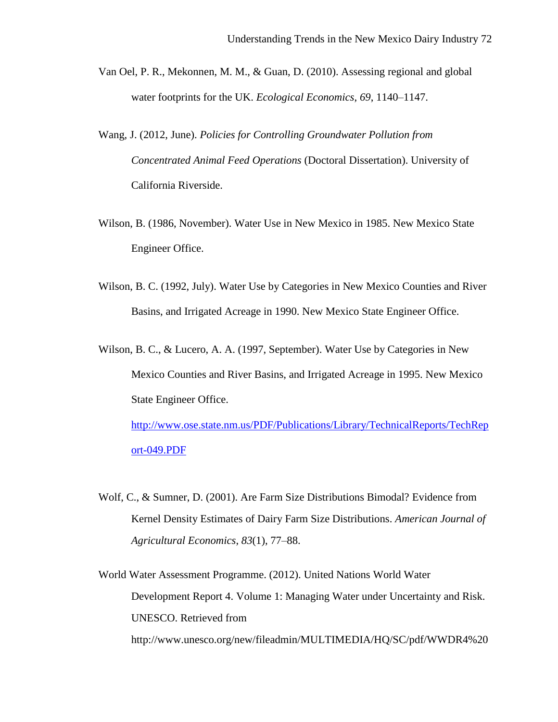- Van Oel, P. R., Mekonnen, M. M., & Guan, D. (2010). Assessing regional and global water footprints for the UK. *Ecological Economics*, *69*, 1140–1147.
- Wang, J. (2012, June). *Policies for Controlling Groundwater Pollution from Concentrated Animal Feed Operations* (Doctoral Dissertation). University of California Riverside.
- Wilson, B. (1986, November). Water Use in New Mexico in 1985. New Mexico State Engineer Office.
- Wilson, B. C. (1992, July). Water Use by Categories in New Mexico Counties and River Basins, and Irrigated Acreage in 1990. New Mexico State Engineer Office.
- Wilson, B. C., & Lucero, A. A. (1997, September). Water Use by Categories in New Mexico Counties and River Basins, and Irrigated Acreage in 1995. New Mexico State Engineer Office. [http://www.ose.state.nm.us/PDF/Publications/Library/TechnicalReports/TechRep](http://www.ose.state.nm.us/PDF/Publications/Library/TechnicalReports/TechReport-049.PDF) [ort-049.PDF](http://www.ose.state.nm.us/PDF/Publications/Library/TechnicalReports/TechReport-049.PDF)
- Wolf, C., & Sumner, D. (2001). Are Farm Size Distributions Bimodal? Evidence from Kernel Density Estimates of Dairy Farm Size Distributions. *American Journal of Agricultural Economics*, *83*(1), 77–88.

World Water Assessment Programme. (2012). United Nations World Water Development Report 4. Volume 1: Managing Water under Uncertainty and Risk. UNESCO. Retrieved from http://www.unesco.org/new/fileadmin/MULTIMEDIA/HQ/SC/pdf/WWDR4%20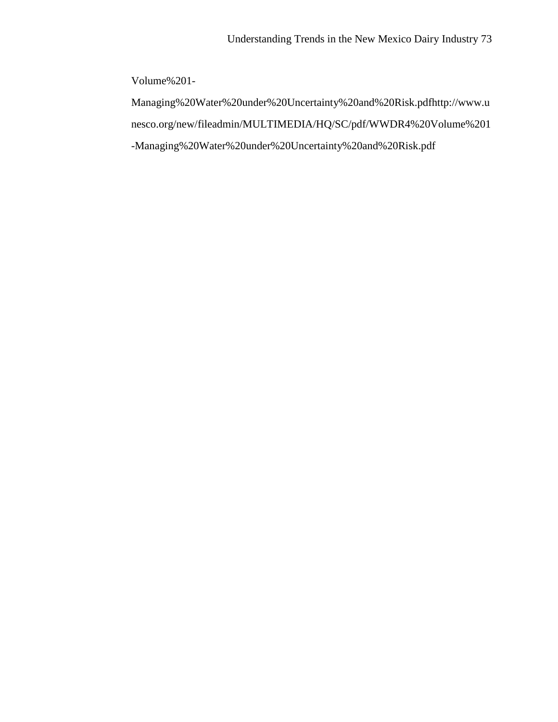Volume%201-

Managing%20Water%20under%20Uncertainty%20and%20Risk.pdfhttp://www.u nesco.org/new/fileadmin/MULTIMEDIA/HQ/SC/pdf/WWDR4%20Volume%201 -Managing%20Water%20under%20Uncertainty%20and%20Risk.pdf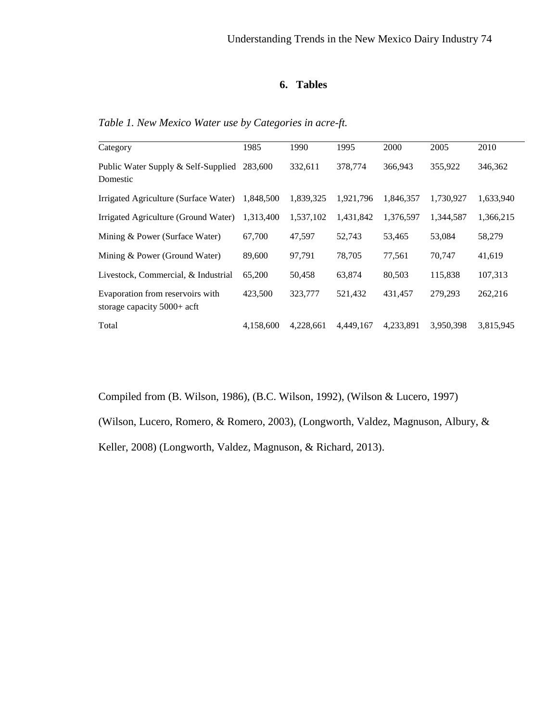## **6. Tables**

| Category                                                          | 1985      | 1990      | 1995      | 2000      | 2005      | 2010      |
|-------------------------------------------------------------------|-----------|-----------|-----------|-----------|-----------|-----------|
| Public Water Supply & Self-Supplied<br>Domestic                   | 283,600   | 332,611   | 378,774   | 366,943   | 355,922   | 346,362   |
| Irrigated Agriculture (Surface Water)                             | 1.848.500 | 1,839,325 | 1,921,796 | 1,846,357 | 1,730,927 | 1,633,940 |
| Irrigated Agriculture (Ground Water)                              | 1,313,400 | 1,537,102 | 1,431,842 | 1,376,597 | 1,344,587 | 1,366,215 |
| Mining & Power (Surface Water)                                    | 67,700    | 47,597    | 52,743    | 53,465    | 53,084    | 58,279    |
| Mining & Power (Ground Water)                                     | 89,600    | 97,791    | 78,705    | 77,561    | 70,747    | 41,619    |
| Livestock, Commercial, & Industrial                               | 65,200    | 50,458    | 63,874    | 80,503    | 115,838   | 107,313   |
| Evaporation from reservoirs with<br>storage capacity $5000+$ acft | 423,500   | 323,777   | 521,432   | 431,457   | 279,293   | 262,216   |
| Total                                                             | 4,158,600 | 4,228,661 | 4.449.167 | 4.233.891 | 3.950.398 | 3,815,945 |

*Table 1. New Mexico Water use by Categories in acre-ft.*

Compiled from (B. Wilson, 1986), (B.C. Wilson, 1992), (Wilson & Lucero, 1997)

(Wilson, Lucero, Romero, & Romero, 2003), (Longworth, Valdez, Magnuson, Albury, &

Keller, 2008) (Longworth, Valdez, Magnuson, & Richard, 2013).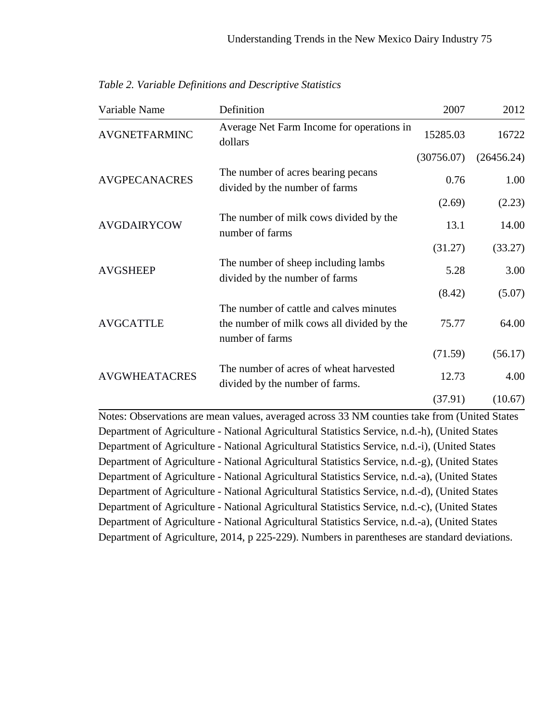| Variable Name        | Definition                                                                                   | 2007       | 2012       |
|----------------------|----------------------------------------------------------------------------------------------|------------|------------|
| <b>AVGNETFARMINC</b> | Average Net Farm Income for operations in<br>dollars                                         | 15285.03   | 16722      |
|                      |                                                                                              | (30756.07) | (26456.24) |
| <b>AVGPECANACRES</b> | The number of acres bearing pecans<br>divided by the number of farms                         | 0.76       | 1.00       |
|                      |                                                                                              | (2.69)     | (2.23)     |
| <b>AVGDAIRYCOW</b>   | The number of milk cows divided by the<br>number of farms                                    | 13.1       | 14.00      |
|                      |                                                                                              | (31.27)    | (33.27)    |
| <b>AVGSHEEP</b>      | The number of sheep including lambs<br>divided by the number of farms                        | 5.28       | 3.00       |
|                      |                                                                                              | (8.42)     | (5.07)     |
|                      | The number of cattle and calves minutes                                                      |            |            |
| <b>AVGCATTLE</b>     | the number of milk cows all divided by the<br>number of farms                                | 75.77      | 64.00      |
|                      |                                                                                              | (71.59)    | (56.17)    |
| <b>AVGWHEATACRES</b> | The number of acres of wheat harvested<br>divided by the number of farms.                    | 12.73      | 4.00       |
|                      |                                                                                              | (37.91)    | (10.67)    |
|                      | Notes: Observations are mean values, averaged across 33 NM counties take from (United States |            |            |
|                      | Department of Agriculture - National Agricultural Statistics Service n d b) (United States   |            |            |

*Table 2. Variable Definitions and Descriptive Statistics*

Department of Agriculture - National Agricultural Statistics Service, n.d.-h), (United States Department of Agriculture - National Agricultural Statistics Service, n.d.-i), (United States Department of Agriculture - National Agricultural Statistics Service, n.d.-g), (United States Department of Agriculture - National Agricultural Statistics Service, n.d.-a), (United States Department of Agriculture - National Agricultural Statistics Service, n.d.-d), (United States Department of Agriculture - National Agricultural Statistics Service, n.d.-c), (United States Department of Agriculture - National Agricultural Statistics Service, n.d.-a), (United States Department of Agriculture, 2014, p 225-229). Numbers in parentheses are standard deviations.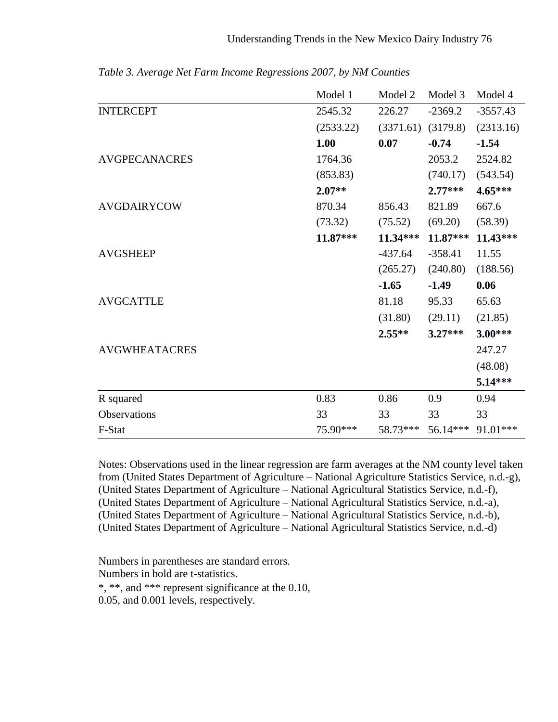|                      | Model 1   | Model 2   | Model 3   | Model 4    |
|----------------------|-----------|-----------|-----------|------------|
| <b>INTERCEPT</b>     | 2545.32   | 226.27    | $-2369.2$ | $-3557.43$ |
|                      | (2533.22) | (3371.61) | (3179.8)  | (2313.16)  |
|                      | 1.00      | 0.07      | $-0.74$   | $-1.54$    |
| <b>AVGPECANACRES</b> | 1764.36   |           | 2053.2    | 2524.82    |
|                      | (853.83)  |           | (740.17)  | (543.54)   |
|                      | $2.07**$  |           | $2.77***$ | 4.65***    |
| <b>AVGDAIRYCOW</b>   | 870.34    | 856.43    | 821.89    | 667.6      |
|                      | (73.32)   | (75.52)   | (69.20)   | (58.39)    |
|                      | 11.87***  | 11.34***  | 11.87***  | 11.43***   |
| <b>AVGSHEEP</b>      |           | $-437.64$ | $-358.41$ | 11.55      |
|                      |           | (265.27)  | (240.80)  | (188.56)   |
|                      |           | $-1.65$   | $-1.49$   | 0.06       |
| <b>AVGCATTLE</b>     |           | 81.18     | 95.33     | 65.63      |
|                      |           | (31.80)   | (29.11)   | (21.85)    |
|                      |           | $2.55**$  | $3.27***$ | $3.00***$  |
| <b>AVGWHEATACRES</b> |           |           |           | 247.27     |
|                      |           |           |           | (48.08)    |
|                      |           |           |           | 5.14***    |
| R squared            | 0.83      | 0.86      | 0.9       | 0.94       |
| Observations         | 33        | 33        | 33        | 33         |
| F-Stat               | 75.90***  | 58.73***  | 56.14***  | 91.01***   |

*Table 3. Average Net Farm Income Regressions 2007, by NM Counties*

Notes: Observations used in the linear regression are farm averages at the NM county level taken from (United States Department of Agriculture – National Agriculture Statistics Service, n.d.-g), (United States Department of Agriculture – National Agricultural Statistics Service, n.d.-f), (United States Department of Agriculture – National Agricultural Statistics Service, n.d.-a), (United States Department of Agriculture – National Agricultural Statistics Service, n.d.-b), (United States Department of Agriculture – National Agricultural Statistics Service, n.d.-d)

Numbers in parentheses are standard errors. Numbers in bold are t-statistics. \*, \*\*, and \*\*\* represent significance at the 0.10, 0.05, and 0.001 levels, respectively.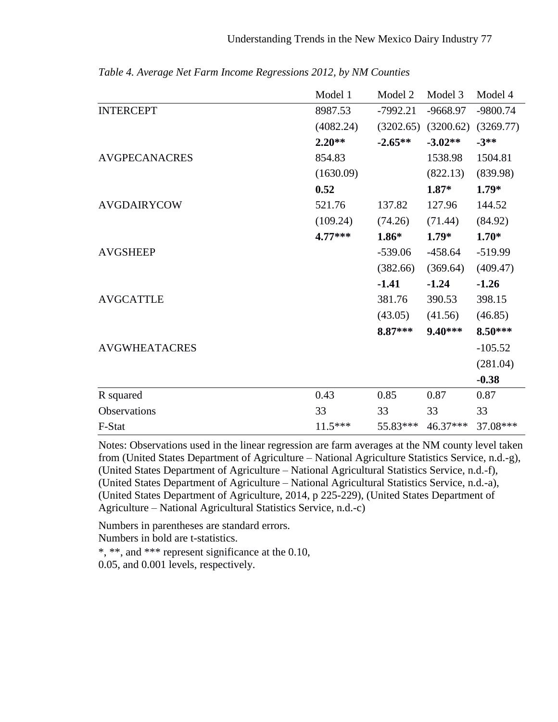|                      | Model 1   | Model 2    | Model 3    | Model 4    |
|----------------------|-----------|------------|------------|------------|
| <b>INTERCEPT</b>     | 8987.53   | $-7992.21$ | $-9668.97$ | $-9800.74$ |
|                      | (4082.24) | (3202.65)  | (3200.62)  | (3269.77)  |
|                      | $2.20**$  | $-2.65**$  | $-3.02**$  | $-3**$     |
| <b>AVGPECANACRES</b> | 854.83    |            | 1538.98    | 1504.81    |
|                      | (1630.09) |            | (822.13)   | (839.98)   |
|                      | 0.52      |            | $1.87*$    | $1.79*$    |
| <b>AVGDAIRYCOW</b>   | 521.76    | 137.82     | 127.96     | 144.52     |
|                      | (109.24)  | (74.26)    | (71.44)    | (84.92)    |
|                      | $4.77***$ | $1.86*$    | $1.79*$    | $1.70*$    |
| <b>AVGSHEEP</b>      |           | $-539.06$  | $-458.64$  | $-519.99$  |
|                      |           | (382.66)   | (369.64)   | (409.47)   |
|                      |           | $-1.41$    | $-1.24$    | $-1.26$    |
| <b>AVGCATTLE</b>     |           | 381.76     | 390.53     | 398.15     |
|                      |           | (43.05)    | (41.56)    | (46.85)    |
|                      |           | 8.87***    | $9.40***$  | 8.50***    |
| <b>AVGWHEATACRES</b> |           |            |            | $-105.52$  |
|                      |           |            |            | (281.04)   |
|                      |           |            |            | $-0.38$    |
| R squared            | 0.43      | 0.85       | 0.87       | 0.87       |
| Observations         | 33        | 33         | 33         | 33         |
| F-Stat               | $11.5***$ | 55.83***   | 46.37***   | 37.08***   |

*Table 4. Average Net Farm Income Regressions 2012, by NM Counties*

Notes: Observations used in the linear regression are farm averages at the NM county level taken from (United States Department of Agriculture – National Agriculture Statistics Service, n.d.-g), (United States Department of Agriculture – National Agricultural Statistics Service, n.d.-f), (United States Department of Agriculture – National Agricultural Statistics Service, n.d.-a), (United States Department of Agriculture, 2014, p 225-229), (United States Department of Agriculture – National Agricultural Statistics Service, n.d.-c)

Numbers in parentheses are standard errors.

Numbers in bold are t-statistics.

\*, \*\*, and \*\*\* represent significance at the 0.10,

0.05, and 0.001 levels, respectively.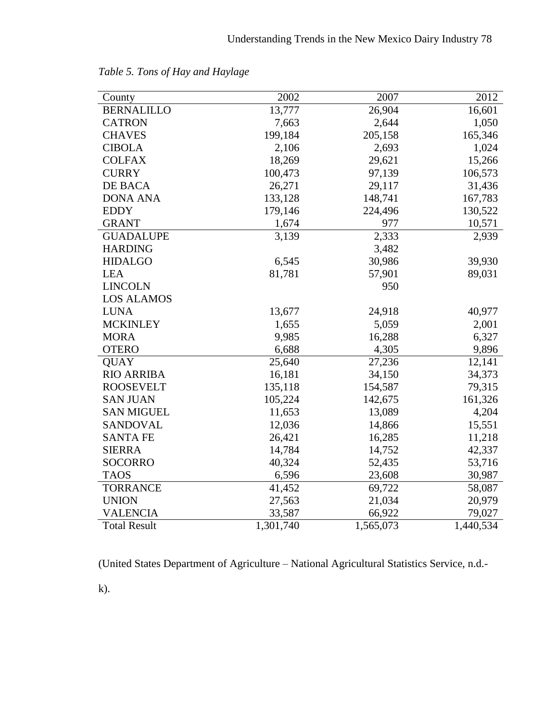| County              | 2002      | 2007      | 2012      |
|---------------------|-----------|-----------|-----------|
| <b>BERNALILLO</b>   | 13,777    | 26,904    | 16,601    |
| <b>CATRON</b>       | 7,663     | 2,644     | 1,050     |
| <b>CHAVES</b>       | 199,184   | 205,158   | 165,346   |
| <b>CIBOLA</b>       | 2,106     | 2,693     | 1,024     |
| <b>COLFAX</b>       | 18,269    | 29,621    | 15,266    |
| <b>CURRY</b>        | 100,473   | 97,139    | 106,573   |
| DE BACA             | 26,271    | 29,117    | 31,436    |
| <b>DONA ANA</b>     | 133,128   | 148,741   | 167,783   |
| <b>EDDY</b>         | 179,146   | 224,496   | 130,522   |
| <b>GRANT</b>        | 1,674     | 977       | 10,571    |
| <b>GUADALUPE</b>    | 3,139     | 2,333     | 2,939     |
| <b>HARDING</b>      |           | 3,482     |           |
| <b>HIDALGO</b>      | 6,545     | 30,986    | 39,930    |
| <b>LEA</b>          | 81,781    | 57,901    | 89,031    |
| <b>LINCOLN</b>      |           | 950       |           |
| <b>LOS ALAMOS</b>   |           |           |           |
| <b>LUNA</b>         | 13,677    | 24,918    | 40,977    |
| <b>MCKINLEY</b>     | 1,655     | 5,059     | 2,001     |
| <b>MORA</b>         | 9,985     | 16,288    | 6,327     |
| <b>OTERO</b>        | 6,688     | 4,305     | 9,896     |
| <b>QUAY</b>         | 25,640    | 27,236    | 12,141    |
| <b>RIO ARRIBA</b>   | 16,181    | 34,150    | 34,373    |
| <b>ROOSEVELT</b>    | 135,118   | 154,587   | 79,315    |
| <b>SAN JUAN</b>     | 105,224   | 142,675   | 161,326   |
| <b>SAN MIGUEL</b>   | 11,653    | 13,089    | 4,204     |
| <b>SANDOVAL</b>     | 12,036    | 14,866    | 15,551    |
| <b>SANTA FE</b>     | 26,421    | 16,285    | 11,218    |
| <b>SIERRA</b>       | 14,784    | 14,752    | 42,337    |
| <b>SOCORRO</b>      | 40,324    | 52,435    | 53,716    |
| <b>TAOS</b>         | 6,596     | 23,608    | 30,987    |
| <b>TORRANCE</b>     | 41,452    | 69,722    | 58,087    |
| <b>UNION</b>        | 27,563    | 21,034    | 20,979    |
| <b>VALENCIA</b>     | 33,587    | 66,922    | 79,027    |
| <b>Total Result</b> | 1,301,740 | 1,565,073 | 1,440,534 |

*Table 5. Tons of Hay and Haylage*

(United States Department of Agriculture – National Agricultural Statistics Service, n.d.-

k).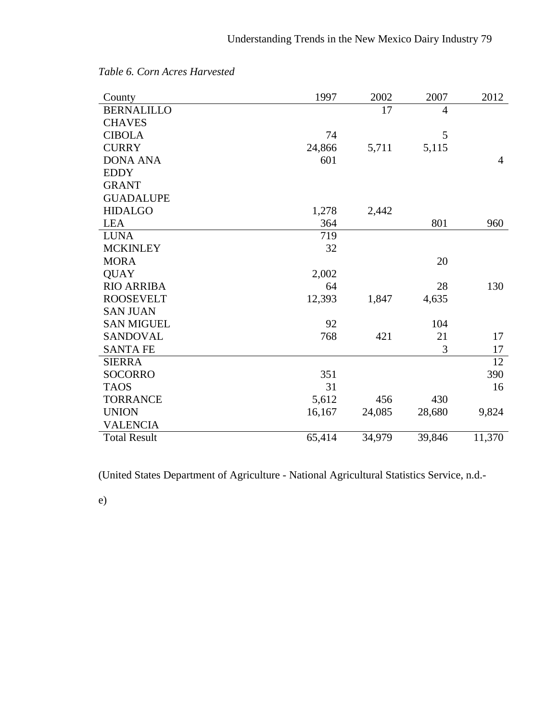| County              | 1997   | 2002   | 2007   | 2012           |
|---------------------|--------|--------|--------|----------------|
| <b>BERNALILLO</b>   |        | 17     | 4      |                |
| <b>CHAVES</b>       |        |        |        |                |
| <b>CIBOLA</b>       | 74     |        | 5      |                |
| <b>CURRY</b>        | 24,866 | 5,711  | 5,115  |                |
| <b>DONA ANA</b>     | 601    |        |        | $\overline{4}$ |
| <b>EDDY</b>         |        |        |        |                |
| <b>GRANT</b>        |        |        |        |                |
| <b>GUADALUPE</b>    |        |        |        |                |
| <b>HIDALGO</b>      | 1,278  | 2,442  |        |                |
| <b>LEA</b>          | 364    |        | 801    | 960            |
| <b>LUNA</b>         | 719    |        |        |                |
| <b>MCKINLEY</b>     | 32     |        |        |                |
| <b>MORA</b>         |        |        | 20     |                |
| <b>QUAY</b>         | 2,002  |        |        |                |
| <b>RIO ARRIBA</b>   | 64     |        | 28     | 130            |
| <b>ROOSEVELT</b>    | 12,393 | 1,847  | 4,635  |                |
| <b>SAN JUAN</b>     |        |        |        |                |
| <b>SAN MIGUEL</b>   | 92     |        | 104    |                |
| <b>SANDOVAL</b>     | 768    | 421    | 21     | 17             |
| <b>SANTA FE</b>     |        |        | 3      | 17             |
| <b>SIERRA</b>       |        |        |        | 12             |
| <b>SOCORRO</b>      | 351    |        |        | 390            |
| <b>TAOS</b>         | 31     |        |        | 16             |
| <b>TORRANCE</b>     | 5,612  | 456    | 430    |                |
| <b>UNION</b>        | 16,167 | 24,085 | 28,680 | 9,824          |
| <b>VALENCIA</b>     |        |        |        |                |
| <b>Total Result</b> | 65,414 | 34,979 | 39,846 | 11,370         |

*Table 6. Corn Acres Harvested*

(United States Department of Agriculture - National Agricultural Statistics Service, n.d.-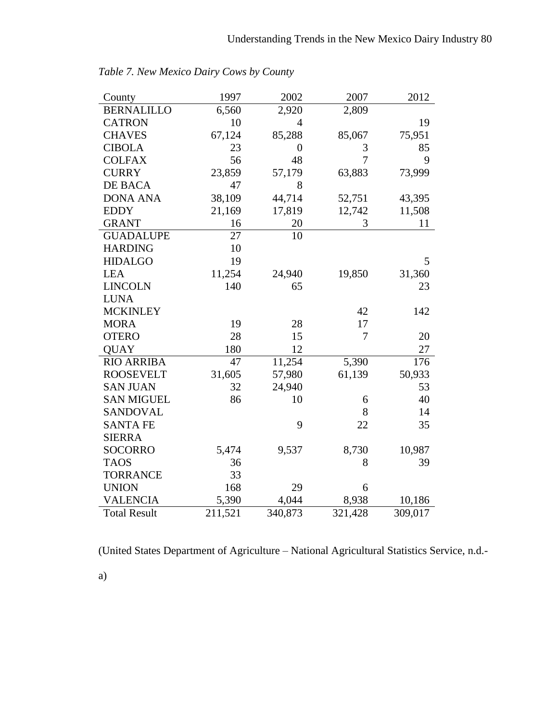| County              | 1997    | 2002             | 2007    | 2012    |
|---------------------|---------|------------------|---------|---------|
| <b>BERNALILLO</b>   | 6,560   | 2,920            | 2,809   |         |
| <b>CATRON</b>       | 10      | $\overline{4}$   |         | 19      |
| <b>CHAVES</b>       | 67,124  | 85,288           | 85,067  | 75,951  |
| <b>CIBOLA</b>       | 23      | $\boldsymbol{0}$ | 3       | 85      |
| <b>COLFAX</b>       | 56      | 48               | 7       | 9       |
| <b>CURRY</b>        | 23,859  | 57,179           | 63,883  | 73,999  |
| DE BACA             | 47      | 8                |         |         |
| <b>DONA ANA</b>     | 38,109  | 44,714           | 52,751  | 43,395  |
| <b>EDDY</b>         | 21,169  | 17,819           | 12,742  | 11,508  |
| <b>GRANT</b>        | 16      | 20               | 3       | 11      |
| <b>GUADALUPE</b>    | 27      | 10               |         |         |
| <b>HARDING</b>      | 10      |                  |         |         |
| <b>HIDALGO</b>      | 19      |                  |         | 5       |
| <b>LEA</b>          | 11,254  | 24,940           | 19,850  | 31,360  |
| <b>LINCOLN</b>      | 140     | 65               |         | 23      |
| <b>LUNA</b>         |         |                  |         |         |
| <b>MCKINLEY</b>     |         |                  | 42      | 142     |
| <b>MORA</b>         | 19      | 28               | 17      |         |
| <b>OTERO</b>        | 28      | 15               | 7       | 20      |
| <b>QUAY</b>         | 180     | 12               |         | 27      |
| <b>RIO ARRIBA</b>   | 47      | 11,254           | 5,390   | 176     |
| <b>ROOSEVELT</b>    | 31,605  | 57,980           | 61,139  | 50,933  |
| <b>SAN JUAN</b>     | 32      | 24,940           |         | 53      |
| <b>SAN MIGUEL</b>   | 86      | 10               | 6       | 40      |
| <b>SANDOVAL</b>     |         |                  | 8       | 14      |
| <b>SANTA FE</b>     |         | 9                | 22      | 35      |
| <b>SIERRA</b>       |         |                  |         |         |
| <b>SOCORRO</b>      | 5,474   | 9,537            | 8,730   | 10,987  |
| <b>TAOS</b>         | 36      |                  | 8       | 39      |
| <b>TORRANCE</b>     | 33      |                  |         |         |
| <b>UNION</b>        | 168     | 29               | 6       |         |
| <b>VALENCIA</b>     | 5,390   | 4,044            | 8,938   | 10,186  |
| <b>Total Result</b> | 211,521 | 340,873          | 321,428 | 309,017 |

*Table 7. New Mexico Dairy Cows by County*

(United States Department of Agriculture – National Agricultural Statistics Service, n.d.-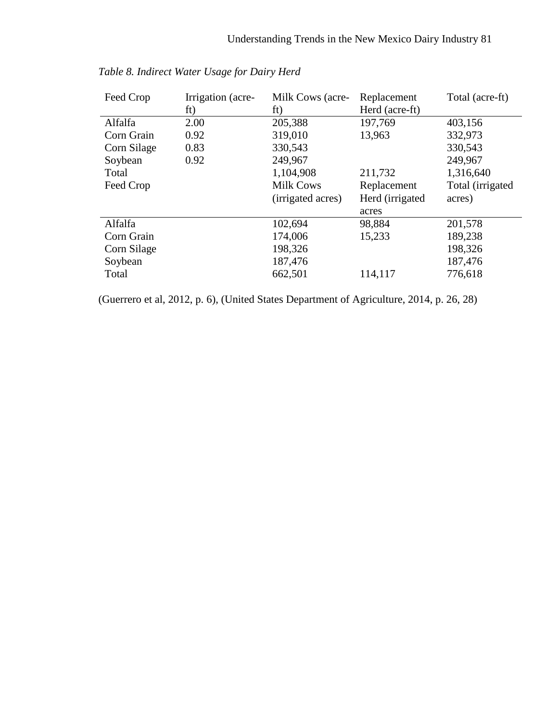| Feed Crop   | Irrigation (acre-<br>ft) | Milk Cows (acre-<br>ft) | Replacement<br>Herd (acre-ft) | Total (acre-ft)   |
|-------------|--------------------------|-------------------------|-------------------------------|-------------------|
| Alfalfa     | 2.00                     | 205,388                 | 197,769                       | 403,156           |
| Corn Grain  | 0.92                     | 319,010                 | 13,963                        | 332,973           |
| Corn Silage | 0.83                     | 330,543                 |                               | 330,543           |
| Soybean     | 0.92                     | 249,967                 |                               | 249,967           |
| Total       |                          | 1,104,908               | 211,732                       | 1,316,640         |
| Feed Crop   |                          | <b>Milk Cows</b>        | Replacement                   | Total (irrigated) |
|             |                          | (irrigated acres)       | Herd (irrigated)              | acres)            |
|             |                          |                         | acres                         |                   |
| Alfalfa     |                          | 102,694                 | 98,884                        | 201,578           |
| Corn Grain  |                          | 174,006                 | 15,233                        | 189,238           |
| Corn Silage |                          | 198,326                 |                               | 198,326           |
| Soybean     |                          | 187,476                 |                               | 187,476           |
| Total       |                          | 662,501                 | 114,117                       | 776,618           |

*Table 8. Indirect Water Usage for Dairy Herd*

(Guerrero et al, 2012, p. 6), (United States Department of Agriculture, 2014, p. 26, 28)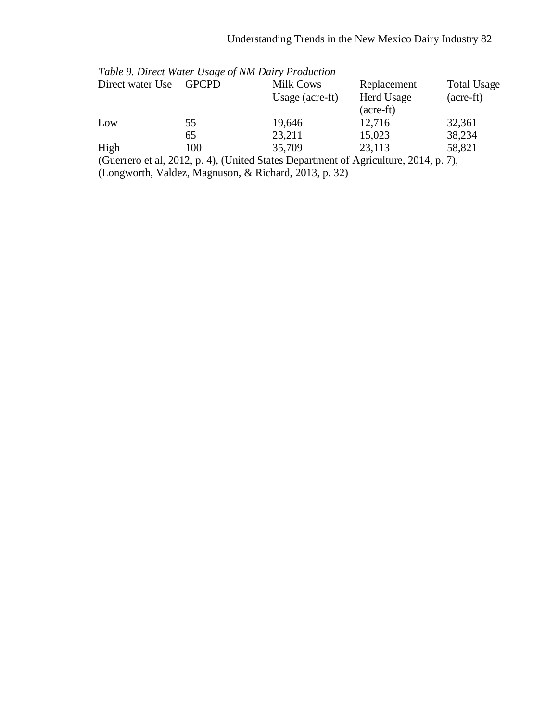| Direct water Use             | <b>GPCPD</b>                                                                                                                                                                                                                                                                                                                              | Milk Cows<br>Usage $(\text{acre-fit})$ | Replacement<br>Herd Usage<br>(acre-ft) | <b>Total Usage</b><br>(acre-ft) |  |
|------------------------------|-------------------------------------------------------------------------------------------------------------------------------------------------------------------------------------------------------------------------------------------------------------------------------------------------------------------------------------------|----------------------------------------|----------------------------------------|---------------------------------|--|
| Low                          | 55                                                                                                                                                                                                                                                                                                                                        | 19,646                                 | 12,716                                 | 32,361                          |  |
|                              | 65                                                                                                                                                                                                                                                                                                                                        | 23,211                                 | 15,023                                 | 38,234                          |  |
| High<br>$\sqrt{ }$<br>1.2012 | 100<br>$\mathbf{A}$ $\mathbf{A}$ $\mathbf{A}$ $\mathbf{A}$ $\mathbf{A}$ $\mathbf{A}$ $\mathbf{A}$ $\mathbf{A}$ $\mathbf{A}$ $\mathbf{A}$ $\mathbf{A}$ $\mathbf{A}$ $\mathbf{A}$ $\mathbf{A}$ $\mathbf{A}$ $\mathbf{A}$ $\mathbf{A}$ $\mathbf{A}$ $\mathbf{A}$ $\mathbf{A}$ $\mathbf{A}$ $\mathbf{A}$ $\mathbf{A}$ $\mathbf{A}$ $\mathbf{$ | 35,709                                 | 23,113<br>$\bigcap_{1}$ $\bigcap_{1}$  | 58,821<br>$\rightarrow$         |  |

| Table 9. Direct Water Usage of NM Dairy Production |  |  |  |  |  |
|----------------------------------------------------|--|--|--|--|--|
|----------------------------------------------------|--|--|--|--|--|

(Guerrero et al, 2012, p. 4), (United States Department of Agriculture, 2014, p. 7), (Longworth, Valdez, Magnuson, & Richard, 2013, p. 32)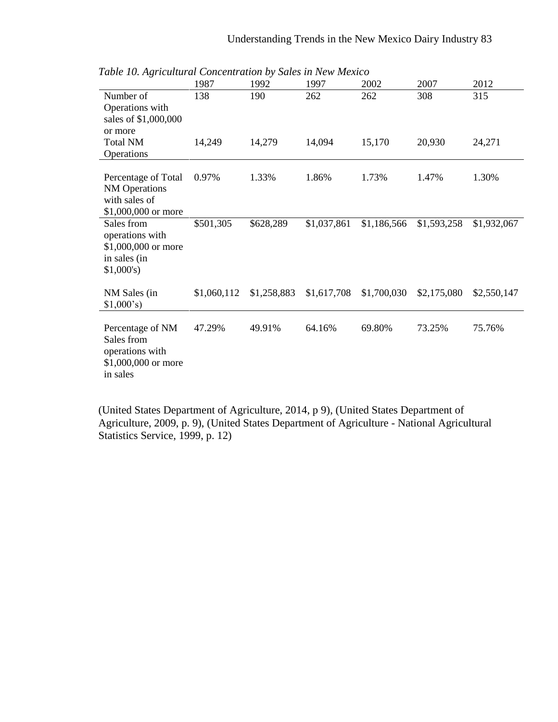| Twee To, Hollowing Concentration by Bates in Her mexico                              | 1987        | 1992        | 1997        | 2002        | 2007        | 2012        |
|--------------------------------------------------------------------------------------|-------------|-------------|-------------|-------------|-------------|-------------|
| Number of<br>Operations with<br>sales of \$1,000,000<br>or more                      | 138         | 190         | 262         | 262         | 308         | 315         |
| <b>Total NM</b><br>Operations                                                        | 14,249      | 14,279      | 14,094      | 15,170      | 20,930      | 24,271      |
| Percentage of Total<br><b>NM</b> Operations<br>with sales of<br>\$1,000,000 or more  | 0.97%       | 1.33%       | 1.86%       | 1.73%       | 1.47%       | 1.30%       |
| Sales from<br>operations with<br>\$1,000,000 or more<br>in sales (in<br>$$1,000$ 's) | \$501,305   | \$628,289   | \$1,037,861 | \$1,186,566 | \$1,593,258 | \$1,932,067 |
| NM Sales (in<br>\$1,000's                                                            | \$1,060,112 | \$1,258,883 | \$1,617,708 | \$1,700,030 | \$2,175,080 | \$2,550,147 |
| Percentage of NM<br>Sales from<br>operations with<br>\$1,000,000 or more<br>in sales | 47.29%      | 49.91%      | 64.16%      | 69.80%      | 73.25%      | 75.76%      |

*Table 10. Agricultural Concentration by Sales in New Mexico*

(United States Department of Agriculture, 2014, p 9), (United States Department of Agriculture, 2009, p. 9), (United States Department of Agriculture - National Agricultural Statistics Service, 1999, p. 12)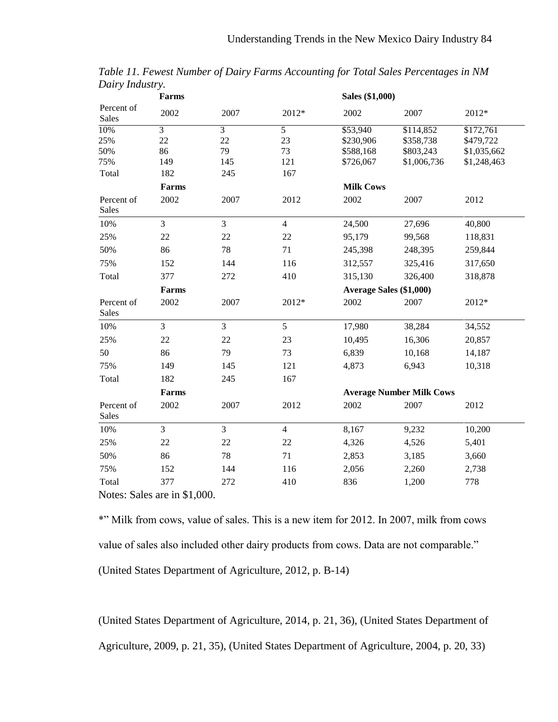|                     | Farms                                                           |                |                | Sales (\$1,000)  |                                 |             |  |  |
|---------------------|-----------------------------------------------------------------|----------------|----------------|------------------|---------------------------------|-------------|--|--|
| Percent of<br>Sales | 2002                                                            | 2007           | 2012*          | 2002             | 2007                            | 2012*       |  |  |
| 10%                 | $\overline{3}$                                                  | $\overline{3}$ | $\overline{5}$ | \$53,940         | \$114,852                       | \$172,761   |  |  |
| 25%                 | 22                                                              | 22             | 23             | \$230,906        | \$358,738                       | \$479,722   |  |  |
| 50%                 | 86                                                              | 79             | 73             | \$588,168        | \$803,243                       | \$1,035,662 |  |  |
| 75%                 | 149                                                             | 145            | 121            | \$726,067        | \$1,006,736                     | \$1,248,463 |  |  |
| Total               | 182                                                             | 245            | 167            |                  |                                 |             |  |  |
|                     | Farms                                                           |                |                | <b>Milk Cows</b> |                                 |             |  |  |
| Percent of<br>Sales | 2002                                                            | 2007           | 2012           | 2002             | 2007                            | 2012        |  |  |
| 10%                 | $\overline{3}$                                                  | 3              | $\overline{4}$ | 24,500           | 27,696                          | 40,800      |  |  |
| 25%                 | 22                                                              | $22\,$         | 22             | 95,179           | 99,568                          | 118,831     |  |  |
| 50%                 | 86                                                              | 78             | 71             | 245,398          | 248,395                         | 259,844     |  |  |
| 75%                 | 152                                                             | 144            | 116            | 312,557          | 325,416                         | 317,650     |  |  |
| Total               | 377                                                             | 272            | 410            | 315,130          | 326,400                         | 318,878     |  |  |
|                     | Farms                                                           |                |                |                  | <b>Average Sales (\$1,000)</b>  |             |  |  |
| Percent of<br>Sales | 2002                                                            | 2007           | 2012*          | 2002             | 2007                            | 2012*       |  |  |
| 10%                 | $\overline{3}$                                                  | 3              | 5              | 17,980           | 38,284                          | 34,552      |  |  |
| 25%                 | 22                                                              | 22             | 23             | 10,495           | 16,306                          | 20,857      |  |  |
| 50                  | 86                                                              | 79             | 73             | 6,839            | 10,168                          | 14,187      |  |  |
| 75%                 | 149                                                             | 145            | 121            | 4,873            | 6,943                           | 10,318      |  |  |
| Total               | 182                                                             | 245            | 167            |                  |                                 |             |  |  |
|                     | Farms                                                           |                |                |                  | <b>Average Number Milk Cows</b> |             |  |  |
| Percent of<br>Sales | 2002                                                            | 2007           | 2012           | 2002             | 2007                            | 2012        |  |  |
| 10%                 | $\overline{3}$                                                  | 3              | $\overline{4}$ | 8,167            | 9,232                           | 10,200      |  |  |
| 25%                 | 22                                                              | $22\,$         | 22             | 4,326            | 4,526                           | 5,401       |  |  |
| 50%                 | 86                                                              | 78             | 71             | 2,853            | 3,185                           | 3,660       |  |  |
| 75%                 | 152                                                             | 144            | 116            | 2,056            | 2,260                           | 2,738       |  |  |
| Total               | 377                                                             | 272            | 410            | 836              | 1,200                           | 778         |  |  |
|                     | $M_{\text{other}}$ $R_{\text{other}}$ and $\mu$ $\uparrow$ 0.00 |                |                |                  |                                 |             |  |  |

*Table 11. Fewest Number of Dairy Farms Accounting for Total Sales Percentages in NM Dairy Industry.*

Notes: Sales are in \$1,000.

\*" Milk from cows, value of sales. This is a new item for 2012. In 2007, milk from cows value of sales also included other dairy products from cows. Data are not comparable." (United States Department of Agriculture, 2012, p. B-14)

(United States Department of Agriculture, 2014, p. 21, 36), (United States Department of Agriculture, 2009, p. 21, 35), (United States Department of Agriculture, 2004, p. 20, 33)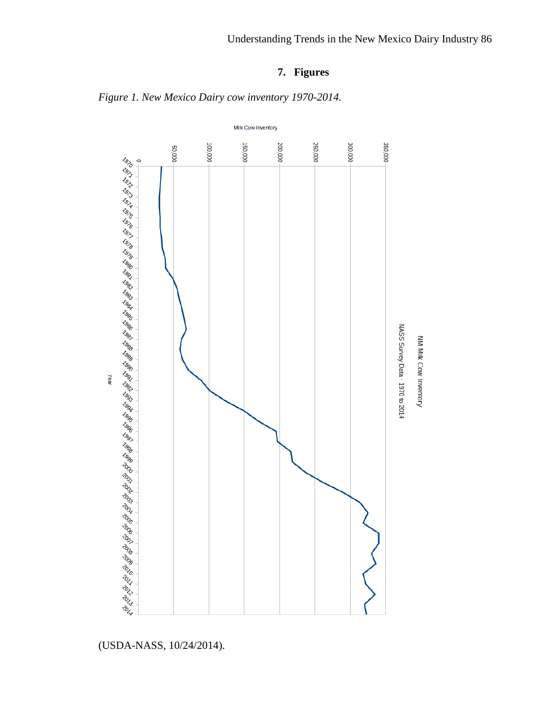## **7. Figures**



*Figure 1. New Mexico Dairy cow inventory 1970-2014.*

(USDA-NASS, 10/24/2014).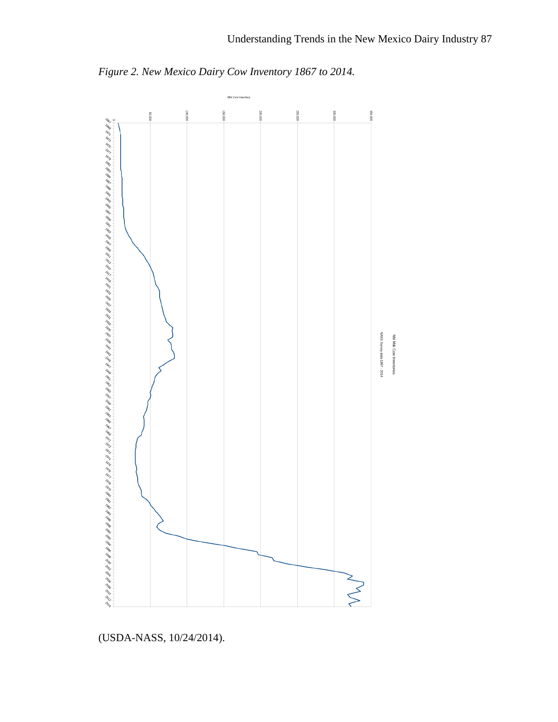

*Figure 2. New Mexico Dairy Cow Inventory 1867 to 2014.*

(USDA-NASS, 10/24/2014).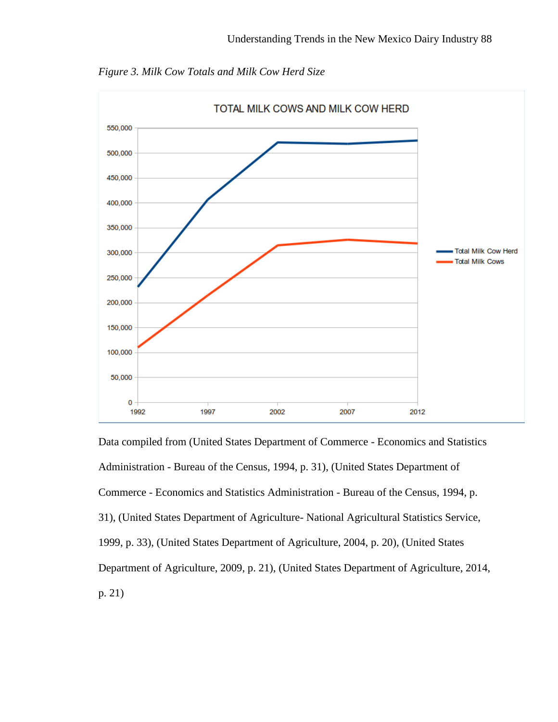

*Figure 3. Milk Cow Totals and Milk Cow Herd Size*

Data compiled from (United States Department of Commerce - Economics and Statistics Administration - Bureau of the Census, 1994, p. 31), (United States Department of Commerce - Economics and Statistics Administration - Bureau of the Census, 1994, p. 31), (United States Department of Agriculture- National Agricultural Statistics Service, 1999, p. 33), (United States Department of Agriculture, 2004, p. 20), (United States Department of Agriculture, 2009, p. 21), (United States Department of Agriculture, 2014, p. 21)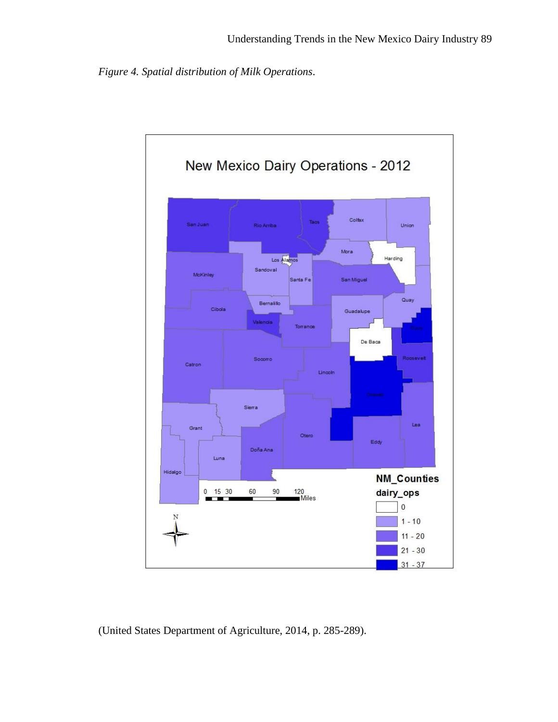*Figure 4. Spatial distribution of Milk Operations*.



(United States Department of Agriculture, 2014, p. 285-289).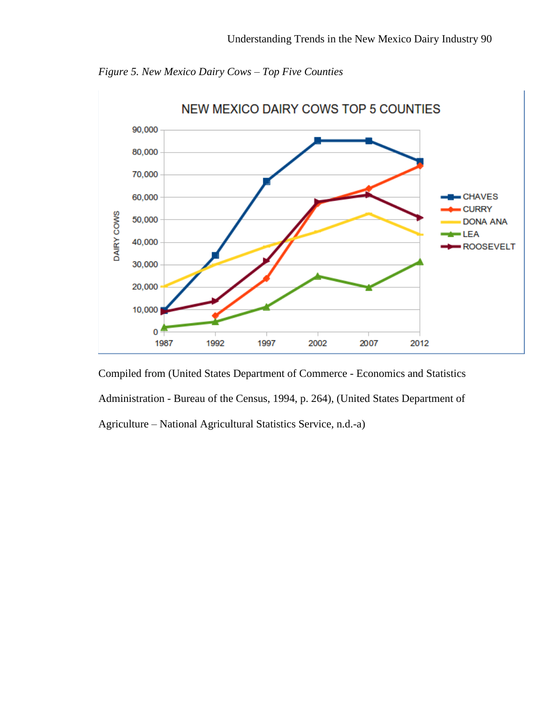

*Figure 5. New Mexico Dairy Cows – Top Five Counties*

Compiled from (United States Department of Commerce - Economics and Statistics Administration - Bureau of the Census, 1994, p. 264), (United States Department of Agriculture – National Agricultural Statistics Service, n.d.-a)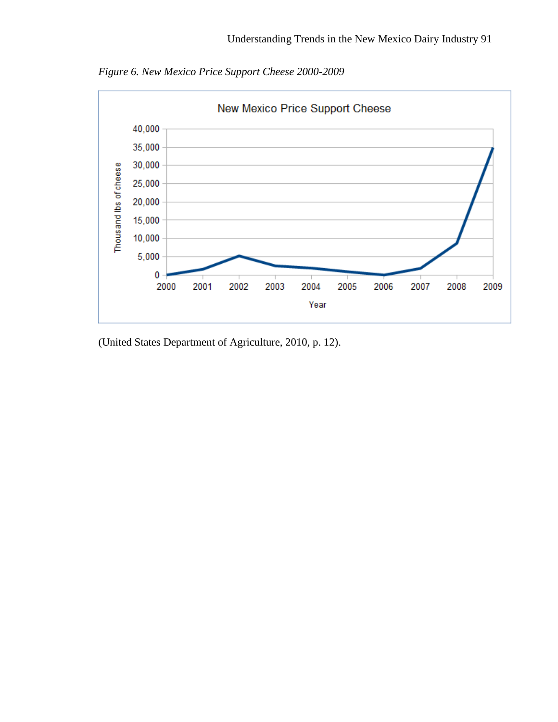



(United States Department of Agriculture, 2010, p. 12).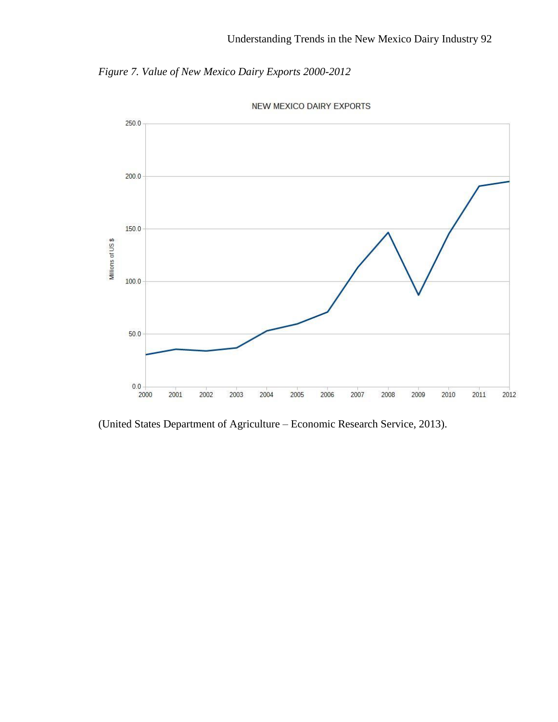*Figure 7. Value of New Mexico Dairy Exports 2000-2012*





(United States Department of Agriculture – Economic Research Service, 2013).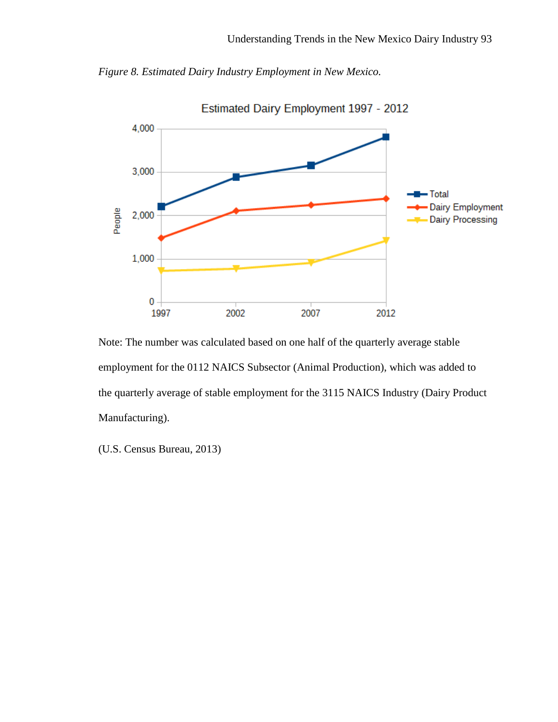



Note: The number was calculated based on one half of the quarterly average stable employment for the 0112 NAICS Subsector (Animal Production), which was added to the quarterly average of stable employment for the 3115 NAICS Industry (Dairy Product Manufacturing).

(U.S. Census Bureau, 2013)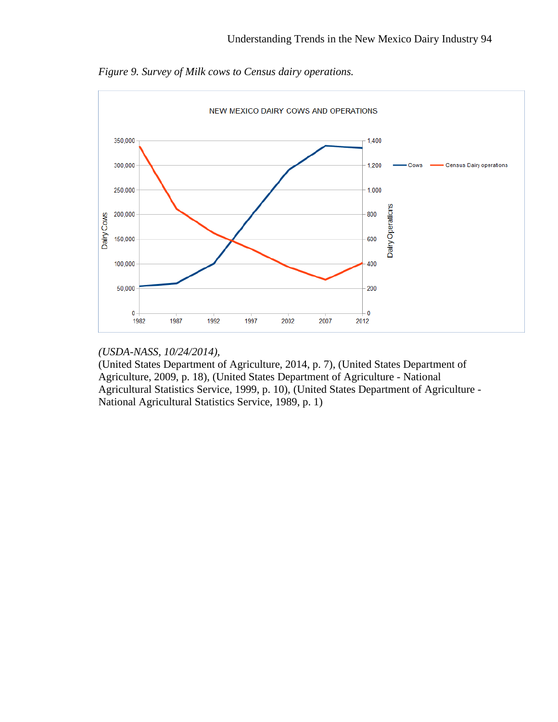

*Figure 9. Survey of Milk cows to Census dairy operations.*

## *(USDA-NASS, 10/24/2014),*

(United States Department of Agriculture, 2014, p. 7), (United States Department of Agriculture, 2009, p. 18), (United States Department of Agriculture - National Agricultural Statistics Service, 1999, p. 10), (United States Department of Agriculture - National Agricultural Statistics Service, 1989, p. 1)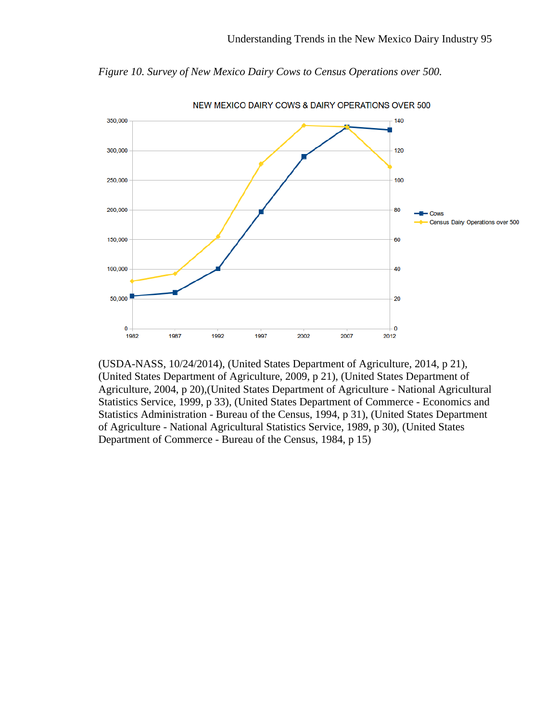

*Figure 10. Survey of New Mexico Dairy Cows to Census Operations over 500.*

(USDA-NASS, 10/24/2014), (United States Department of Agriculture, 2014, p 21), (United States Department of Agriculture, 2009, p 21), (United States Department of Agriculture, 2004, p 20),(United States Department of Agriculture - National Agricultural Statistics Service, 1999, p 33), (United States Department of Commerce - Economics and Statistics Administration - Bureau of the Census, 1994, p 31), (United States Department of Agriculture - National Agricultural Statistics Service, 1989, p 30), (United States Department of Commerce - Bureau of the Census, 1984, p 15)